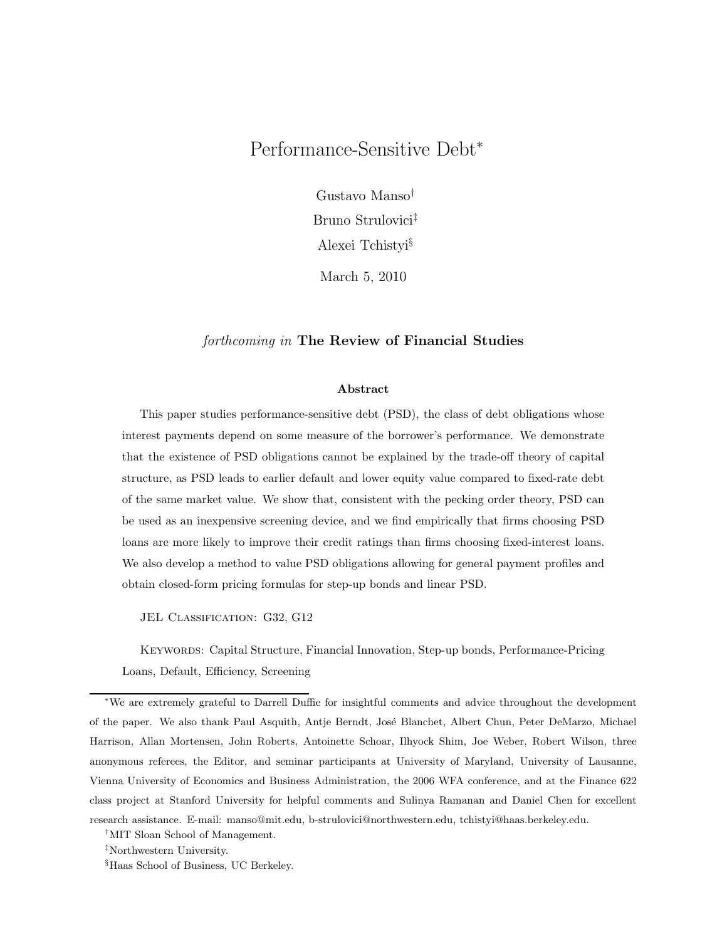# Performance-Sensitive Debt<sup>∗</sup>

Gustavo Manso† Bruno Strulovici‡ Alexei Tchistyi§

March 5, 2010

## forthcoming in The Review of Financial Studies

#### Abstract

This paper studies performance-sensitive debt (PSD), the class of debt obligations whose interest payments depend on some measure of the borrower's performance. We demonstrate that the existence of PSD obligations cannot be explained by the trade-off theory of capital structure, as PSD leads to earlier default and lower equity value compared to fixed-rate debt of the same market value. We show that, consistent with the pecking order theory, PSD can be used as an inexpensive screening device, and we find empirically that firms choosing PSD loans are more likely to improve their credit ratings than firms choosing fixed-interest loans. We also develop a method to value PSD obligations allowing for general payment profiles and obtain closed-form pricing formulas for step-up bonds and linear PSD.

JEL CLASSIFICATION: G32, G12

Keywords: Capital Structure, Financial Innovation, Step-up bonds, Performance-Pricing Loans, Default, Efficiency, Screening

<sup>∗</sup>We are extremely grateful to Darrell Duffie for insightful comments and advice throughout the development of the paper. We also thank Paul Asquith, Antje Berndt, José Blanchet, Albert Chun, Peter DeMarzo, Michael Harrison, Allan Mortensen, John Roberts, Antoinette Schoar, Ilhyock Shim, Joe Weber, Robert Wilson, three anonymous referees, the Editor, and seminar participants at University of Maryland, University of Lausanne, Vienna University of Economics and Business Administration, the 2006 WFA conference, and at the Finance 622 class project at Stanford University for helpful comments and Sulinya Ramanan and Daniel Chen for excellent research assistance. E-mail: manso@mit.edu, b-strulovici@northwestern.edu, tchistyi@haas.berkeley.edu.

<sup>†</sup>MIT Sloan School of Management.

<sup>‡</sup>Northwestern University.

<sup>§</sup>Haas School of Business, UC Berkeley.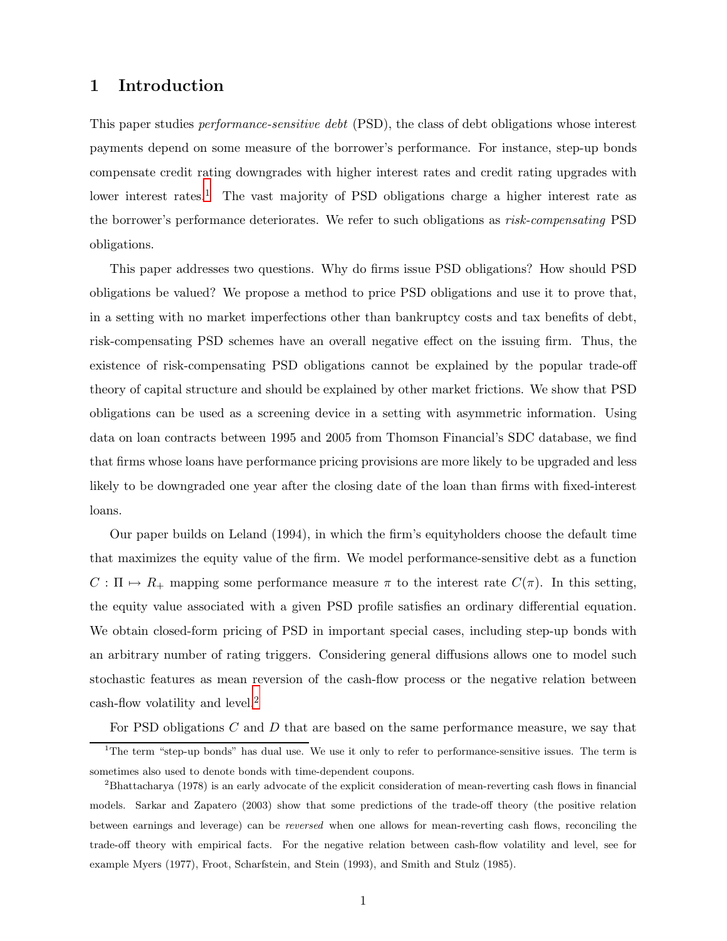## 1 Introduction

This paper studies performance-sensitive debt (PSD), the class of debt obligations whose interest payments depend on some measure of the borrower's performance. For instance, step-up bonds compensate credit rating downgrades with higher interest rates and credit rating upgrades with lower interest rates.<sup>[1](#page-1-0)</sup> The vast majority of PSD obligations charge a higher interest rate as the borrower's performance deteriorates. We refer to such obligations as risk-compensating PSD obligations.

This paper addresses two questions. Why do firms issue PSD obligations? How should PSD obligations be valued? We propose a method to price PSD obligations and use it to prove that, in a setting with no market imperfections other than bankruptcy costs and tax benefits of debt, risk-compensating PSD schemes have an overall negative effect on the issuing firm. Thus, the existence of risk-compensating PSD obligations cannot be explained by the popular trade-off theory of capital structure and should be explained by other market frictions. We show that PSD obligations can be used as a screening device in a setting with asymmetric information. Using data on loan contracts between 1995 and 2005 from Thomson Financial's SDC database, we find that firms whose loans have performance pricing provisions are more likely to be upgraded and less likely to be downgraded one year after the closing date of the loan than firms with fixed-interest loans.

Our paper builds on Leland (1994), in which the firm's equityholders choose the default time that maximizes the equity value of the firm. We model performance-sensitive debt as a function  $C : \Pi \mapsto R_+$  mapping some performance measure  $\pi$  to the interest rate  $C(\pi)$ . In this setting, the equity value associated with a given PSD profile satisfies an ordinary differential equation. We obtain closed-form pricing of PSD in important special cases, including step-up bonds with an arbitrary number of rating triggers. Considering general diffusions allows one to model such stochastic features as mean reversion of the cash-flow process or the negative relation between cash-flow volatility and level.[2](#page-1-1)

For PSD obligations C and D that are based on the same performance measure, we say that

<span id="page-1-0"></span><sup>&</sup>lt;sup>1</sup>The term "step-up bonds" has dual use. We use it only to refer to performance-sensitive issues. The term is sometimes also used to denote bonds with time-dependent coupons.

<span id="page-1-1"></span><sup>2</sup>Bhattacharya (1978) is an early advocate of the explicit consideration of mean-reverting cash flows in financial models. Sarkar and Zapatero (2003) show that some predictions of the trade-off theory (the positive relation between earnings and leverage) can be reversed when one allows for mean-reverting cash flows, reconciling the trade-off theory with empirical facts. For the negative relation between cash-flow volatility and level, see for example Myers (1977), Froot, Scharfstein, and Stein (1993), and Smith and Stulz (1985).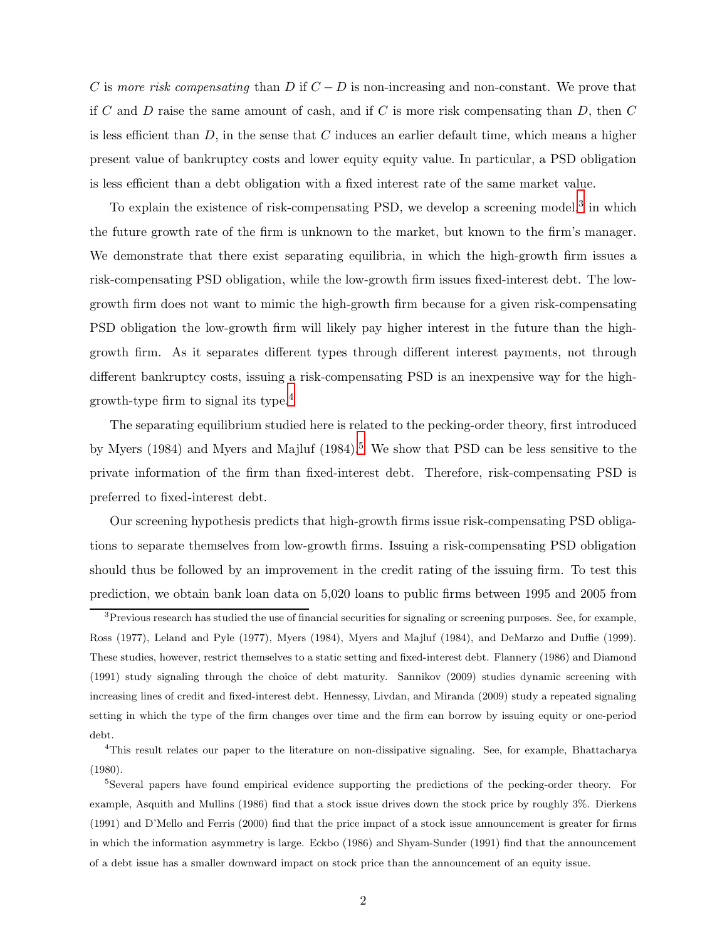C is more risk compensating than D if  $C - D$  is non-increasing and non-constant. We prove that if C and D raise the same amount of cash, and if C is more risk compensating than  $D$ , then C is less efficient than  $D$ , in the sense that  $C$  induces an earlier default time, which means a higher present value of bankruptcy costs and lower equity equity value. In particular, a PSD obligation is less efficient than a debt obligation with a fixed interest rate of the same market value.

To explain the existence of risk-compensating PSD, we develop a screening model,<sup>[3](#page-2-0)</sup> in which the future growth rate of the firm is unknown to the market, but known to the firm's manager. We demonstrate that there exist separating equilibria, in which the high-growth firm issues a risk-compensating PSD obligation, while the low-growth firm issues fixed-interest debt. The lowgrowth firm does not want to mimic the high-growth firm because for a given risk-compensating PSD obligation the low-growth firm will likely pay higher interest in the future than the highgrowth firm. As it separates different types through different interest payments, not through different bankruptcy costs, issuing a risk-compensating PSD is an inexpensive way for the highgrowth-type firm to signal its type.[4](#page-2-1)

The separating equilibrium studied here is related to the pecking-order theory, first introduced by Myers (1984) and Myers and Majluf (1984).<sup>[5](#page-2-2)</sup> We show that PSD can be less sensitive to the private information of the firm than fixed-interest debt. Therefore, risk-compensating PSD is preferred to fixed-interest debt.

Our screening hypothesis predicts that high-growth firms issue risk-compensating PSD obligations to separate themselves from low-growth firms. Issuing a risk-compensating PSD obligation should thus be followed by an improvement in the credit rating of the issuing firm. To test this prediction, we obtain bank loan data on 5,020 loans to public firms between 1995 and 2005 from

<span id="page-2-0"></span><sup>&</sup>lt;sup>3</sup>Previous research has studied the use of financial securities for signaling or screening purposes. See, for example, Ross (1977), Leland and Pyle (1977), Myers (1984), Myers and Majluf (1984), and DeMarzo and Duffie (1999). These studies, however, restrict themselves to a static setting and fixed-interest debt. Flannery (1986) and Diamond (1991) study signaling through the choice of debt maturity. Sannikov (2009) studies dynamic screening with increasing lines of credit and fixed-interest debt. Hennessy, Livdan, and Miranda (2009) study a repeated signaling setting in which the type of the firm changes over time and the firm can borrow by issuing equity or one-period debt.

<span id="page-2-1"></span><sup>4</sup>This result relates our paper to the literature on non-dissipative signaling. See, for example, Bhattacharya (1980).

<span id="page-2-2"></span><sup>&</sup>lt;sup>5</sup>Several papers have found empirical evidence supporting the predictions of the pecking-order theory. For example, Asquith and Mullins (1986) find that a stock issue drives down the stock price by roughly 3%. Dierkens (1991) and D'Mello and Ferris (2000) find that the price impact of a stock issue announcement is greater for firms in which the information asymmetry is large. Eckbo (1986) and Shyam-Sunder (1991) find that the announcement of a debt issue has a smaller downward impact on stock price than the announcement of an equity issue.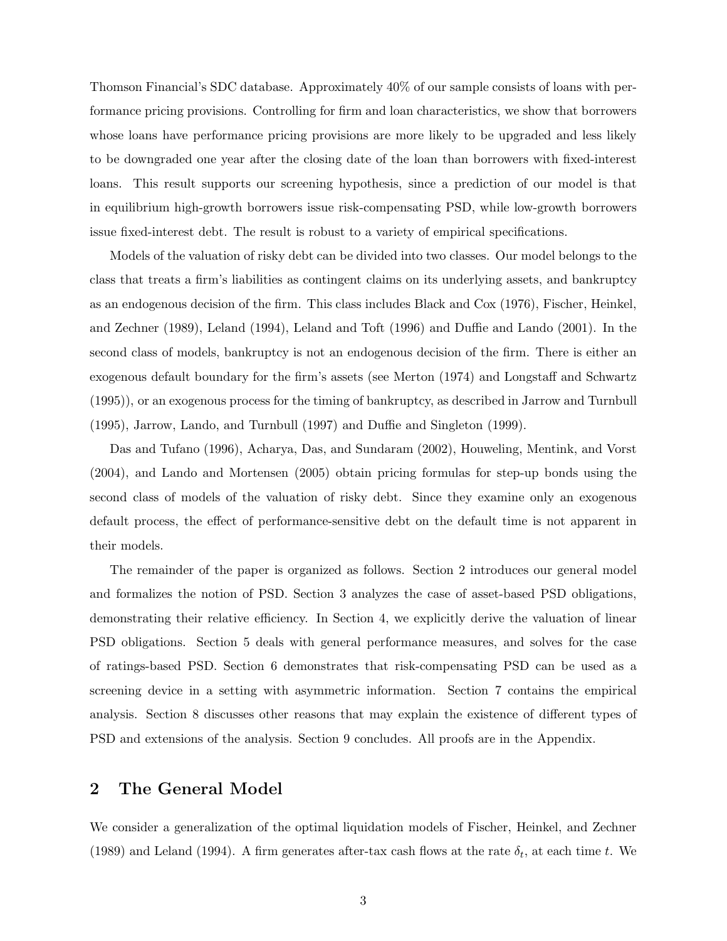Thomson Financial's SDC database. Approximately 40% of our sample consists of loans with performance pricing provisions. Controlling for firm and loan characteristics, we show that borrowers whose loans have performance pricing provisions are more likely to be upgraded and less likely to be downgraded one year after the closing date of the loan than borrowers with fixed-interest loans. This result supports our screening hypothesis, since a prediction of our model is that in equilibrium high-growth borrowers issue risk-compensating PSD, while low-growth borrowers issue fixed-interest debt. The result is robust to a variety of empirical specifications.

Models of the valuation of risky debt can be divided into two classes. Our model belongs to the class that treats a firm's liabilities as contingent claims on its underlying assets, and bankruptcy as an endogenous decision of the firm. This class includes Black and Cox (1976), Fischer, Heinkel, and Zechner (1989), Leland (1994), Leland and Toft (1996) and Duffie and Lando (2001). In the second class of models, bankruptcy is not an endogenous decision of the firm. There is either an exogenous default boundary for the firm's assets (see Merton (1974) and Longstaff and Schwartz (1995)), or an exogenous process for the timing of bankruptcy, as described in Jarrow and Turnbull (1995), Jarrow, Lando, and Turnbull (1997) and Duffie and Singleton (1999).

Das and Tufano (1996), Acharya, Das, and Sundaram (2002), Houweling, Mentink, and Vorst (2004), and Lando and Mortensen (2005) obtain pricing formulas for step-up bonds using the second class of models of the valuation of risky debt. Since they examine only an exogenous default process, the effect of performance-sensitive debt on the default time is not apparent in their models.

The remainder of the paper is organized as follows. Section 2 introduces our general model and formalizes the notion of PSD. Section 3 analyzes the case of asset-based PSD obligations, demonstrating their relative efficiency. In Section 4, we explicitly derive the valuation of linear PSD obligations. Section 5 deals with general performance measures, and solves for the case of ratings-based PSD. Section 6 demonstrates that risk-compensating PSD can be used as a screening device in a setting with asymmetric information. Section 7 contains the empirical analysis. Section 8 discusses other reasons that may explain the existence of different types of PSD and extensions of the analysis. Section 9 concludes. All proofs are in the Appendix.

## <span id="page-3-0"></span>2 The General Model

We consider a generalization of the optimal liquidation models of Fischer, Heinkel, and Zechner (1989) and Leland (1994). A firm generates after-tax cash flows at the rate  $\delta_t$ , at each time t. We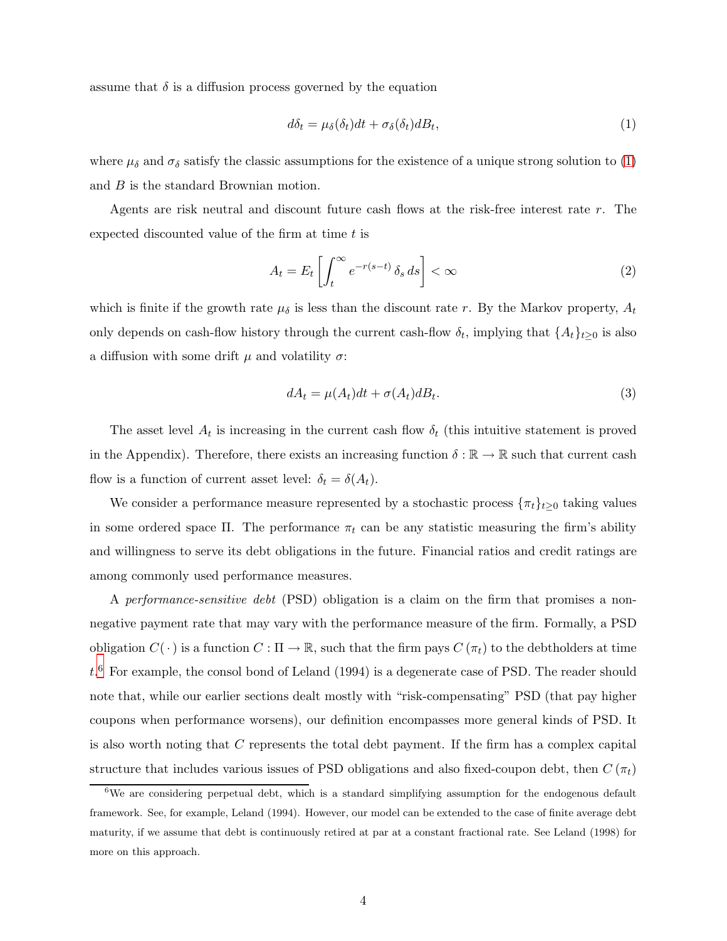assume that  $\delta$  is a diffusion process governed by the equation

<span id="page-4-0"></span>
$$
d\delta_t = \mu_\delta(\delta_t)dt + \sigma_\delta(\delta_t)dB_t,\tag{1}
$$

where  $\mu_{\delta}$  and  $\sigma_{\delta}$  satisfy the classic assumptions for the existence of a unique strong solution to [\(1\)](#page-4-0) and *B* is the standard Brownian motion.

Agents are risk neutral and discount future cash flows at the risk-free interest rate r. The expected discounted value of the firm at time  $t$  is

$$
A_t = E_t \left[ \int_t^\infty e^{-r(s-t)} \, \delta_s \, ds \right] < \infty \tag{2}
$$

which is finite if the growth rate  $\mu_{\delta}$  is less than the discount rate r. By the Markov property,  $A_t$ only depends on cash-flow history through the current cash-flow  $\delta_t$ , implying that  $\{A_t\}_{t\geq 0}$  is also a diffusion with some drift  $\mu$  and volatility  $\sigma$ :

$$
dA_t = \mu(A_t)dt + \sigma(A_t)dB_t.
$$
\n(3)

The asset level  $A_t$  is increasing in the current cash flow  $\delta_t$  (this intuitive statement is proved in the Appendix). Therefore, there exists an increasing function  $\delta : \mathbb{R} \to \mathbb{R}$  such that current cash flow is a function of current asset level:  $\delta_t = \delta(A_t)$ .

We consider a performance measure represented by a stochastic process  $\{\pi_t\}_{t\geq 0}$  taking values in some ordered space  $\Pi$ . The performance  $\pi_t$  can be any statistic measuring the firm's ability and willingness to serve its debt obligations in the future. Financial ratios and credit ratings are among commonly used performance measures.

A performance-sensitive debt (PSD) obligation is a claim on the firm that promises a nonnegative payment rate that may vary with the performance measure of the firm. Formally, a PSD obligation  $C(\cdot)$  is a function  $C : \Pi \to \mathbb{R}$ , such that the firm pays  $C(\pi_t)$  to the debtholders at time  $t.^6$  $t.^6$  For example, the consol bond of Leland (1994) is a degenerate case of PSD. The reader should note that, while our earlier sections dealt mostly with "risk-compensating" PSD (that pay higher coupons when performance worsens), our definition encompasses more general kinds of PSD. It is also worth noting that C represents the total debt payment. If the firm has a complex capital structure that includes various issues of PSD obligations and also fixed-coupon debt, then  $C(\pi_t)$ 

<span id="page-4-1"></span> $6$ We are considering perpetual debt, which is a standard simplifying assumption for the endogenous default framework. See, for example, Leland (1994). However, our model can be extended to the case of finite average debt maturity, if we assume that debt is continuously retired at par at a constant fractional rate. See Leland (1998) for more on this approach.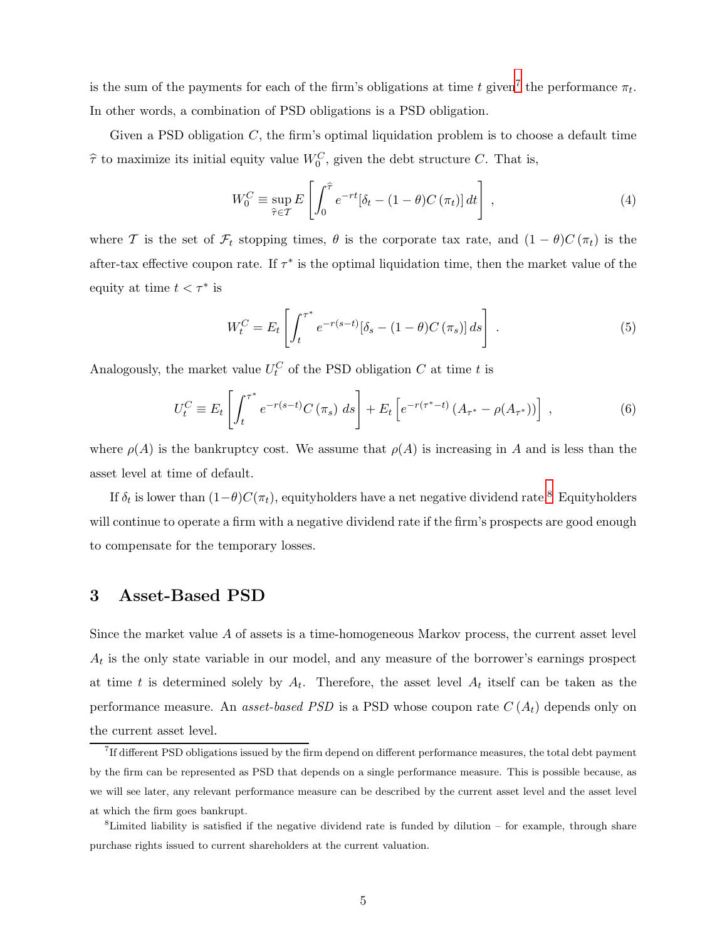is the sum of the payments for each of the firm's obligations at time t given<sup>[7](#page-5-0)</sup> the performance  $\pi_t$ . In other words, a combination of PSD obligations is a PSD obligation.

Given a PSD obligation  $C$ , the firm's optimal liquidation problem is to choose a default time  $\hat{\tau}$  to maximize its initial equity value  $W_0^C$ , given the debt structure C. That is,

<span id="page-5-3"></span>
$$
W_0^C \equiv \sup_{\hat{\tau} \in \mathcal{T}} E\left[\int_0^{\hat{\tau}} e^{-rt} [\delta_t - (1 - \theta) C(\pi_t)] dt\right],
$$
\n(4)

where T is the set of  $\mathcal{F}_t$  stopping times,  $\theta$  is the corporate tax rate, and  $(1 - \theta)C(\pi_t)$  is the after-tax effective coupon rate. If  $\tau^*$  is the optimal liquidation time, then the market value of the equity at time  $t < \tau^*$  is

<span id="page-5-4"></span>
$$
W_t^C = E_t \left[ \int_t^{\tau^*} e^{-r(s-t)} [\delta_s - (1-\theta)C(\pi_s)] ds \right]. \tag{5}
$$

Analogously, the market value  $U_t^C$  of the PSD obligation  $C$  at time  $t$  is

$$
U_t^C \equiv E_t \left[ \int_t^{\tau^*} e^{-r(s-t)} C(\pi_s) \ ds \right] + E_t \left[ e^{-r(\tau^* - t)} \left( A_{\tau^*} - \rho(A_{\tau^*}) \right) \right] \ , \tag{6}
$$

where  $\rho(A)$  is the bankruptcy cost. We assume that  $\rho(A)$  is increasing in A and is less than the asset level at time of default.

If  $\delta_t$  is lower than  $(1-\theta)C(\pi_t)$ , equityholders have a net negative dividend rate.<sup>[8](#page-5-1)</sup> Equityholders will continue to operate a firm with a negative dividend rate if the firm's prospects are good enough to compensate for the temporary losses.

## <span id="page-5-2"></span>3 Asset-Based PSD

Since the market value A of assets is a time-homogeneous Markov process, the current asset level  $A_t$  is the only state variable in our model, and any measure of the borrower's earnings prospect at time t is determined solely by  $A_t$ . Therefore, the asset level  $A_t$  itself can be taken as the performance measure. An *asset-based PSD* is a PSD whose coupon rate  $C(A_t)$  depends only on the current asset level.

<span id="page-5-0"></span><sup>7</sup> If different PSD obligations issued by the firm depend on different performance measures, the total debt payment by the firm can be represented as PSD that depends on a single performance measure. This is possible because, as we will see later, any relevant performance measure can be described by the current asset level and the asset level at which the firm goes bankrupt.

<span id="page-5-1"></span> ${}^{8}$ Limited liability is satisfied if the negative dividend rate is funded by dilution – for example, through share purchase rights issued to current shareholders at the current valuation.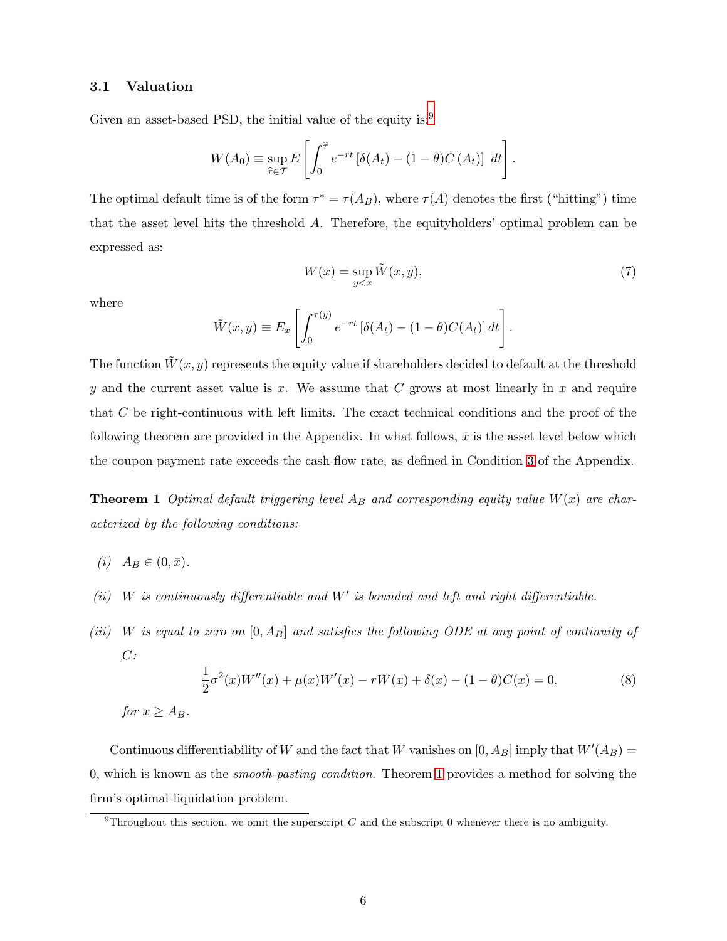## 3.1 Valuation

Given an asset-based PSD, the initial value of the equity is:<sup>[9](#page-6-0)</sup>

$$
W(A_0) \equiv \sup_{\widehat{\tau} \in \mathcal{T}} E\left[\int_0^{\widehat{\tau}} e^{-rt} \left[\delta(A_t) - (1-\theta)C(A_t)\right] dt\right].
$$

The optimal default time is of the form  $\tau^* = \tau(A_B)$ , where  $\tau(A)$  denotes the first ("hitting") time that the asset level hits the threshold A. Therefore, the equityholders' optimal problem can be expressed as:

$$
W(x) = \sup_{y < x} \tilde{W}(x, y),\tag{7}
$$

where

$$
\tilde{W}(x,y) \equiv E_x \left[ \int_0^{\tau(y)} e^{-rt} \left[ \delta(A_t) - (1-\theta) C(A_t) \right] dt \right].
$$

The function  $\tilde{W}(x, y)$  represents the equity value if shareholders decided to default at the threshold y and the current asset value is x. We assume that  $C$  grows at most linearly in x and require that C be right-continuous with left limits. The exact technical conditions and the proof of the following theorem are provided in the Appendix. In what follows,  $\bar{x}$  is the asset level below which the coupon payment rate exceeds the cash-flow rate, as defined in Condition [3](#page-21-0) of the Appendix.

<span id="page-6-1"></span>**Theorem 1** Optimal default triggering level  $A_B$  and corresponding equity value  $W(x)$  are characterized by the following conditions:

- (*i*)  $A_B \in (0, \bar{x}).$
- $(ii)$  W is continuously differentiable and W' is bounded and left and right differentiable.
- (iii) W is equal to zero on  $[0, A_B]$  and satisfies the following ODE at any point of continuity of  $C$ :

<span id="page-6-2"></span>
$$
\frac{1}{2}\sigma^2(x)W''(x) + \mu(x)W'(x) - rW(x) + \delta(x) - (1 - \theta)C(x) = 0.
$$
\n(8)

\nfor  $x \ge A_B$ .

Continuous differentiability of W and the fact that W vanishes on  $[0, A_B]$  imply that  $W'(A_B) =$ 0, which is known as the smooth-pasting condition. Theorem [1](#page-6-1) provides a method for solving the firm's optimal liquidation problem.

<span id="page-6-0"></span><sup>&</sup>lt;sup>9</sup>Throughout this section, we omit the superscript C and the subscript 0 whenever there is no ambiguity.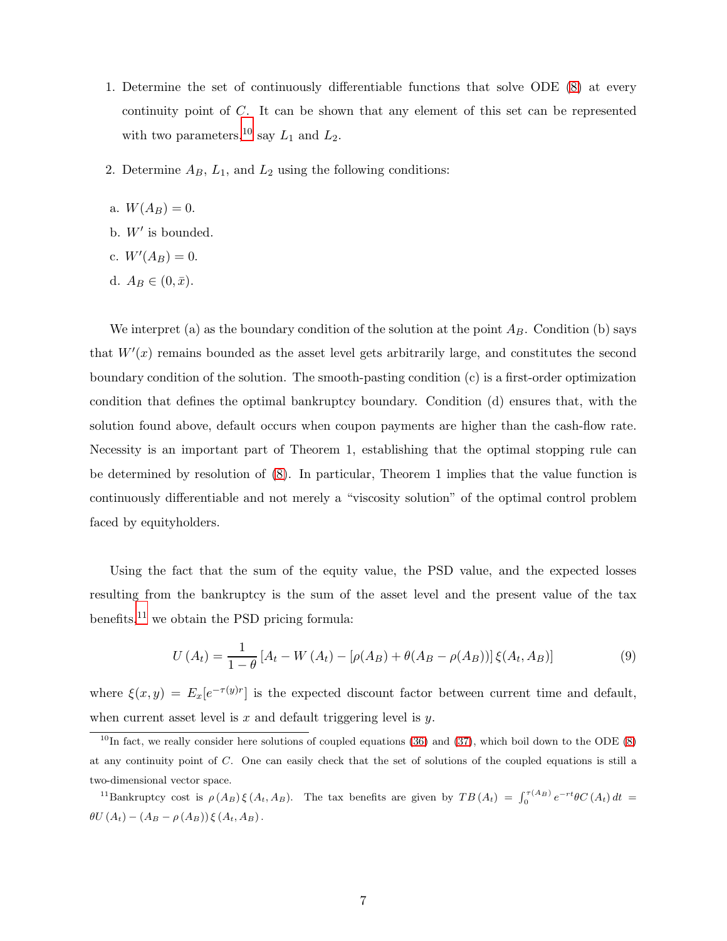- 1. Determine the set of continuously differentiable functions that solve ODE [\(8\)](#page-6-2) at every continuity point of C. It can be shown that any element of this set can be represented with two parameters,<sup>[10](#page-7-0)</sup> say  $L_1$  and  $L_2$ .
- 2. Determine  $A_B$ ,  $L_1$ , and  $L_2$  using the following conditions:
- a.  $W(A_B) = 0$ .
- b.  $W'$  is bounded.
- c.  $W'(A_B) = 0$ .
- d.  $A_B \in (0, \bar{x}).$

We interpret (a) as the boundary condition of the solution at the point  $A_B$ . Condition (b) says that  $W'(x)$  remains bounded as the asset level gets arbitrarily large, and constitutes the second boundary condition of the solution. The smooth-pasting condition (c) is a first-order optimization condition that defines the optimal bankruptcy boundary. Condition (d) ensures that, with the solution found above, default occurs when coupon payments are higher than the cash-flow rate. Necessity is an important part of Theorem 1, establishing that the optimal stopping rule can be determined by resolution of [\(8\)](#page-6-2). In particular, Theorem 1 implies that the value function is continuously differentiable and not merely a "viscosity solution" of the optimal control problem faced by equityholders.

Using the fact that the sum of the equity value, the PSD value, and the expected losses resulting from the bankruptcy is the sum of the asset level and the present value of the tax benefits, $^{11}$  $^{11}$  $^{11}$  we obtain the PSD pricing formula:

<span id="page-7-2"></span>
$$
U(A_t) = \frac{1}{1 - \theta} \left[ A_t - W(A_t) - [\rho(A_B) + \theta(A_B - \rho(A_B))] \right] \xi(A_t, A_B)
$$
(9)

where  $\xi(x,y) = E_x[e^{-\tau(y)r}]$  is the expected discount factor between current time and default, when current asset level is  $x$  and default triggering level is  $y$ .

<span id="page-7-0"></span> $^{10}$ In fact, we really consider here solutions of coupled equations [\(36\)](#page-27-0) and [\(37\)](#page-27-0), which boil down to the ODE [\(8\)](#page-6-2) at any continuity point of C. One can easily check that the set of solutions of the coupled equations is still a two-dimensional vector space.

<span id="page-7-1"></span><sup>&</sup>lt;sup>11</sup>Bankruptcy cost is  $\rho(A_B) \xi(A_t, A_B)$ . The tax benefits are given by  $TB(A_t) = \int_0^{\tau(A_B)} e^{-rt} \theta C(A_t) dt =$  $\theta U(A_t) - (A_B - \rho(A_B)) \xi(A_t, A_B).$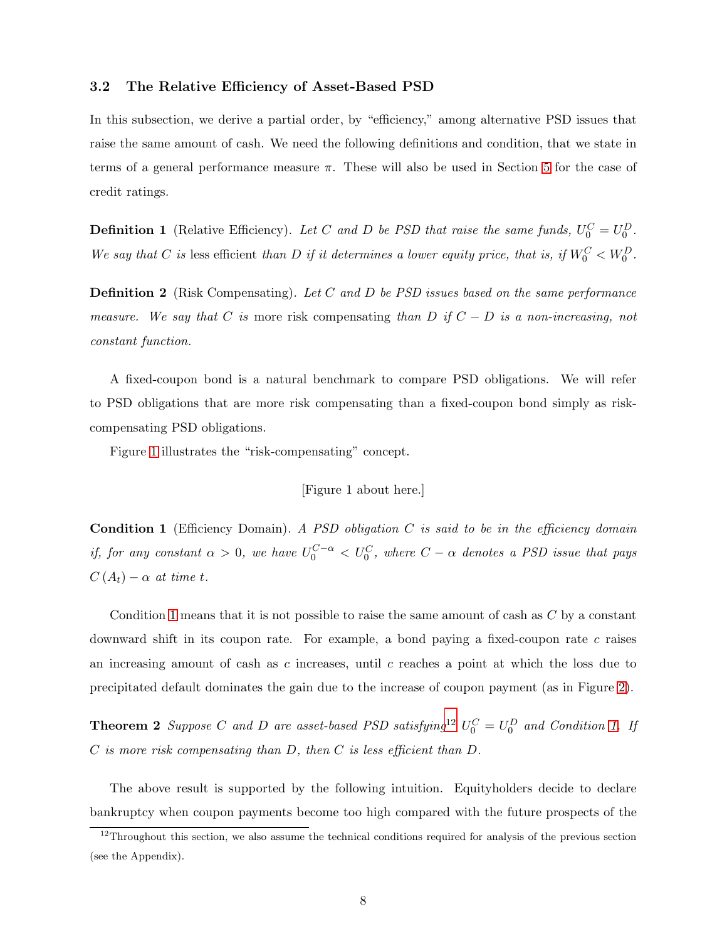#### 3.2 The Relative Efficiency of Asset-Based PSD

In this subsection, we derive a partial order, by "efficiency," among alternative PSD issues that raise the same amount of cash. We need the following definitions and condition, that we state in terms of a general performance measure  $\pi$ . These will also be used in Section [5](#page-10-0) for the case of credit ratings.

**Definition 1** (Relative Efficiency). Let C and D be PSD that raise the same funds,  $U_0^C = U_0^D$ . We say that C is less efficient than D if it determines a lower equity price, that is, if  $W_0^C < W_0^D$ .

**Definition 2** (Risk Compensating). Let C and D be PSD issues based on the same performance measure. We say that C is more risk compensating than D if  $C - D$  is a non-increasing, not constant function.

A fixed-coupon bond is a natural benchmark to compare PSD obligations. We will refer to PSD obligations that are more risk compensating than a fixed-coupon bond simply as riskcompensating PSD obligations.

Figure [1](#page-38-0) illustrates the "risk-compensating" concept.

[Figure 1 about here.]

<span id="page-8-0"></span>**Condition 1** (Efficiency Domain). A PSD obligation  $C$  is said to be in the efficiency domain if, for any constant  $\alpha > 0$ , we have  $U_0^{C-\alpha} < U_0^C$ , where  $C-\alpha$  denotes a PSD issue that pays  $C(A_t) - \alpha$  at time t.

Condition [1](#page-8-0) means that it is not possible to raise the same amount of cash as  $C$  by a constant downward shift in its coupon rate. For example, a bond paying a fixed-coupon rate  $c$  raises an increasing amount of cash as c increases, until c reaches a point at which the loss due to precipitated default dominates the gain due to the increase of coupon payment (as in Figure [2\)](#page-39-0).

<span id="page-8-2"></span>**Theorem 2** Suppose C and D are asset-based PSD satisfying<sup>[12](#page-8-1)</sup>  $U_0^C = U_0^D$  and Condition [1.](#page-8-0) If C is more risk compensating than D, then C is less efficient than D.

The above result is supported by the following intuition. Equityholders decide to declare bankruptcy when coupon payments become too high compared with the future prospects of the

<span id="page-8-1"></span> $12$ Throughout this section, we also assume the technical conditions required for analysis of the previous section (see the Appendix).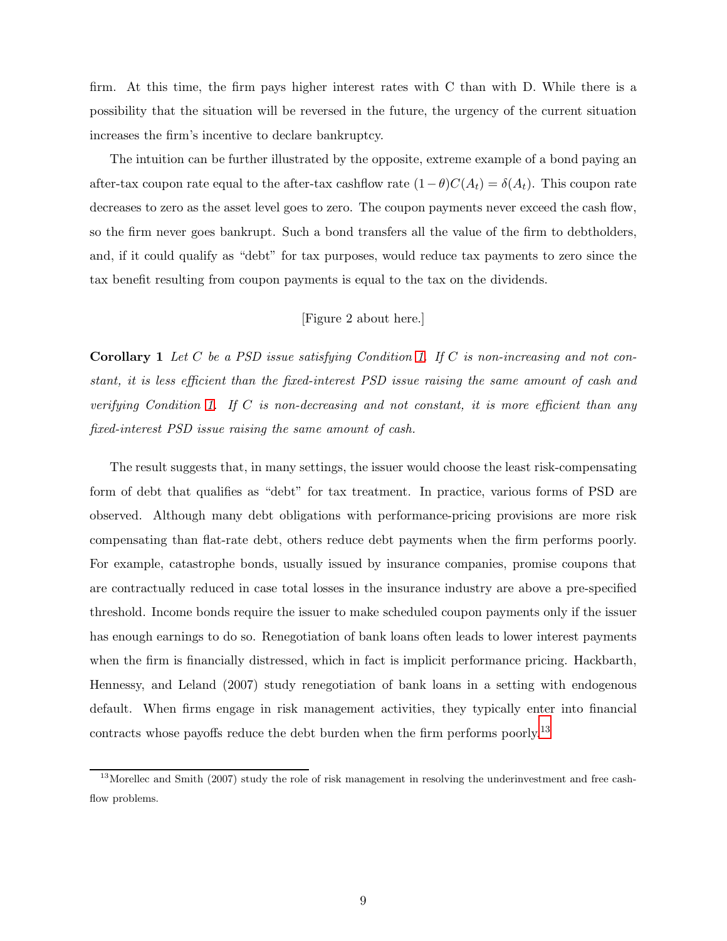firm. At this time, the firm pays higher interest rates with C than with D. While there is a possibility that the situation will be reversed in the future, the urgency of the current situation increases the firm's incentive to declare bankruptcy.

The intuition can be further illustrated by the opposite, extreme example of a bond paying an after-tax coupon rate equal to the after-tax cashflow rate  $(1-\theta)C(A_t) = \delta(A_t)$ . This coupon rate decreases to zero as the asset level goes to zero. The coupon payments never exceed the cash flow, so the firm never goes bankrupt. Such a bond transfers all the value of the firm to debtholders, and, if it could qualify as "debt" for tax purposes, would reduce tax payments to zero since the tax benefit resulting from coupon payments is equal to the tax on the dividends.

## [Figure 2 about here.]

**Corollary 1** Let  $C$  be a PSD issue satisfying Condition [1.](#page-8-0) If  $C$  is non-increasing and not constant, it is less efficient than the fixed-interest PSD issue raising the same amount of cash and verifying Condition [1.](#page-8-0) If  $C$  is non-decreasing and not constant, it is more efficient than any fixed-interest PSD issue raising the same amount of cash.

The result suggests that, in many settings, the issuer would choose the least risk-compensating form of debt that qualifies as "debt" for tax treatment. In practice, various forms of PSD are observed. Although many debt obligations with performance-pricing provisions are more risk compensating than flat-rate debt, others reduce debt payments when the firm performs poorly. For example, catastrophe bonds, usually issued by insurance companies, promise coupons that are contractually reduced in case total losses in the insurance industry are above a pre-specified threshold. Income bonds require the issuer to make scheduled coupon payments only if the issuer has enough earnings to do so. Renegotiation of bank loans often leads to lower interest payments when the firm is financially distressed, which in fact is implicit performance pricing. Hackbarth, Hennessy, and Leland (2007) study renegotiation of bank loans in a setting with endogenous default. When firms engage in risk management activities, they typically enter into financial contracts whose payoffs reduce the debt burden when the firm performs poorly.<sup>[13](#page-9-0)</sup>

<span id="page-9-0"></span><sup>&</sup>lt;sup>13</sup>Morellec and Smith (2007) study the role of risk management in resolving the underinvestment and free cashflow problems.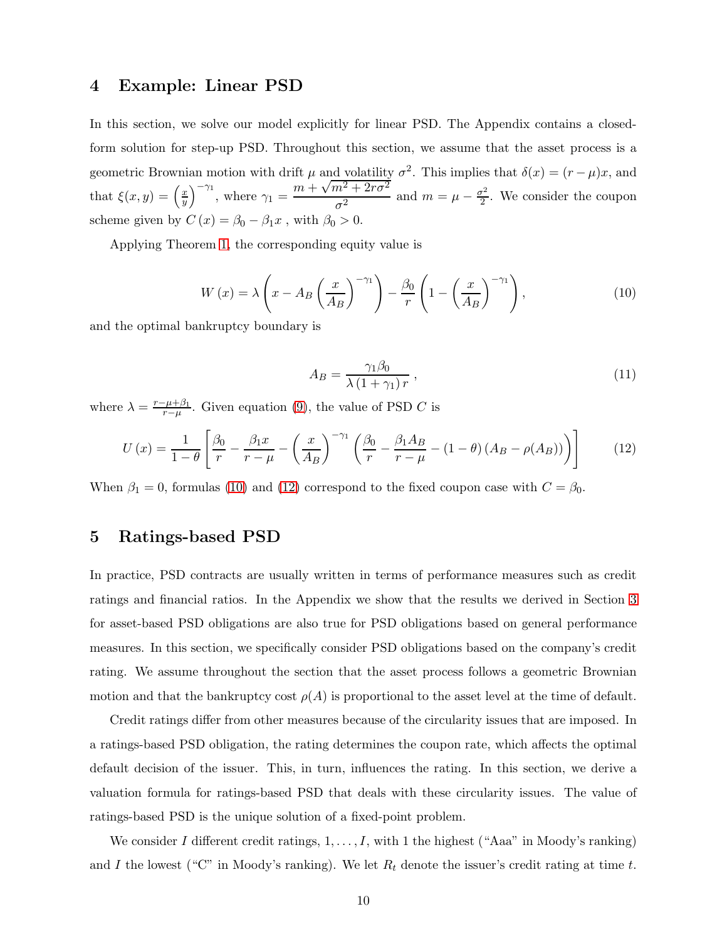## <span id="page-10-3"></span>4 Example: Linear PSD

In this section, we solve our model explicitly for linear PSD. The Appendix contains a closedform solution for step-up PSD. Throughout this section, we assume that the asset process is a geometric Brownian motion with drift  $\mu$  and volatility  $\sigma^2$ . This implies that  $\delta(x) = (r - \mu)x$ , and that  $\xi(x,y) = \left(\frac{x}{y}\right)$  $\overline{y}$  $\int_{0}^{\pi}$ <sup>1</sup>, where  $\gamma_1 = \frac{m + \sqrt{m^2 + 2r\sigma^2}}{m^2}$  $\frac{n^2 + 2r\sigma^2}{\sigma^2}$  and  $m = \mu - \frac{\sigma^2}{2}$  $\frac{r^2}{2}$ . We consider the coupon scheme given by  $C(x) = \beta_0 - \beta_1 x$ , with  $\beta_0 > 0$ .

<span id="page-10-1"></span>Applying Theorem [1,](#page-6-1) the corresponding equity value is

$$
W(x) = \lambda \left( x - A_B \left( \frac{x}{A_B} \right)^{-\gamma_1} \right) - \frac{\beta_0}{r} \left( 1 - \left( \frac{x}{A_B} \right)^{-\gamma_1} \right),\tag{10}
$$

<span id="page-10-4"></span>and the optimal bankruptcy boundary is

<span id="page-10-2"></span>
$$
A_B = \frac{\gamma_1 \beta_0}{\lambda \left(1 + \gamma_1\right) r},\tag{11}
$$

where  $\lambda = \frac{r - \mu + \beta_1}{r - \mu}$  $\frac{\tau^{\mu+\beta_1}}{\tau-\mu}$ . Given equation [\(9\)](#page-7-2), the value of PSD C is

$$
U\left(x\right) = \frac{1}{1-\theta} \left[ \frac{\beta_0}{r} - \frac{\beta_1 x}{r-\mu} - \left(\frac{x}{A_B}\right)^{-\gamma_1} \left(\frac{\beta_0}{r} - \frac{\beta_1 A_B}{r-\mu} - (1-\theta) \left(A_B - \rho(A_B)\right)\right) \right] \tag{12}
$$

<span id="page-10-0"></span>When  $\beta_1 = 0$ , formulas [\(10\)](#page-10-1) and [\(12\)](#page-10-2) correspond to the fixed coupon case with  $C = \beta_0$ .

## 5 Ratings-based PSD

In practice, PSD contracts are usually written in terms of performance measures such as credit ratings and financial ratios. In the Appendix we show that the results we derived in Section [3](#page-5-2) for asset-based PSD obligations are also true for PSD obligations based on general performance measures. In this section, we specifically consider PSD obligations based on the company's credit rating. We assume throughout the section that the asset process follows a geometric Brownian motion and that the bankruptcy cost  $\rho(A)$  is proportional to the asset level at the time of default.

Credit ratings differ from other measures because of the circularity issues that are imposed. In a ratings-based PSD obligation, the rating determines the coupon rate, which affects the optimal default decision of the issuer. This, in turn, influences the rating. In this section, we derive a valuation formula for ratings-based PSD that deals with these circularity issues. The value of ratings-based PSD is the unique solution of a fixed-point problem.

We consider I different credit ratings,  $1, \ldots, I$ , with 1 the highest ("Aaa" in Moody's ranking) and I the lowest ("C" in Moody's ranking). We let  $R_t$  denote the issuer's credit rating at time t.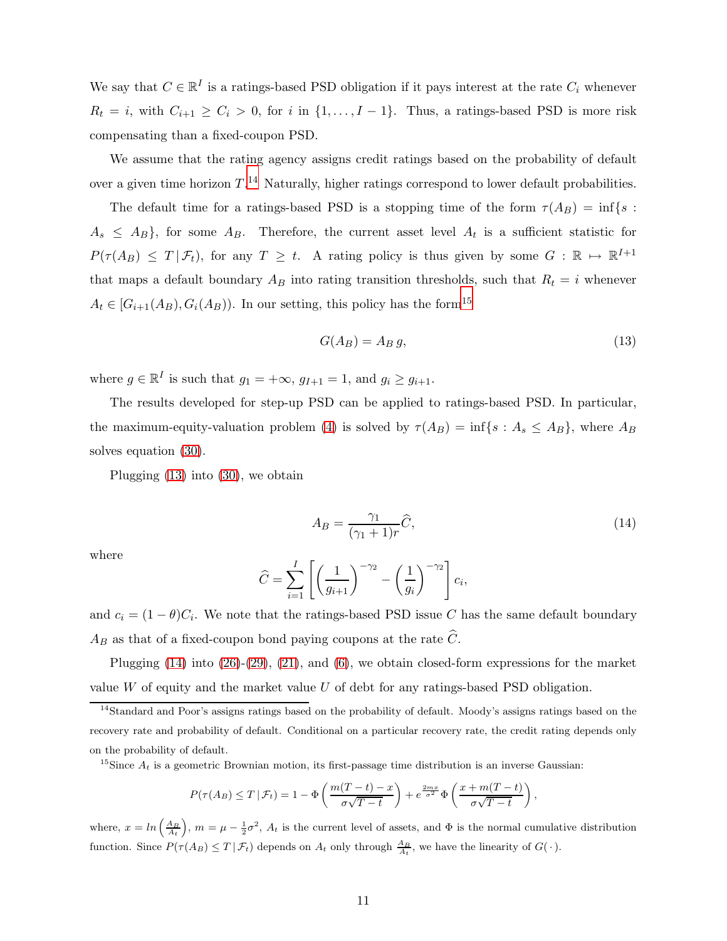We say that  $C \in \mathbb{R}^I$  is a ratings-based PSD obligation if it pays interest at the rate  $C_i$  whenever  $R_t = i$ , with  $C_{i+1} \ge C_i > 0$ , for i in  $\{1, \ldots, I-1\}$ . Thus, a ratings-based PSD is more risk compensating than a fixed-coupon PSD.

We assume that the rating agency assigns credit ratings based on the probability of default over a given time horizon  $T^{14}$  $T^{14}$  $T^{14}$  Naturally, higher ratings correspond to lower default probabilities.

The default time for a ratings-based PSD is a stopping time of the form  $\tau(A_B) = \inf\{s :$  $A_s \leq A_B$ , for some  $A_B$ . Therefore, the current asset level  $A_t$  is a sufficient statistic for  $P(\tau(A_B) \leq T | \mathcal{F}_t)$ , for any  $T \geq t$ . A rating policy is thus given by some  $G : \mathbb{R} \mapsto \mathbb{R}^{I+1}$ that maps a default boundary  $A_B$  into rating transition thresholds, such that  $R_t = i$  whenever  $A_t \in [G_{i+1}(A_B), G_i(A_B))$ . In our setting, this policy has the form<sup>[15](#page-11-1)</sup>

<span id="page-11-2"></span>
$$
G(A_B) = A_B g,\t\t(13)
$$

where  $g \in \mathbb{R}^I$  is such that  $g_1 = +\infty$ ,  $g_{I+1} = 1$ , and  $g_i \ge g_{i+1}$ .

The results developed for step-up PSD can be applied to ratings-based PSD. In particular, the maximum-equity-valuation problem [\(4\)](#page-5-3) is solved by  $\tau(A_B) = \inf\{s : A_s \leq A_B\}$ , where  $A_B$ solves equation [\(30\)](#page-22-0).

<span id="page-11-3"></span>Plugging [\(13\)](#page-11-2) into [\(30\)](#page-22-0), we obtain

$$
A_B = \frac{\gamma_1}{(\gamma_1 + 1)r}\widehat{C},\tag{14}
$$

where

$$
\widehat{C} = \sum_{i=1}^{I} \left[ \left( \frac{1}{g_{i+1}} \right)^{-\gamma_2} - \left( \frac{1}{g_i} \right)^{-\gamma_2} \right] c_i,
$$

and  $c_i = (1 - \theta)C_i$ . We note that the ratings-based PSD issue C has the same default boundary  $A_B$  as that of a fixed-coupon bond paying coupons at the rate  $\widehat{C}.$ 

Plugging  $(14)$  into  $(26)-(29)$  $(26)-(29)$ ,  $(21)$ , and  $(6)$ , we obtain closed-form expressions for the market value  $W$  of equity and the market value  $U$  of debt for any ratings-based PSD obligation.

<span id="page-11-1"></span><sup>15</sup>Since  $A_t$  is a geometric Brownian motion, its first-passage time distribution is an inverse Gaussian:

$$
P(\tau(A_B) \le T | \mathcal{F}_t) = 1 - \Phi\left(\frac{m(T-t) - x}{\sigma\sqrt{T-t}}\right) + e^{\frac{2mx}{\sigma^2}} \Phi\left(\frac{x + m(T-t)}{\sigma\sqrt{T-t}}\right),
$$

where,  $x = \ln\left(\frac{A_B}{A_t}\right)$ ,  $m = \mu - \frac{1}{2}\sigma^2$ ,  $A_t$  is the current level of assets, and  $\Phi$  is the normal cumulative distribution function. Since  $P(\tau(A_B) \leq T | \mathcal{F}_t)$  depends on  $A_t$  only through  $\frac{A_B}{A_t}$ , we have the linearity of  $G(\cdot)$ .

<span id="page-11-0"></span><sup>&</sup>lt;sup>14</sup>Standard and Poor's assigns ratings based on the probability of default. Moody's assigns ratings based on the recovery rate and probability of default. Conditional on a particular recovery rate, the credit rating depends only on the probability of default.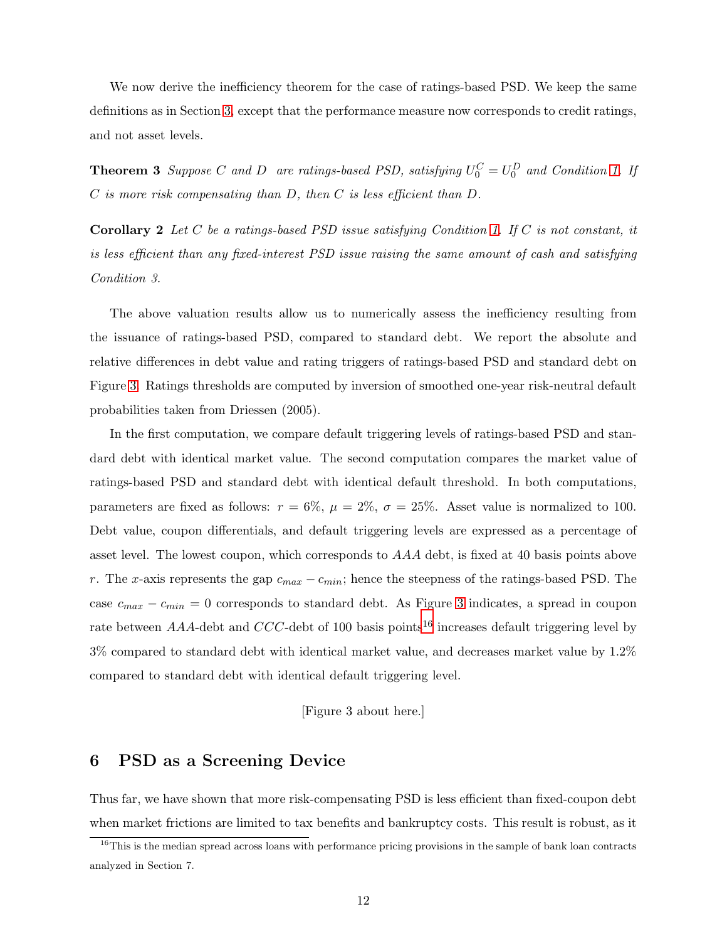<span id="page-12-2"></span>We now derive the inefficiency theorem for the case of ratings-based PSD. We keep the same definitions as in Section [3,](#page-5-2) except that the performance measure now corresponds to credit ratings, and not asset levels.

**Theorem 3** Suppose C and D are ratings-based PSD, satisfying  $U_0^C = U_0^D$  and Condition [1.](#page-8-0) If  $C$  is more risk compensating than  $D$ , then  $C$  is less efficient than  $D$ .

**Corollary 2** Let C be a ratings-based PSD issue satisfying Condition [1.](#page-8-0) If C is not constant, it is less efficient than any fixed-interest PSD issue raising the same amount of cash and satisfying Condition 3.

The above valuation results allow us to numerically assess the inefficiency resulting from the issuance of ratings-based PSD, compared to standard debt. We report the absolute and relative differences in debt value and rating triggers of ratings-based PSD and standard debt on Figure [3.](#page-40-0) Ratings thresholds are computed by inversion of smoothed one-year risk-neutral default probabilities taken from Driessen (2005).

In the first computation, we compare default triggering levels of ratings-based PSD and standard debt with identical market value. The second computation compares the market value of ratings-based PSD and standard debt with identical default threshold. In both computations, parameters are fixed as follows:  $r = 6\%, \mu = 2\%, \sigma = 25\%$ . Asset value is normalized to 100. Debt value, coupon differentials, and default triggering levels are expressed as a percentage of asset level. The lowest coupon, which corresponds to AAA debt, is fixed at 40 basis points above r. The x-axis represents the gap  $c_{max} - c_{min}$ ; hence the steepness of the ratings-based PSD. The case  $c_{max} - c_{min} = 0$  corresponds to standard debt. As Figure [3](#page-40-0) indicates, a spread in coupon rate between AAA-debt and CCC-debt of 100 basis points<sup>[16](#page-12-0)</sup> increases default triggering level by 3% compared to standard debt with identical market value, and decreases market value by 1.2% compared to standard debt with identical default triggering level.

#### [Figure 3 about here.]

## <span id="page-12-1"></span>6 PSD as a Screening Device

Thus far, we have shown that more risk-compensating PSD is less efficient than fixed-coupon debt when market frictions are limited to tax benefits and bankruptcy costs. This result is robust, as it

<span id="page-12-0"></span><sup>&</sup>lt;sup>16</sup>This is the median spread across loans with performance pricing provisions in the sample of bank loan contracts analyzed in Section 7.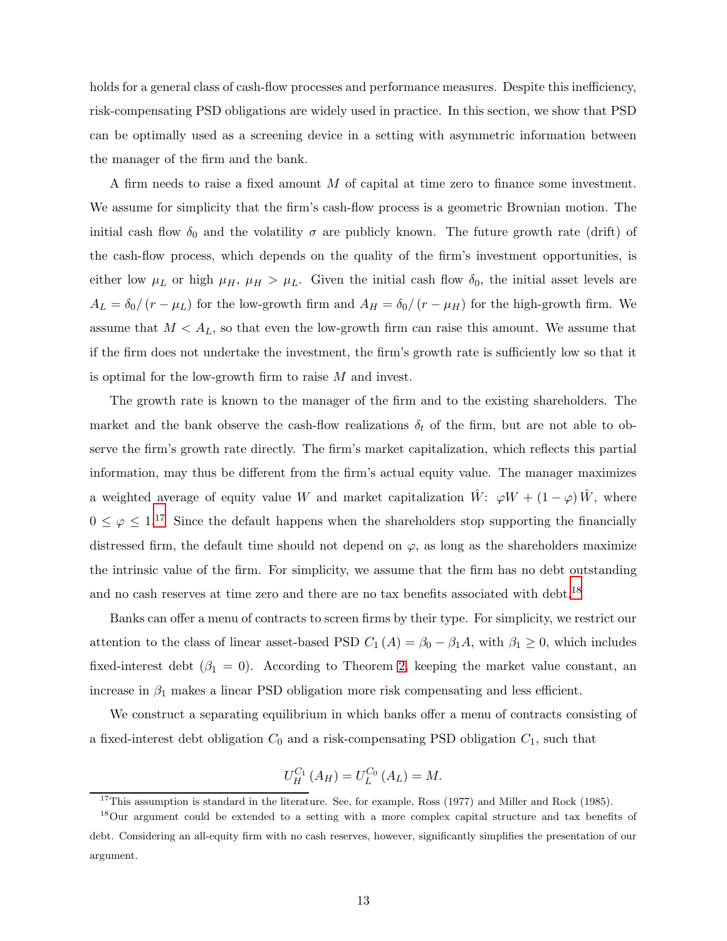holds for a general class of cash-flow processes and performance measures. Despite this inefficiency, risk-compensating PSD obligations are widely used in practice. In this section, we show that PSD can be optimally used as a screening device in a setting with asymmetric information between the manager of the firm and the bank.

A firm needs to raise a fixed amount M of capital at time zero to finance some investment. We assume for simplicity that the firm's cash-flow process is a geometric Brownian motion. The initial cash flow  $\delta_0$  and the volatility  $\sigma$  are publicly known. The future growth rate (drift) of the cash-flow process, which depends on the quality of the firm's investment opportunities, is either low  $\mu_L$  or high  $\mu_H$ ,  $\mu_H > \mu_L$ . Given the initial cash flow  $\delta_0$ , the initial asset levels are  $A_L = \delta_0/(r - \mu_L)$  for the low-growth firm and  $A_H = \delta_0/(r - \mu_H)$  for the high-growth firm. We assume that  $M < A_L$ , so that even the low-growth firm can raise this amount. We assume that if the firm does not undertake the investment, the firm's growth rate is sufficiently low so that it is optimal for the low-growth firm to raise M and invest.

The growth rate is known to the manager of the firm and to the existing shareholders. The market and the bank observe the cash-flow realizations  $\delta_t$  of the firm, but are not able to observe the firm's growth rate directly. The firm's market capitalization, which reflects this partial information, may thus be different from the firm's actual equity value. The manager maximizes a weighted average of equity value W and market capitalization  $\hat{W}$ :  $\varphi W + (1 - \varphi) \hat{W}$ , where  $0 \leq \varphi \leq 1$ .<sup>[17](#page-13-0)</sup> Since the default happens when the shareholders stop supporting the financially distressed firm, the default time should not depend on  $\varphi$ , as long as the shareholders maximize the intrinsic value of the firm. For simplicity, we assume that the firm has no debt outstanding and no cash reserves at time zero and there are no tax benefits associated with debt.<sup>[18](#page-13-1)</sup>

Banks can offer a menu of contracts to screen firms by their type. For simplicity, we restrict our attention to the class of linear asset-based PSD  $C_1(A) = \beta_0 - \beta_1 A$ , with  $\beta_1 \geq 0$ , which includes fixed-interest debt ( $\beta_1 = 0$ ). According to Theorem [2,](#page-8-2) keeping the market value constant, an increase in  $\beta_1$  makes a linear PSD obligation more risk compensating and less efficient.

We construct a separating equilibrium in which banks offer a menu of contracts consisting of a fixed-interest debt obligation  $C_0$  and a risk-compensating PSD obligation  $C_1$ , such that

$$
U_{H}^{C_{1}}(A_{H}) = U_{L}^{C_{0}}(A_{L}) = M.
$$

<span id="page-13-0"></span> $17$ This assumption is standard in the literature. See, for example, Ross (1977) and Miller and Rock (1985).

<span id="page-13-1"></span><sup>18</sup>Our argument could be extended to a setting with a more complex capital structure and tax benefits of debt. Considering an all-equity firm with no cash reserves, however, significantly simplifies the presentation of our argument.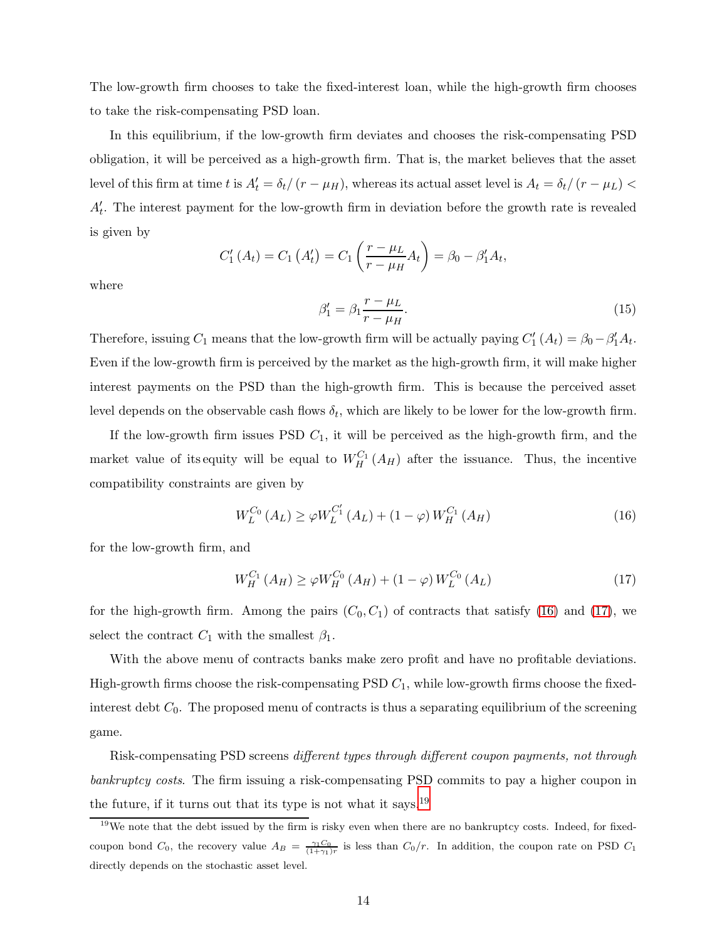The low-growth firm chooses to take the fixed-interest loan, while the high-growth firm chooses to take the risk-compensating PSD loan.

In this equilibrium, if the low-growth firm deviates and chooses the risk-compensating PSD obligation, it will be perceived as a high-growth firm. That is, the market believes that the asset level of this firm at time t is  $A_t' = \delta_t/(r - \mu_H)$ , whereas its actual asset level is  $A_t = \delta_t/(r - \mu_L)$  $A_t'$ . The interest payment for the low-growth firm in deviation before the growth rate is revealed is given by

$$
C'_{1}(A_{t}) = C_{1}(A'_{t}) = C_{1}\left(\frac{r-\mu_{L}}{r-\mu_{H}}A_{t}\right) = \beta_{0} - \beta'_{1}A_{t},
$$

where

$$
\beta_1' = \beta_1 \frac{r - \mu_L}{r - \mu_H}.\tag{15}
$$

Therefore, issuing  $C_1$  means that the low-growth firm will be actually paying  $C'_1(A_t) = \beta_0 - \beta'_1 A_t$ . Even if the low-growth firm is perceived by the market as the high-growth firm, it will make higher interest payments on the PSD than the high-growth firm. This is because the perceived asset level depends on the observable cash flows  $\delta_t$ , which are likely to be lower for the low-growth firm.

If the low-growth firm issues PSD  $C_1$ , it will be perceived as the high-growth firm, and the market value of its equity will be equal to  $W_H^{C_1}(A_H)$  after the issuance. Thus, the incentive compatibility constraints are given by

<span id="page-14-1"></span><span id="page-14-0"></span>
$$
W_L^{C_0}(A_L) \ge \varphi W_L^{C_1'}(A_L) + (1 - \varphi) W_H^{C_1}(A_H)
$$
\n(16)

for the low-growth firm, and

$$
W_{H}^{C_1}(A_H) \ge \varphi W_{H}^{C_0}(A_H) + (1 - \varphi) W_{L}^{C_0}(A_L)
$$
\n(17)

for the high-growth firm. Among the pairs  $(C_0, C_1)$  of contracts that satisfy [\(16\)](#page-14-0) and [\(17\)](#page-14-1), we select the contract  $C_1$  with the smallest  $\beta_1$ .

With the above menu of contracts banks make zero profit and have no profitable deviations. High-growth firms choose the risk-compensating PSD  $C_1$ , while low-growth firms choose the fixedinterest debt  $C_0$ . The proposed menu of contracts is thus a separating equilibrium of the screening game.

Risk-compensating PSD screens different types through different coupon payments, not through bankruptcy costs. The firm issuing a risk-compensating PSD commits to pay a higher coupon in the future, if it turns out that its type is not what it says.[19](#page-14-2)

<span id="page-14-3"></span><span id="page-14-2"></span> $19$ We note that the debt issued by the firm is risky even when there are no bankruptcy costs. Indeed, for fixedcoupon bond  $C_0$ , the recovery value  $A_B = \frac{\gamma_1 C_0}{(1+\gamma_1)r}$  is less than  $C_0/r$ . In addition, the coupon rate on PSD  $C_1$ directly depends on the stochastic asset level.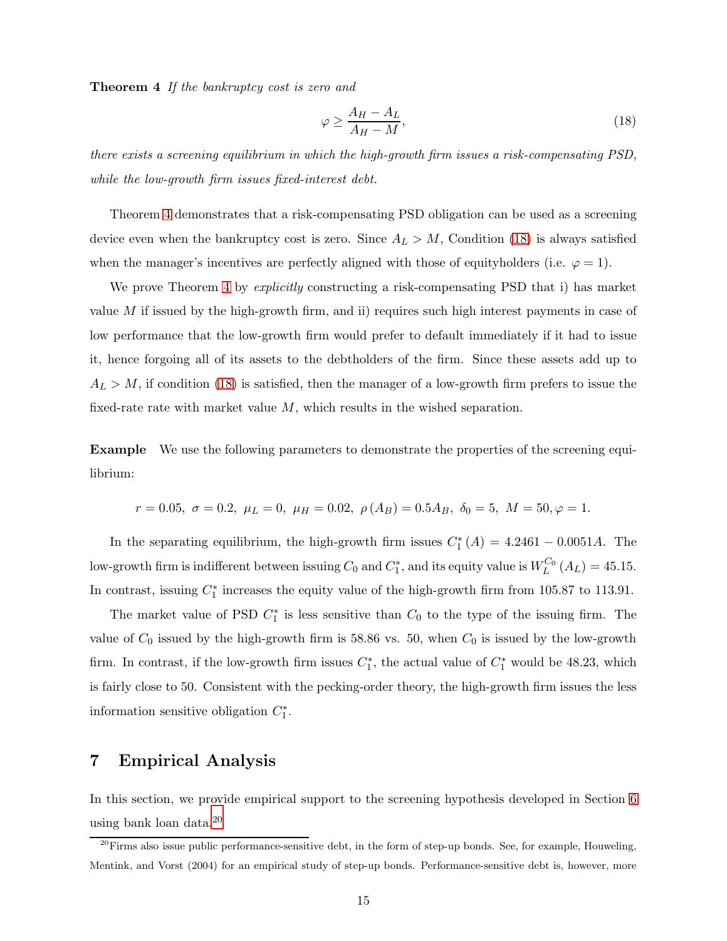Theorem 4 If the bankruptcy cost is zero and

<span id="page-15-0"></span>
$$
\varphi \ge \frac{A_H - A_L}{A_H - M},\tag{18}
$$

there exists a screening equilibrium in which the high-growth firm issues a risk-compensating PSD, while the low-growth firm issues fixed-interest debt.

Theorem [4](#page-14-3) demonstrates that a risk-compensating PSD obligation can be used as a screening device even when the bankruptcy cost is zero. Since  $A_L > M$ , Condition [\(18\)](#page-15-0) is always satisfied when the manager's incentives are perfectly aligned with those of equityholders (i.e.  $\varphi = 1$ ).

We prove Theorem [4](#page-14-3) by *explicitly* constructing a risk-compensating PSD that i) has market value  $M$  if issued by the high-growth firm, and ii) requires such high interest payments in case of low performance that the low-growth firm would prefer to default immediately if it had to issue it, hence forgoing all of its assets to the debtholders of the firm. Since these assets add up to  $A_L > M$ , if condition [\(18\)](#page-15-0) is satisfied, then the manager of a low-growth firm prefers to issue the fixed-rate rate with market value  $M$ , which results in the wished separation.

Example We use the following parameters to demonstrate the properties of the screening equilibrium:

$$
r = 0.05, \ \sigma = 0.2, \ \mu_L = 0, \ \mu_H = 0.02, \ \rho(A_B) = 0.5A_B, \ \delta_0 = 5, \ M = 50, \varphi = 1.
$$

In the separating equilibrium, the high-growth firm issues  $C_1^*(A) = 4.2461 - 0.0051A$ . The low-growth firm is indifferent between issuing  $C_0$  and  $C_1^*$ , and its equity value is  $W_L^{C_0}(A_L) = 45.15$ . In contrast, issuing  $C_1^*$  increases the equity value of the high-growth firm from 105.87 to 113.91.

The market value of PSD  $C_1^*$  is less sensitive than  $C_0$  to the type of the issuing firm. The value of  $C_0$  issued by the high-growth firm is 58.86 vs. 50, when  $C_0$  is issued by the low-growth firm. In contrast, if the low-growth firm issues  $C_1^*$ , the actual value of  $C_1^*$  would be 48.23, which is fairly close to 50. Consistent with the pecking-order theory, the high-growth firm issues the less information sensitive obligation  $C_1^*$ .

## 7 Empirical Analysis

In this section, we provide empirical support to the screening hypothesis developed in Section [6](#page-12-1) using bank loan data.[20](#page-15-1)

<span id="page-15-1"></span> $^{20}$ Firms also issue public performance-sensitive debt, in the form of step-up bonds. See, for example, Houweling, Mentink, and Vorst (2004) for an empirical study of step-up bonds. Performance-sensitive debt is, however, more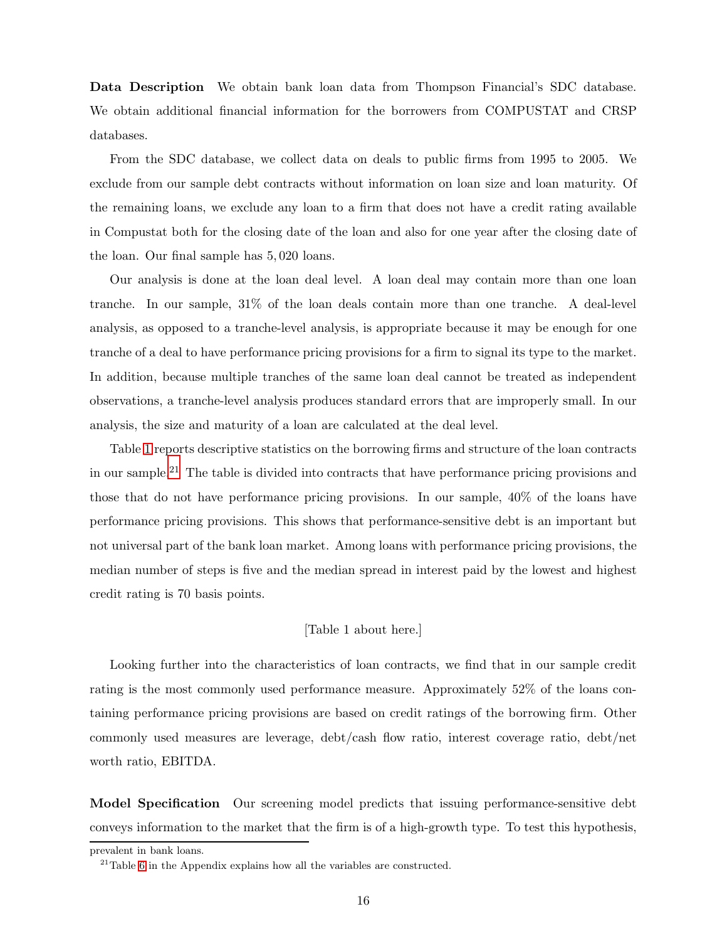Data Description We obtain bank loan data from Thompson Financial's SDC database. We obtain additional financial information for the borrowers from COMPUSTAT and CRSP databases.

From the SDC database, we collect data on deals to public firms from 1995 to 2005. We exclude from our sample debt contracts without information on loan size and loan maturity. Of the remaining loans, we exclude any loan to a firm that does not have a credit rating available in Compustat both for the closing date of the loan and also for one year after the closing date of the loan. Our final sample has 5, 020 loans.

Our analysis is done at the loan deal level. A loan deal may contain more than one loan tranche. In our sample, 31% of the loan deals contain more than one tranche. A deal-level analysis, as opposed to a tranche-level analysis, is appropriate because it may be enough for one tranche of a deal to have performance pricing provisions for a firm to signal its type to the market. In addition, because multiple tranches of the same loan deal cannot be treated as independent observations, a tranche-level analysis produces standard errors that are improperly small. In our analysis, the size and maturity of a loan are calculated at the deal level.

Table [1](#page-42-0) reports descriptive statistics on the borrowing firms and structure of the loan contracts in our sample.[21](#page-16-0) The table is divided into contracts that have performance pricing provisions and those that do not have performance pricing provisions. In our sample, 40% of the loans have performance pricing provisions. This shows that performance-sensitive debt is an important but not universal part of the bank loan market. Among loans with performance pricing provisions, the median number of steps is five and the median spread in interest paid by the lowest and highest credit rating is 70 basis points.

## [Table 1 about here.]

Looking further into the characteristics of loan contracts, we find that in our sample credit rating is the most commonly used performance measure. Approximately 52% of the loans containing performance pricing provisions are based on credit ratings of the borrowing firm. Other commonly used measures are leverage, debt/cash flow ratio, interest coverage ratio, debt/net worth ratio, EBITDA.

Model Specification Our screening model predicts that issuing performance-sensitive debt conveys information to the market that the firm is of a high-growth type. To test this hypothesis,

prevalent in bank loans.

<span id="page-16-0"></span> $21$ Table [6](#page-47-0) in the Appendix explains how all the variables are constructed.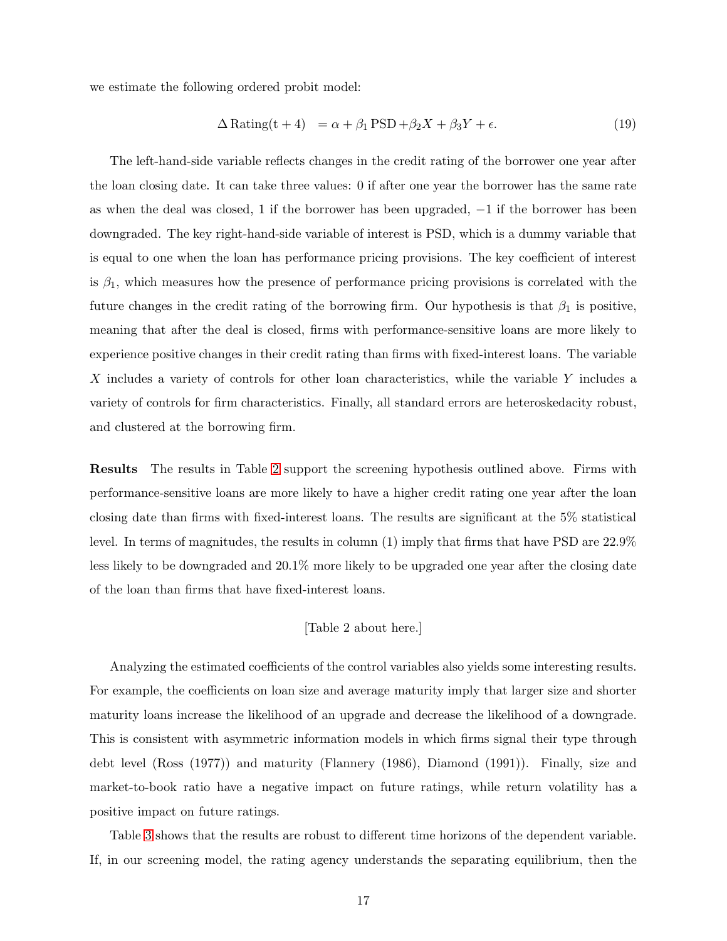we estimate the following ordered probit model:

$$
\Delta \text{Rating}(t+4) = \alpha + \beta_1 \text{PSD} + \beta_2 X + \beta_3 Y + \epsilon. \tag{19}
$$

The left-hand-side variable reflects changes in the credit rating of the borrower one year after the loan closing date. It can take three values: 0 if after one year the borrower has the same rate as when the deal was closed, 1 if the borrower has been upgraded, −1 if the borrower has been downgraded. The key right-hand-side variable of interest is PSD, which is a dummy variable that is equal to one when the loan has performance pricing provisions. The key coefficient of interest is  $\beta_1$ , which measures how the presence of performance pricing provisions is correlated with the future changes in the credit rating of the borrowing firm. Our hypothesis is that  $\beta_1$  is positive, meaning that after the deal is closed, firms with performance-sensitive loans are more likely to experience positive changes in their credit rating than firms with fixed-interest loans. The variable  $X$  includes a variety of controls for other loan characteristics, while the variable  $Y$  includes a variety of controls for firm characteristics. Finally, all standard errors are heteroskedacity robust, and clustered at the borrowing firm.

Results The results in Table [2](#page-43-0) support the screening hypothesis outlined above. Firms with performance-sensitive loans are more likely to have a higher credit rating one year after the loan closing date than firms with fixed-interest loans. The results are significant at the 5% statistical level. In terms of magnitudes, the results in column (1) imply that firms that have PSD are 22.9% less likely to be downgraded and 20.1% more likely to be upgraded one year after the closing date of the loan than firms that have fixed-interest loans.

#### [Table 2 about here.]

Analyzing the estimated coefficients of the control variables also yields some interesting results. For example, the coefficients on loan size and average maturity imply that larger size and shorter maturity loans increase the likelihood of an upgrade and decrease the likelihood of a downgrade. This is consistent with asymmetric information models in which firms signal their type through debt level (Ross (1977)) and maturity (Flannery (1986), Diamond (1991)). Finally, size and market-to-book ratio have a negative impact on future ratings, while return volatility has a positive impact on future ratings.

Table [3](#page-44-0) shows that the results are robust to different time horizons of the dependent variable. If, in our screening model, the rating agency understands the separating equilibrium, then the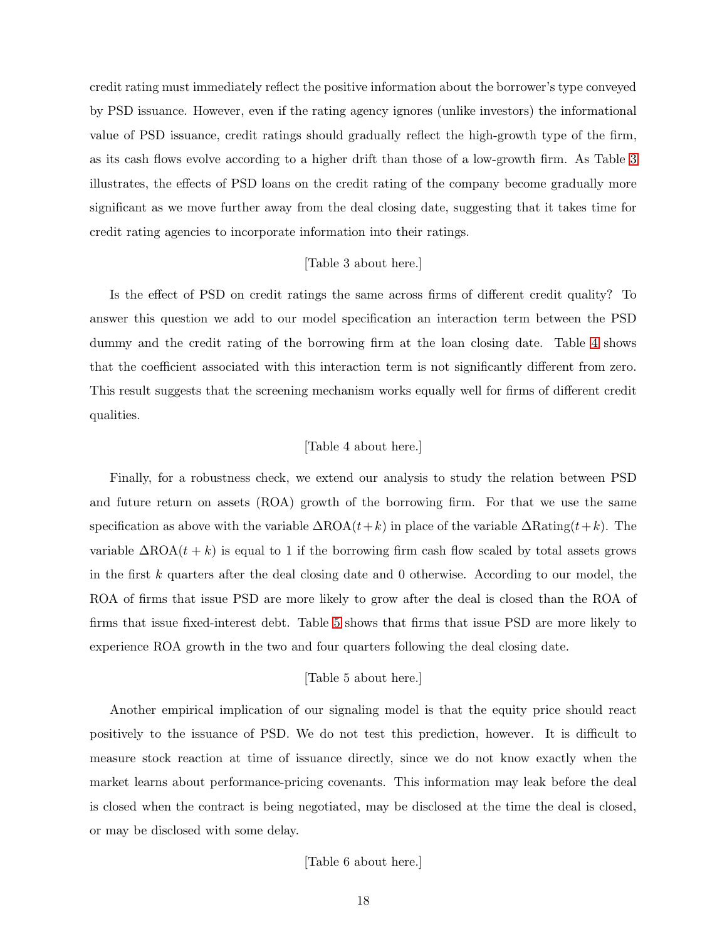credit rating must immediately reflect the positive information about the borrower's type conveyed by PSD issuance. However, even if the rating agency ignores (unlike investors) the informational value of PSD issuance, credit ratings should gradually reflect the high-growth type of the firm, as its cash flows evolve according to a higher drift than those of a low-growth firm. As Table [3](#page-44-0) illustrates, the effects of PSD loans on the credit rating of the company become gradually more significant as we move further away from the deal closing date, suggesting that it takes time for credit rating agencies to incorporate information into their ratings.

#### [Table 3 about here.]

Is the effect of PSD on credit ratings the same across firms of different credit quality? To answer this question we add to our model specification an interaction term between the PSD dummy and the credit rating of the borrowing firm at the loan closing date. Table [4](#page-45-0) shows that the coefficient associated with this interaction term is not significantly different from zero. This result suggests that the screening mechanism works equally well for firms of different credit qualities.

#### [Table 4 about here.]

Finally, for a robustness check, we extend our analysis to study the relation between PSD and future return on assets (ROA) growth of the borrowing firm. For that we use the same specification as above with the variable  $\Delta \text{ROA}(t+k)$  in place of the variable  $\Delta \text{Rating}(t+k)$ . The variable  $\Delta \text{ROA}(t + k)$  is equal to 1 if the borrowing firm cash flow scaled by total assets grows in the first  $k$  quarters after the deal closing date and 0 otherwise. According to our model, the ROA of firms that issue PSD are more likely to grow after the deal is closed than the ROA of firms that issue fixed-interest debt. Table [5](#page-46-0) shows that firms that issue PSD are more likely to experience ROA growth in the two and four quarters following the deal closing date.

#### [Table 5 about here.]

Another empirical implication of our signaling model is that the equity price should react positively to the issuance of PSD. We do not test this prediction, however. It is difficult to measure stock reaction at time of issuance directly, since we do not know exactly when the market learns about performance-pricing covenants. This information may leak before the deal is closed when the contract is being negotiated, may be disclosed at the time the deal is closed, or may be disclosed with some delay.

[Table 6 about here.]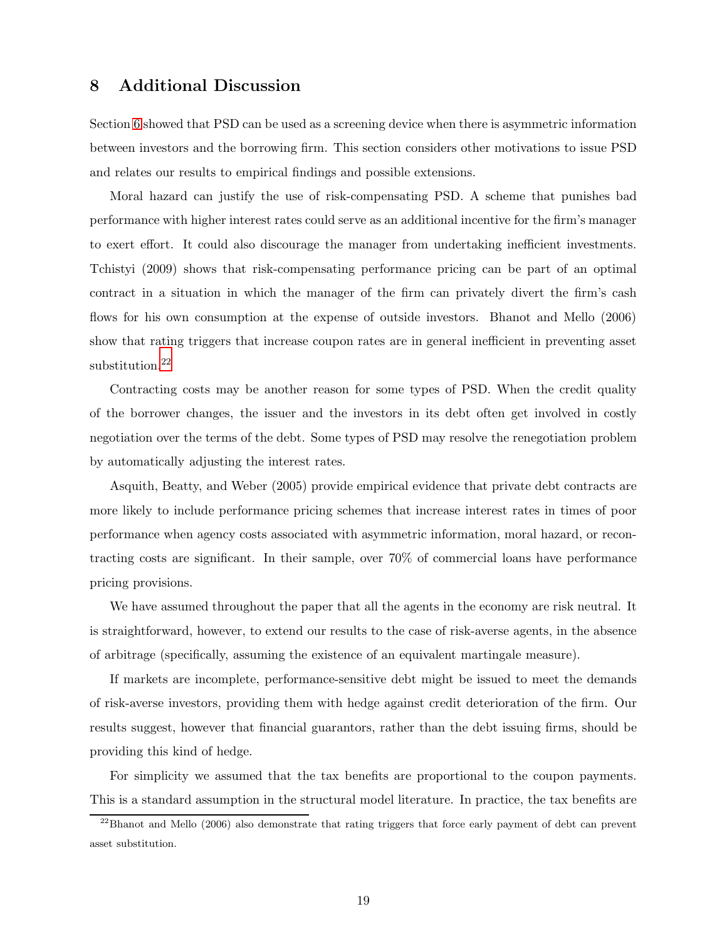## 8 Additional Discussion

Section [6](#page-12-1) showed that PSD can be used as a screening device when there is asymmetric information between investors and the borrowing firm. This section considers other motivations to issue PSD and relates our results to empirical findings and possible extensions.

Moral hazard can justify the use of risk-compensating PSD. A scheme that punishes bad performance with higher interest rates could serve as an additional incentive for the firm's manager to exert effort. It could also discourage the manager from undertaking inefficient investments. Tchistyi (2009) shows that risk-compensating performance pricing can be part of an optimal contract in a situation in which the manager of the firm can privately divert the firm's cash flows for his own consumption at the expense of outside investors. Bhanot and Mello (2006) show that rating triggers that increase coupon rates are in general inefficient in preventing asset substitution.<sup>[22](#page-19-0)</sup>

Contracting costs may be another reason for some types of PSD. When the credit quality of the borrower changes, the issuer and the investors in its debt often get involved in costly negotiation over the terms of the debt. Some types of PSD may resolve the renegotiation problem by automatically adjusting the interest rates.

Asquith, Beatty, and Weber (2005) provide empirical evidence that private debt contracts are more likely to include performance pricing schemes that increase interest rates in times of poor performance when agency costs associated with asymmetric information, moral hazard, or recontracting costs are significant. In their sample, over 70% of commercial loans have performance pricing provisions.

We have assumed throughout the paper that all the agents in the economy are risk neutral. It is straightforward, however, to extend our results to the case of risk-averse agents, in the absence of arbitrage (specifically, assuming the existence of an equivalent martingale measure).

If markets are incomplete, performance-sensitive debt might be issued to meet the demands of risk-averse investors, providing them with hedge against credit deterioration of the firm. Our results suggest, however that financial guarantors, rather than the debt issuing firms, should be providing this kind of hedge.

For simplicity we assumed that the tax benefits are proportional to the coupon payments. This is a standard assumption in the structural model literature. In practice, the tax benefits are

<span id="page-19-0"></span> $^{22}$ Bhanot and Mello (2006) also demonstrate that rating triggers that force early payment of debt can prevent asset substitution.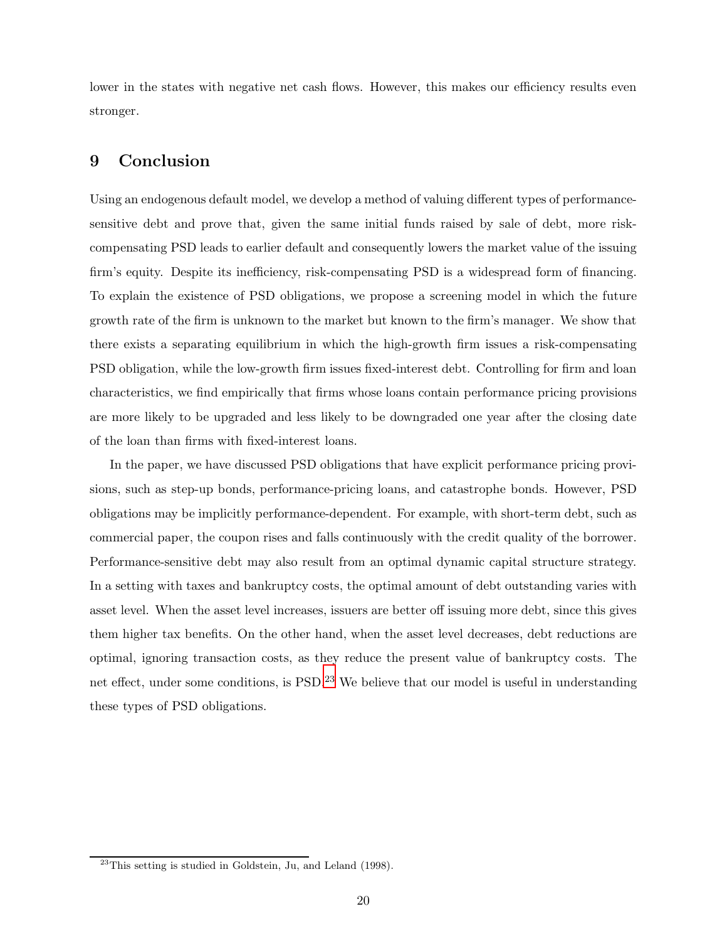lower in the states with negative net cash flows. However, this makes our efficiency results even stronger.

## 9 Conclusion

Using an endogenous default model, we develop a method of valuing different types of performancesensitive debt and prove that, given the same initial funds raised by sale of debt, more riskcompensating PSD leads to earlier default and consequently lowers the market value of the issuing firm's equity. Despite its inefficiency, risk-compensating PSD is a widespread form of financing. To explain the existence of PSD obligations, we propose a screening model in which the future growth rate of the firm is unknown to the market but known to the firm's manager. We show that there exists a separating equilibrium in which the high-growth firm issues a risk-compensating PSD obligation, while the low-growth firm issues fixed-interest debt. Controlling for firm and loan characteristics, we find empirically that firms whose loans contain performance pricing provisions are more likely to be upgraded and less likely to be downgraded one year after the closing date of the loan than firms with fixed-interest loans.

In the paper, we have discussed PSD obligations that have explicit performance pricing provisions, such as step-up bonds, performance-pricing loans, and catastrophe bonds. However, PSD obligations may be implicitly performance-dependent. For example, with short-term debt, such as commercial paper, the coupon rises and falls continuously with the credit quality of the borrower. Performance-sensitive debt may also result from an optimal dynamic capital structure strategy. In a setting with taxes and bankruptcy costs, the optimal amount of debt outstanding varies with asset level. When the asset level increases, issuers are better off issuing more debt, since this gives them higher tax benefits. On the other hand, when the asset level decreases, debt reductions are optimal, ignoring transaction costs, as they reduce the present value of bankruptcy costs. The net effect, under some conditions, is PSD.<sup>[23](#page-20-0)</sup> We believe that our model is useful in understanding these types of PSD obligations.

<span id="page-20-0"></span> $23$ This setting is studied in Goldstein, Ju, and Leland (1998).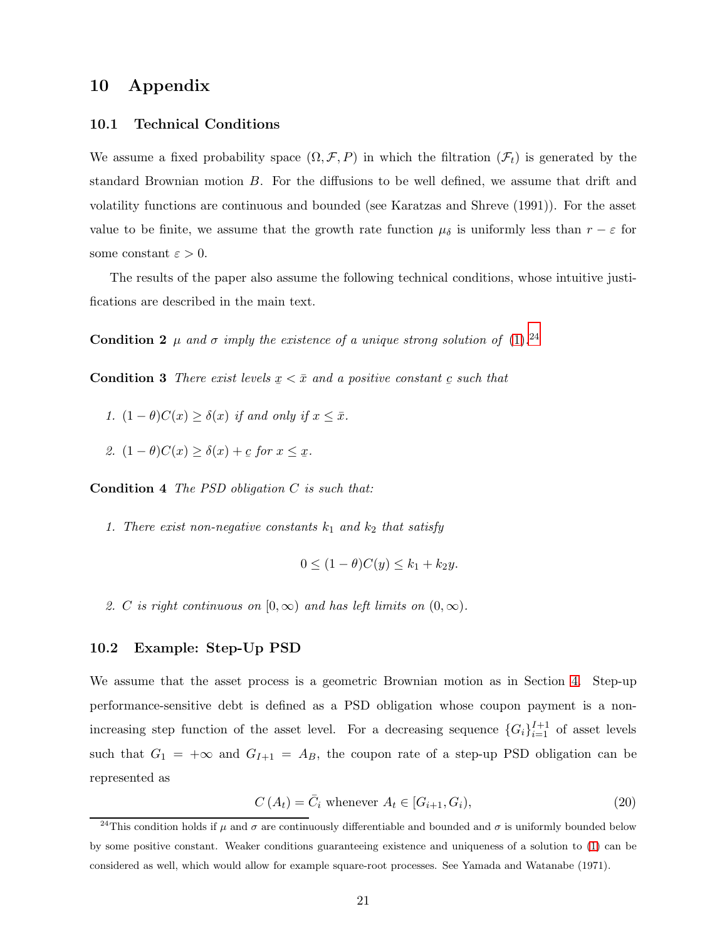## 10 Appendix

## 10.1 Technical Conditions

We assume a fixed probability space  $(\Omega, \mathcal{F}, P)$  in which the filtration  $(\mathcal{F}_t)$  is generated by the standard Brownian motion B. For the diffusions to be well defined, we assume that drift and volatility functions are continuous and bounded (see Karatzas and Shreve (1991)). For the asset value to be finite, we assume that the growth rate function  $\mu_{\delta}$  is uniformly less than  $r - \varepsilon$  for some constant  $\varepsilon > 0$ .

<span id="page-21-3"></span>The results of the paper also assume the following technical conditions, whose intuitive justifications are described in the main text.

<span id="page-21-0"></span>**Condition 2**  $\mu$  and  $\sigma$  imply the existence of a unique strong solution of [\(1\)](#page-4-0).<sup>[24](#page-21-1)</sup>

**Condition 3** There exist levels  $x < \bar{x}$  and a positive constant c such that

- 1.  $(1 \theta)C(x) \ge \delta(x)$  if and only if  $x \le \overline{x}$ .
- <span id="page-21-2"></span>2.  $(1 - \theta)C(x) \ge \delta(x) + c$  for  $x \le x$ .

Condition 4 The PSD obligation C is such that:

1. There exist non-negative constants  $k_1$  and  $k_2$  that satisfy

$$
0 \le (1 - \theta)C(y) \le k_1 + k_2y.
$$

2. C is right continuous on  $[0, \infty)$  and has left limits on  $(0, \infty)$ .

## 10.2 Example: Step-Up PSD

We assume that the asset process is a geometric Brownian motion as in Section [4.](#page-10-3) Step-up performance-sensitive debt is defined as a PSD obligation whose coupon payment is a nonincreasing step function of the asset level. For a decreasing sequence  $\{G_i\}_{i=1}^{I+1}$  of asset levels such that  $G_1 = +\infty$  and  $G_{I+1} = A_B$ , the coupon rate of a step-up PSD obligation can be represented as

$$
C(A_t) = \bar{C}_i \text{ whenever } A_t \in [G_{i+1}, G_i), \tag{20}
$$

<span id="page-21-1"></span><sup>&</sup>lt;sup>24</sup>This condition holds if  $\mu$  and  $\sigma$  are continuously differentiable and bounded and  $\sigma$  is uniformly bounded below by some positive constant. Weaker conditions guaranteeing existence and uniqueness of a solution to [\(1\)](#page-4-0) can be considered as well, which would allow for example square-root processes. See Yamada and Watanabe (1971).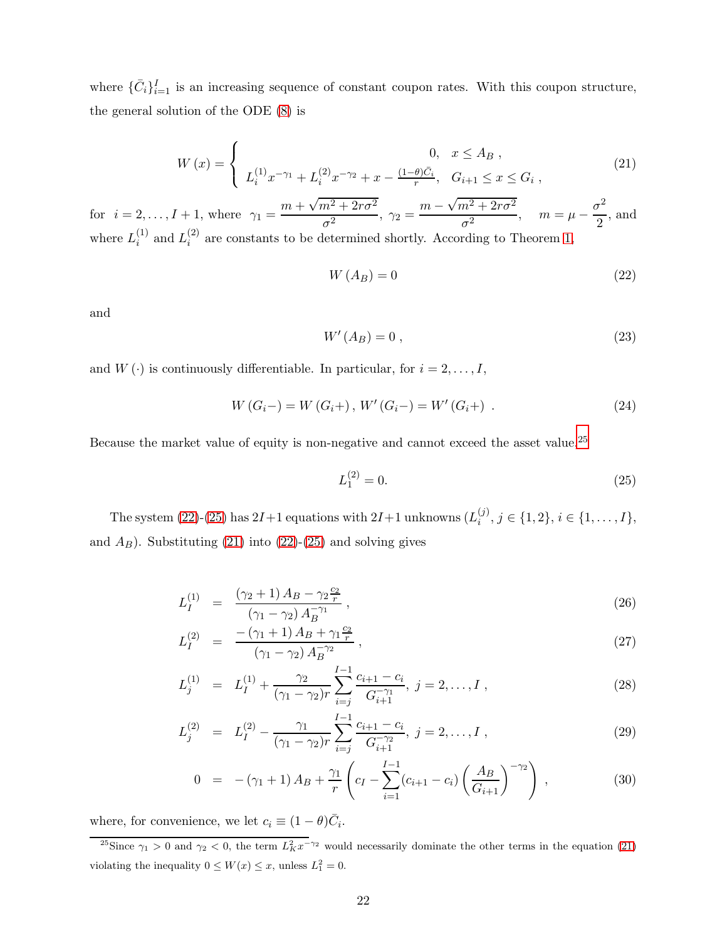<span id="page-22-1"></span>where  $\{\bar{C}_i\}_{i=1}^I$  is an increasing sequence of constant coupon rates. With this coupon structure, the general solution of the ODE [\(8\)](#page-6-2) is

$$
W(x) = \begin{cases} 0, & x \le A_B ,\\ L_i^{(1)} x^{-\gamma_1} + L_i^{(2)} x^{-\gamma_2} + x - \frac{(1-\theta)\bar{C}_i}{r}, & G_{i+1} \le x \le G_i , \end{cases}
$$
(21)

for  $i = 2,..., I + 1$ , where  $\gamma_1 = \frac{m + \sqrt{m^2 + 2r\sigma^2}}{2}$  $\frac{\overline{n^2+2r\sigma^2}}{\sigma^2}, \ \gamma_2 = \frac{m-\sqrt{m^2+2r\sigma^2}}{\sigma^2}$  $\frac{n^2 + 2r\sigma^2}{\sigma^2}$ ,  $m = \mu - \frac{\sigma^2}{2}$  $\frac{1}{2}$ , and where  $L_i^{(1)}$  $i^{(1)}$  and  $L_i^{(2)}$  $i<sup>(2)</sup>$  are constants to be determined shortly. According to Theorem [1,](#page-6-1)

<span id="page-22-3"></span>
$$
W(A_B) = 0 \tag{22}
$$

and

$$
W'(A_B) = 0 \tag{23}
$$

and  $W(\cdot)$  is continuously differentiable. In particular, for  $i = 2, \ldots, I$ ,

$$
W(G_i-) = W(G_i+) , W'(G_i-) = W'(G_i+) .
$$
\n(24)

Because the market value of equity is non-negative and cannot exceed the asset value,  $25$ 

<span id="page-22-4"></span>
$$
L_1^{(2)} = 0.\t\t(25)
$$

The system [\(22\)](#page-22-3)-[\(25\)](#page-22-4) has  $2I+1$  equations with  $2I+1$  unknowns  $(L_i^{(j)})$  $i^{(j)}, j \in \{1,2\}, i \in \{1,\ldots,I\},\$ and  $A_B$ ). Substituting [\(21\)](#page-22-1) into [\(22\)](#page-22-3)-[\(25\)](#page-22-4) and solving gives

<span id="page-22-0"></span>
$$
L_I^{(1)} = \frac{(\gamma_2 + 1) A_B - \gamma_2 \frac{c_2}{r}}{(\gamma_1 - \gamma_2) A_B^{-\gamma_1}},
$$
\n(26)

$$
L_I^{(2)} = \frac{-\left(\gamma_1 + 1\right)A_B + \gamma_1 \frac{c_2}{r}}{\left(\gamma_1 - \gamma_2\right)A_B^{-\gamma_2}}\,,\tag{27}
$$

$$
L_j^{(1)} = L_I^{(1)} + \frac{\gamma_2}{(\gamma_1 - \gamma_2)r} \sum_{i=j}^{I-1} \frac{c_{i+1} - c_i}{G_{i+1}^{-\gamma_1}}, \ j = 2, \dots, I \tag{28}
$$

$$
L_j^{(2)} = L_I^{(2)} - \frac{\gamma_1}{(\gamma_1 - \gamma_2)r} \sum_{i=j}^{I-1} \frac{c_{i+1} - c_i}{G_{i+1}^{-\gamma_2}}, \ j = 2, \dots, I \tag{29}
$$

$$
0 = -(\gamma_1 + 1) A_B + \frac{\gamma_1}{r} \left( c_I - \sum_{i=1}^{I-1} (c_{i+1} - c_i) \left( \frac{A_B}{G_{i+1}} \right)^{-\gamma_2} \right) , \qquad (30)
$$

where, for convenience, we let  $c_i \equiv (1 - \theta)\overline{C_i}$ .

<span id="page-22-2"></span><sup>25</sup>Since  $\gamma_1 > 0$  and  $\gamma_2 < 0$ , the term  $L_K^2 x^{-\gamma_2}$  would necessarily dominate the other terms in the equation [\(21\)](#page-22-1) violating the inequality  $0 \leq W(x) \leq x$ , unless  $L_1^2 = 0$ .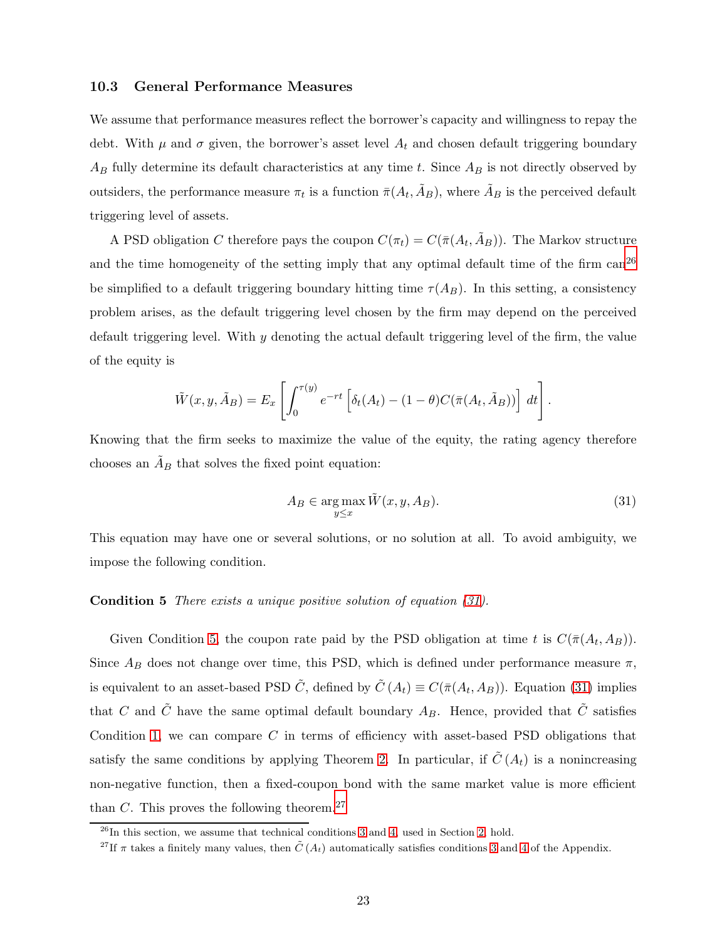#### 10.3 General Performance Measures

We assume that performance measures reflect the borrower's capacity and willingness to repay the debt. With  $\mu$  and  $\sigma$  given, the borrower's asset level  $A_t$  and chosen default triggering boundary  $A_B$  fully determine its default characteristics at any time t. Since  $A_B$  is not directly observed by outsiders, the performance measure  $\pi_t$  is a function  $\bar{\pi}(A_t, \tilde{A}_B)$ , where  $\tilde{A}_B$  is the perceived default triggering level of assets.

A PSD obligation C therefore pays the coupon  $C(\pi_t) = C(\bar{\pi}(A_t, \tilde{A}_B))$ . The Markov structure and the time homogeneity of the setting imply that any optimal default time of the firm  $\text{can}^{26}$  $\text{can}^{26}$  $\text{can}^{26}$ be simplified to a default triggering boundary hitting time  $\tau(A_B)$ . In this setting, a consistency problem arises, as the default triggering level chosen by the firm may depend on the perceived default triggering level. With  $y$  denoting the actual default triggering level of the firm, the value of the equity is

$$
\tilde{W}(x, y, \tilde{A}_B) = E_x \left[ \int_0^{\tau(y)} e^{-rt} \left[ \delta_t(A_t) - (1 - \theta) C(\bar{\pi}(A_t, \tilde{A}_B)) \right] dt \right].
$$

Knowing that the firm seeks to maximize the value of the equity, the rating agency therefore chooses an  $\tilde{A}_B$  that solves the fixed point equation:

<span id="page-23-1"></span>
$$
A_B \in \underset{y \le x}{\arg \max} \tilde{W}(x, y, A_B). \tag{31}
$$

<span id="page-23-2"></span>This equation may have one or several solutions, or no solution at all. To avoid ambiguity, we impose the following condition.

#### Condition 5 There exists a unique positive solution of equation [\(31\)](#page-23-1).

Given Condition [5,](#page-23-2) the coupon rate paid by the PSD obligation at time t is  $C(\bar{\pi}(A_t, A_B))$ . Since  $A_B$  does not change over time, this PSD, which is defined under performance measure  $\pi$ , is equivalent to an asset-based PSD  $\tilde{C}$ , defined by  $\tilde{C}(A_t) \equiv C(\bar{\pi}(A_t, A_B))$ . Equation [\(31\)](#page-23-1) implies that C and  $\tilde{C}$  have the same optimal default boundary  $A_B$ . Hence, provided that  $\tilde{C}$  satisfies Condition [1,](#page-8-0) we can compare C in terms of efficiency with asset-based PSD obligations that satisfy the same conditions by applying Theorem [2.](#page-8-2) In particular, if  $\tilde{C}(A_t)$  is a nonincreasing non-negative function, then a fixed-coupon bond with the same market value is more efficient than C. This proves the following theorem.<sup>[27](#page-23-3)</sup>

 $^{26}$ In this section, we assume that technical conditions [3](#page-21-0) and [4,](#page-21-2) used in Section [2,](#page-3-0) hold.

<span id="page-23-3"></span><span id="page-23-0"></span><sup>&</sup>lt;sup>27</sup>If  $\pi$  takes a finitely many values, then  $\tilde{C}(A_t)$  automatically satisfies conditions [3](#page-21-0) and [4](#page-21-2) of the Appendix.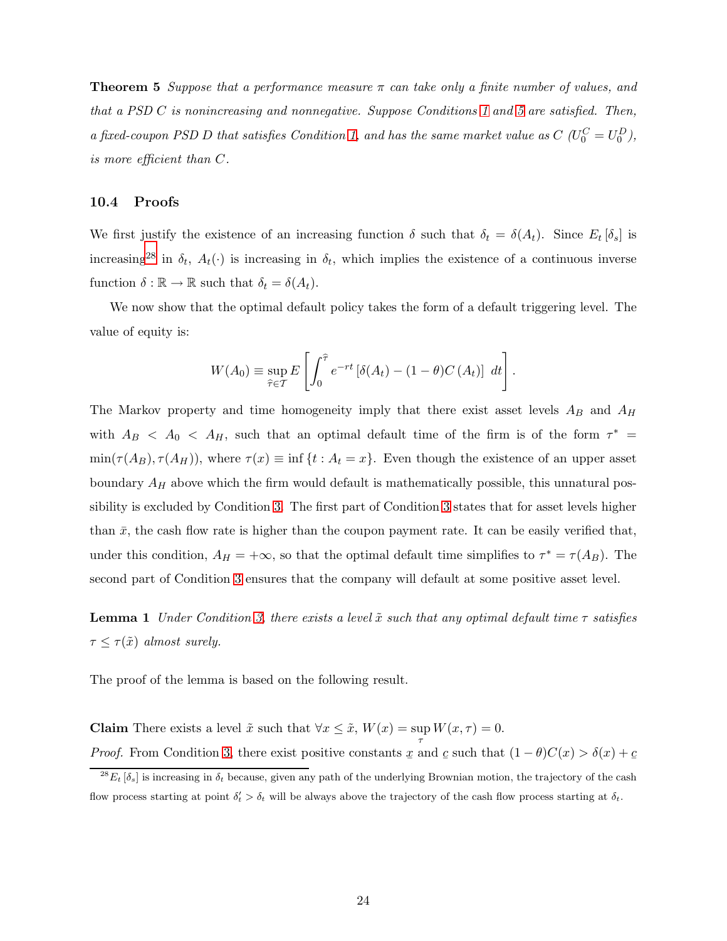**Theorem 5** Suppose that a performance measure  $\pi$  can take only a finite number of values, and that a PSD C is nonincreasing and nonnegative. Suppose Conditions [1](#page-8-0) and [5](#page-23-2) are satisfied. Then, a fixed-coupon PSD D that satisfies Condition [1,](#page-8-0) and has the same market value as  $C\ (U_0^C = U_0^D)$ , is more efficient than C.

## 10.4 Proofs

We first justify the existence of an increasing function  $\delta$  such that  $\delta_t = \delta(A_t)$ . Since  $E_t[\delta_s]$  is increasing<sup>[28](#page-24-0)</sup> in  $\delta_t$ ,  $A_t(\cdot)$  is increasing in  $\delta_t$ , which implies the existence of a continuous inverse function  $\delta : \mathbb{R} \to \mathbb{R}$  such that  $\delta_t = \delta(A_t)$ .

We now show that the optimal default policy takes the form of a default triggering level. The value of equity is:

$$
W(A_0) \equiv \sup_{\widehat{\tau} \in \mathcal{T}} E\left[\int_0^{\widehat{\tau}} e^{-rt} \left[\delta(A_t) - (1-\theta)C(A_t)\right] dt\right].
$$

The Markov property and time homogeneity imply that there exist asset levels  $A_B$  and  $A_H$ with  $A_B < A_0 < A_H$ , such that an optimal default time of the firm is of the form  $\tau^* =$  $min(\tau(A_B), \tau(A_H))$ , where  $\tau(x) \equiv inf\{t : A_t = x\}$ . Even though the existence of an upper asset boundary  $A_H$  above which the firm would default is mathematically possible, this unnatural possibility is excluded by Condition [3.](#page-21-0) The first part of Condition [3](#page-21-0) states that for asset levels higher than  $\bar{x}$ , the cash flow rate is higher than the coupon payment rate. It can be easily verified that, under this condition,  $A_H = +\infty$ , so that the optimal default time simplifies to  $\tau^* = \tau(A_B)$ . The second part of Condition [3](#page-21-0) ensures that the company will default at some positive asset level.

<span id="page-24-1"></span>**Lemma 1** Under Condition [3,](#page-21-0) there exists a level  $\tilde{x}$  such that any optimal default time  $\tau$  satisfies  $\tau \leq \tau(\tilde{x})$  almost surely.

The proof of the lemma is based on the following result.

**Claim** There exists a level  $\tilde{x}$  such that  $\forall x \leq \tilde{x}$ ,  $W(x) = \sup_{\tau} W(x, \tau) = 0$ . *Proof.* From Condition [3,](#page-21-0) there exist positive constants  $\underline{x}$  and  $\underline{c}$  such that  $(1 - \theta)C(\underline{x}) > \delta(\underline{x}) + \underline{c}$ 

<span id="page-24-0"></span><sup>&</sup>lt;sup>28</sup> $E_t$  [ $\delta_s$ ] is increasing in  $\delta_t$  because, given any path of the underlying Brownian motion, the trajectory of the cash flow process starting at point  $\delta'_t > \delta_t$  will be always above the trajectory of the cash flow process starting at  $\delta_t$ .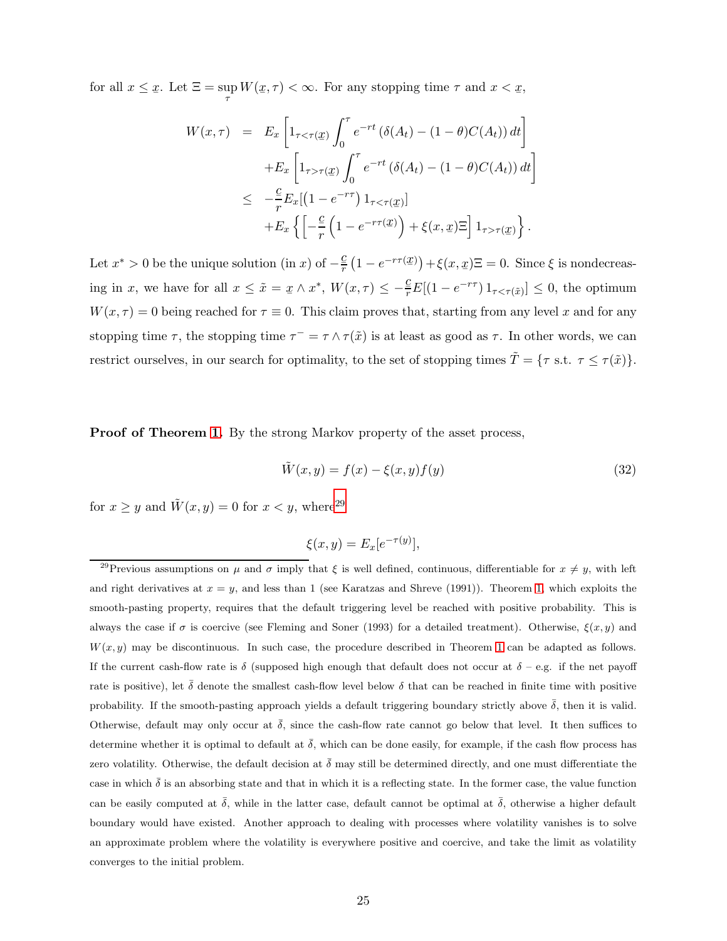for all  $x \leq \underline{x}$ . Let  $\Xi = \sup_{\tau} W(\underline{x}, \tau) < \infty$ . For any stopping time  $\tau$  and  $x < \underline{x}$ ,

$$
W(x,\tau) = E_x \left[ 1_{\tau < \tau(\underline{x})} \int_0^{\tau} e^{-rt} \left( \delta(A_t) - (1 - \theta) C(A_t) \right) dt \right]
$$
  
+ 
$$
E_x \left[ 1_{\tau > \tau(\underline{x})} \int_0^{\tau} e^{-rt} \left( \delta(A_t) - (1 - \theta) C(A_t) \right) dt \right]
$$
  

$$
\leq -\frac{c}{r} E_x [(1 - e^{-r\tau}) 1_{\tau < \tau(\underline{x})}]
$$
  
+ 
$$
E_x \left\{ \left[ -\frac{c}{r} \left( 1 - e^{-r\tau(\underline{x})} \right) + \xi(x, \underline{x}) \Xi \right] 1_{\tau > \tau(\underline{x})} \right\}.
$$

Let  $x^* > 0$  be the unique solution (in x) of  $-\frac{c}{r}(1 - e^{-r\tau(x)}) + \xi(x, x) \Xi = 0$ . Since  $\xi$  is nondecreasing in x, we have for all  $x \leq \tilde{x} = x \wedge x^*$ ,  $W(x, \tau) \leq -\frac{c}{r} E[(1 - e^{-r\tau}) 1_{\tau < \tau(\tilde{x})}] \leq 0$ , the optimum  $W(x, \tau) = 0$  being reached for  $\tau \equiv 0$ . This claim proves that, starting from any level x and for any stopping time  $\tau$ , the stopping time  $\tau^- = \tau \wedge \tau(\tilde{x})$  is at least as good as  $\tau$ . In other words, we can restrict ourselves, in our search for optimality, to the set of stopping times  $\tilde{T} = \{ \tau \text{ s.t. } \tau \leq \tau(\tilde{x}) \}.$ 

**Proof of Theorem [1.](#page-6-1)** By the strong Markov property of the asset process,

<span id="page-25-1"></span>
$$
\tilde{W}(x,y) = f(x) - \xi(x,y)f(y)
$$
\n(32)

for  $x \geq y$  and  $\tilde{W}(x, y) = 0$  for  $x < y$ , where<sup>[29](#page-25-0)</sup>

$$
\xi(x,y) = E_x[e^{-\tau(y)}],
$$

<span id="page-25-0"></span><sup>&</sup>lt;sup>29</sup>Previous assumptions on  $\mu$  and  $\sigma$  imply that  $\xi$  is well defined, continuous, differentiable for  $x \neq y$ , with left and right derivatives at  $x = y$ , and less than 1 (see Karatzas and Shreve (1991)). Theorem [1,](#page-6-1) which exploits the smooth-pasting property, requires that the default triggering level be reached with positive probability. This is always the case if  $\sigma$  is coercive (see Fleming and Soner (1993) for a detailed treatment). Otherwise,  $\xi(x, y)$  and  $W(x, y)$  may be discontinuous. In such case, the procedure described in Theorem [1](#page-6-1) can be adapted as follows. If the current cash-flow rate is  $\delta$  (supposed high enough that default does not occur at  $\delta$  – e.g. if the net payoff rate is positive), let  $\delta$  denote the smallest cash-flow level below  $\delta$  that can be reached in finite time with positive probability. If the smooth-pasting approach yields a default triggering boundary strictly above  $\bar{\delta}$ , then it is valid. Otherwise, default may only occur at  $\bar{\delta}$ , since the cash-flow rate cannot go below that level. It then suffices to determine whether it is optimal to default at  $\bar{\delta}$ , which can be done easily, for example, if the cash flow process has zero volatility. Otherwise, the default decision at  $\bar{\delta}$  may still be determined directly, and one must differentiate the case in which  $\bar{\delta}$  is an absorbing state and that in which it is a reflecting state. In the former case, the value function can be easily computed at  $\bar{\delta}$ , while in the latter case, default cannot be optimal at  $\bar{\delta}$ , otherwise a higher default boundary would have existed. Another approach to dealing with processes where volatility vanishes is to solve an approximate problem where the volatility is everywhere positive and coercive, and take the limit as volatility converges to the initial problem.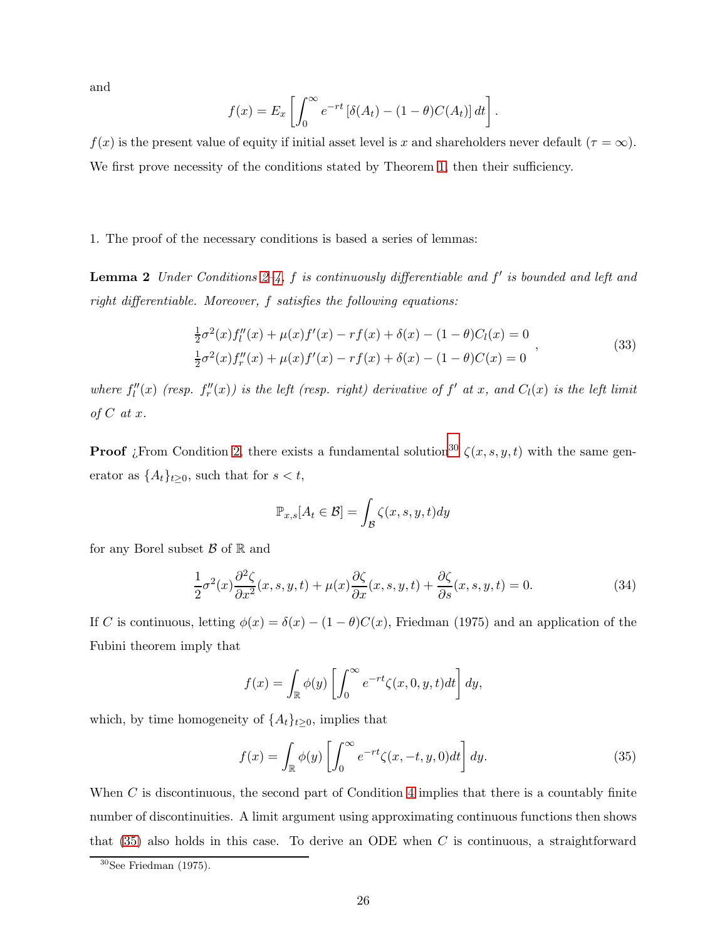and

$$
f(x) = E_x \left[ \int_0^\infty e^{-rt} \left[ \delta(A_t) - (1 - \theta) C(A_t) \right] dt \right].
$$

 $f(x)$  is the present value of equity if initial asset level is x and shareholders never default ( $\tau = \infty$ ). We first prove necessity of the conditions stated by Theorem [1,](#page-6-1) then their sufficiency.

#### <span id="page-26-4"></span>1. The proof of the necessary conditions is based a series of lemmas:

**Lemma [2](#page-21-3)** Under Conditions  $2-4$ , f is continuously differentiable and f' is bounded and left and right differentiable. Moreover, f satisfies the following equations:

<span id="page-26-3"></span>
$$
\frac{1}{2}\sigma^2(x)f_l''(x) + \mu(x)f'(x) - rf(x) + \delta(x) - (1 - \theta)C_l(x) = 0
$$
\n
$$
\frac{1}{2}\sigma^2(x)f_r''(x) + \mu(x)f'(x) - rf(x) + \delta(x) - (1 - \theta)C(x) = 0
$$
\n(33)

where  $f_l''(x)$  (resp.  $f_r''(x)$ ) is the left (resp. right) derivative of  $f'$  at x, and  $C_l(x)$  is the left limit of  $C$  at  $x$ .

**Proof** *i*From Condition [2,](#page-21-3) there exists a fundamental solution<sup>[30](#page-26-0)</sup>  $\zeta(x, s, y, t)$  with the same generator as  $\{A_t\}_{t\geq 0}$ , such that for  $s < t$ ,

<span id="page-26-2"></span>
$$
\mathbb{P}_{x,s}[A_t \in \mathcal{B}] = \int_{\mathcal{B}} \zeta(x,s,y,t) dy
$$

for any Borel subset  $\beta$  of  $\mathbb R$  and

$$
\frac{1}{2}\sigma^2(x)\frac{\partial^2 \zeta}{\partial x^2}(x,s,y,t) + \mu(x)\frac{\partial \zeta}{\partial x}(x,s,y,t) + \frac{\partial \zeta}{\partial s}(x,s,y,t) = 0.
$$
\n(34)

If C is continuous, letting  $\phi(x) = \delta(x) - (1 - \theta)C(x)$ , Friedman (1975) and an application of the Fubini theorem imply that

<span id="page-26-1"></span>
$$
f(x) = \int_{\mathbb{R}} \phi(y) \left[ \int_0^{\infty} e^{-rt} \zeta(x, 0, y, t) dt \right] dy,
$$

which, by time homogeneity of  $\{A_t\}_{t\geq 0}$ , implies that

$$
f(x) = \int_{\mathbb{R}} \phi(y) \left[ \int_0^\infty e^{-rt} \zeta(x, -t, y, 0) dt \right] dy.
$$
 (35)

When  $C$  is discontinuous, the second part of Condition [4](#page-21-2) implies that there is a countably finite number of discontinuities. A limit argument using approximating continuous functions then shows that  $(35)$  also holds in this case. To derive an ODE when C is continuous, a straightforward

<span id="page-26-0"></span> $^{30}\mathrm{See}$  Friedman (1975).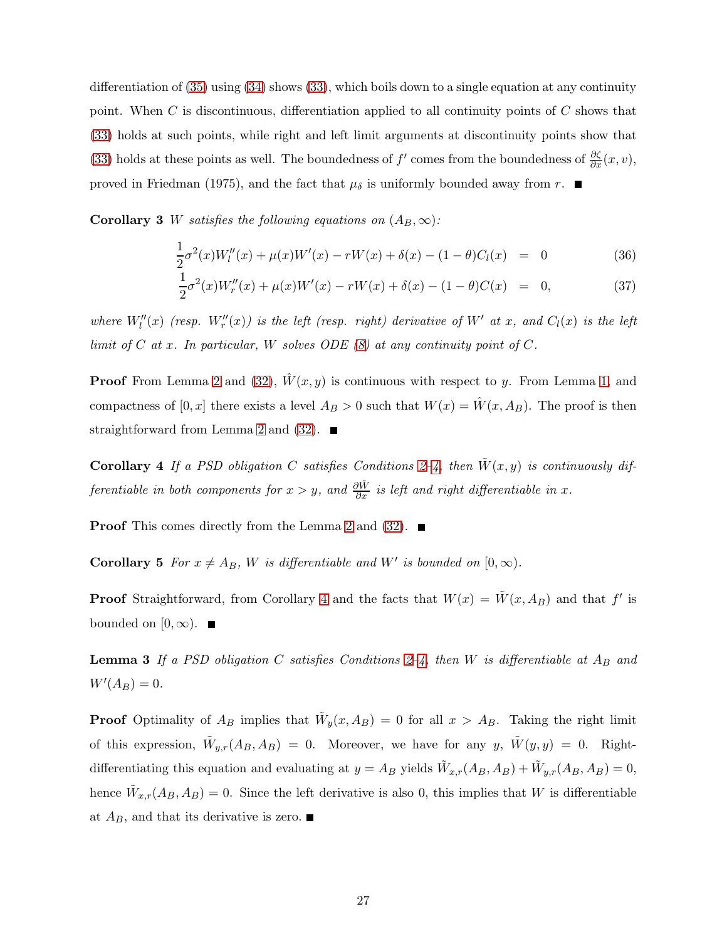differentiation of  $(35)$  using  $(34)$  shows  $(33)$ , which boils down to a single equation at any continuity point. When  $C$  is discontinuous, differentiation applied to all continuity points of  $C$  shows that [\(33\)](#page-26-3) holds at such points, while right and left limit arguments at discontinuity points show that [\(33\)](#page-26-3) holds at these points as well. The boundedness of  $f'$  comes from the boundedness of  $\frac{\partial \zeta}{\partial x}(x, v)$ , proved in Friedman (1975), and the fact that  $\mu_{\delta}$  is uniformly bounded away from r.  $\blacksquare$ 

**Corollary 3** W satisfies the following equations on  $(A_B, \infty)$ :

<span id="page-27-0"></span>
$$
\frac{1}{2}\sigma^2(x)W_l''(x) + \mu(x)W'(x) - rW(x) + \delta(x) - (1 - \theta)C_l(x) = 0
$$
\n(36)

$$
\frac{1}{2}\sigma^2(x)W_r''(x) + \mu(x)W'(x) - rW(x) + \delta(x) - (1-\theta)C(x) = 0,
$$
\n(37)

where  $W''_l(x)$  (resp.  $W''_r(x)$ ) is the left (resp. right) derivative of W' at x, and  $C_l(x)$  is the left limit of C at x. In particular, W solves ODE  $(8)$  at any continuity point of C.

**Proof** From Lemma [2](#page-26-4) and [\(32\)](#page-25-1),  $\hat{W}(x, y)$  is continuous with respect to y. From Lemma [1,](#page-24-1) and compactness of  $[0, x]$  there exists a level  $A_B > 0$  such that  $W(x) = \hat{W}(x, A_B)$ . The proof is then straightforward from Lemma [2](#page-26-4) and [\(32\)](#page-25-1).  $\blacksquare$ 

<span id="page-27-1"></span>**Corollary 4** If a PSD obligation C satisfies Conditions [2–](#page-21-3)[4,](#page-21-2) then  $\tilde{W}(x, y)$  is continuously differentiable in both components for  $x > y$ , and  $\frac{\partial \tilde{W}}{\partial x}$  is left and right differentiable in x.

**Proof** This comes directly from the Lemma [2](#page-26-4) and  $(32)$ .

**Corollary 5** For  $x \neq A_B$ , W is differentiable and W' is bounded on  $[0, \infty)$ .

**Proof** Straightforward, from Corollary [4](#page-27-1) and the facts that  $W(x) = \tilde{W}(x, A_B)$  and that f' is bounded on  $[0, \infty)$ .  $\blacksquare$ 

**Lemma 3** If a PSD obligation C satisfies Conditions 2-[4,](#page-21-2) then W is differentiable at  $A_B$  and  $W'(A_B) = 0.$ 

**Proof** Optimality of  $A_B$  implies that  $\tilde{W}_y(x, A_B) = 0$  for all  $x > A_B$ . Taking the right limit of this expression,  $\tilde{W}_{y,r}(A_B, A_B) = 0$ . Moreover, we have for any  $y, \ \tilde{W}(y, y) = 0$ . Rightdifferentiating this equation and evaluating at  $y = A_B$  yields  $\tilde{W}_{x,r}(A_B, A_B) + \tilde{W}_{y,r}(A_B, A_B) = 0$ , hence  $\tilde{W}_{x,r}(A_B, A_B) = 0$ . Since the left derivative is also 0, this implies that W is differentiable at  $A_B$ , and that its derivative is zero.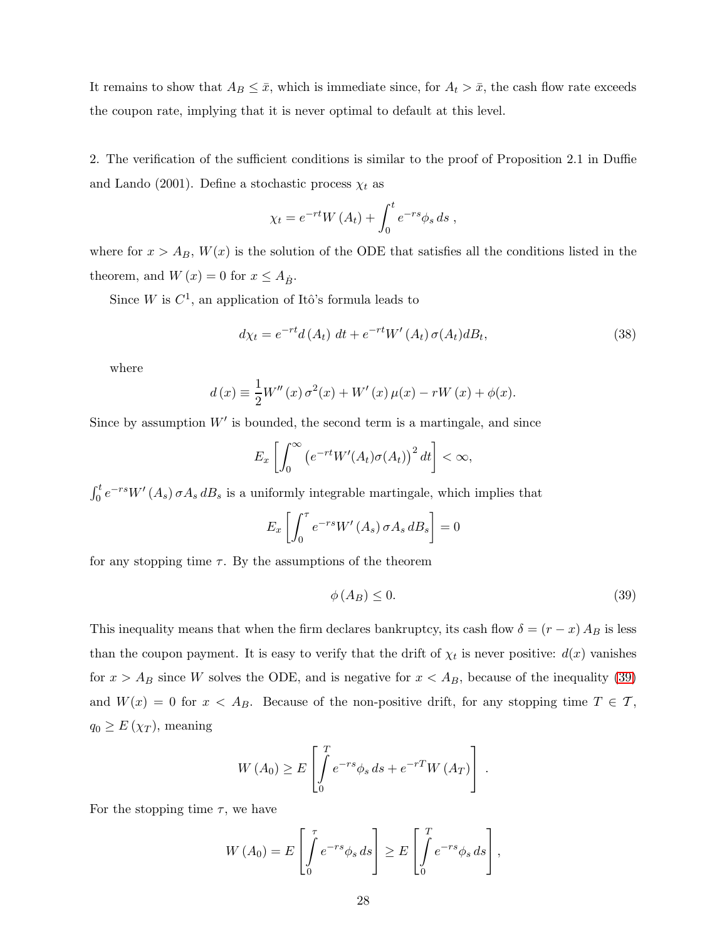It remains to show that  $A_B \leq \bar{x}$ , which is immediate since, for  $A_t > \bar{x}$ , the cash flow rate exceeds the coupon rate, implying that it is never optimal to default at this level.

2. The verification of the sufficient conditions is similar to the proof of Proposition 2.1 in Duffie and Lando (2001). Define a stochastic process  $\chi_t$  as

$$
\chi_t = e^{-rt} W(A_t) + \int_0^t e^{-rs} \phi_s ds ,
$$

where for  $x > A_B$ ,  $W(x)$  is the solution of the ODE that satisfies all the conditions listed in the theorem, and  $W(x) = 0$  for  $x \leq A_{\dot{B}}$ .

Since W is  $C^1$ , an application of Itô's formula leads to

$$
d\chi_t = e^{-rt}d(A_t) dt + e^{-rt}W'(A_t)\sigma(A_t)dB_t,
$$
\n(38)

where

$$
d(x) \equiv \frac{1}{2}W''(x)\,\sigma^{2}(x) + W'(x)\,\mu(x) - rW(x) + \phi(x).
$$

Since by assumption  $W'$  is bounded, the second term is a martingale, and since

$$
E_x\left[\int_0^\infty \left(e^{-rt}W'(A_t)\sigma(A_t)\right)^2 dt\right] < \infty,
$$

 $\int_0^t e^{-rs} W'(A_s) \sigma A_s dB_s$  is a uniformly integrable martingale, which implies that

$$
E_x \left[ \int_0^{\tau} e^{-rs} W'(A_s) \, \sigma A_s \, dB_s \right] = 0
$$

for any stopping time  $\tau$ . By the assumptions of the theorem

<span id="page-28-0"></span>
$$
\phi(A_B) \le 0. \tag{39}
$$

This inequality means that when the firm declares bankruptcy, its cash flow  $\delta = (r - x) A_B$  is less than the coupon payment. It is easy to verify that the drift of  $\chi_t$  is never positive:  $d(x)$  vanishes for  $x > A_B$  since W solves the ODE, and is negative for  $x < A_B$ , because of the inequality [\(39\)](#page-28-0) and  $W(x) = 0$  for  $x < A_B$ . Because of the non-positive drift, for any stopping time  $T \in \mathcal{T}$ ,  $q_0 \geq E(\chi_T)$ , meaning

$$
W(A_0) \ge E\left[\int\limits_0^T e^{-rs} \phi_s ds + e^{-rT} W(A_T)\right].
$$

For the stopping time  $\tau$ , we have

$$
W(A_0) = E\left[\int\limits_0^{\tau} e^{-rs} \phi_s ds\right] \ge E\left[\int\limits_0^T e^{-rs} \phi_s ds\right],
$$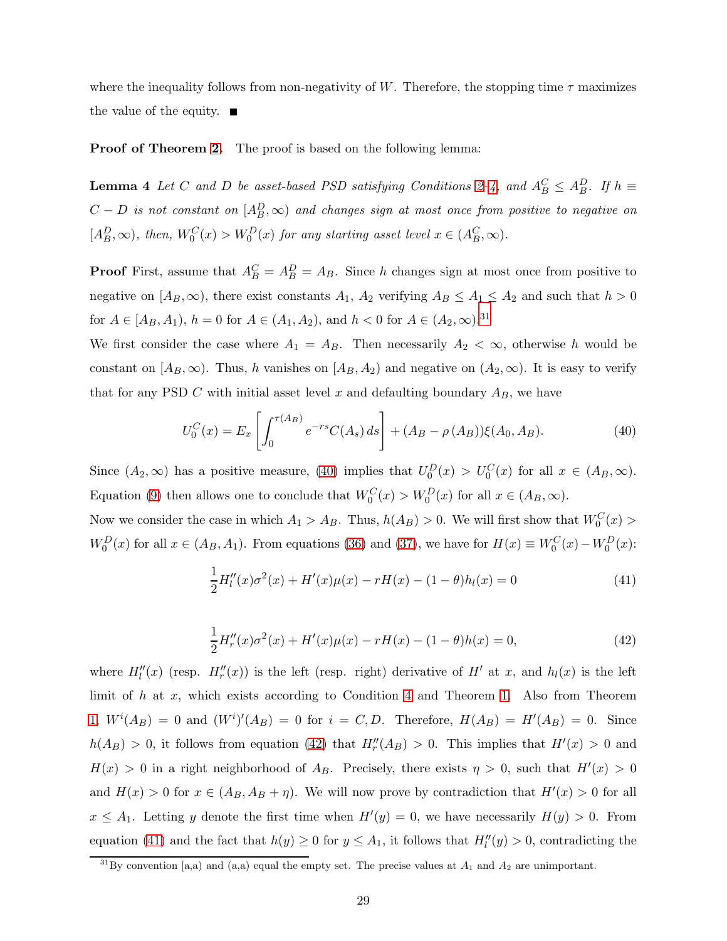where the inequality follows from non-negativity of W. Therefore, the stopping time  $\tau$  maximizes the value of the equity.  $\blacksquare$ 

<span id="page-29-4"></span>**Proof of Theorem [2.](#page-8-2)** The proof is based on the following lemma:

**Lemma 4** Let C and D be asset-based PSD satisfying Conditions [2](#page-21-3)-4, and  $A_B^C \leq A_B^D$ . If  $h \equiv$  $C-D$  is not constant on  $[A_B^D,\infty)$  and changes sign at most once from positive to negative on  $[A_B^D, \infty)$ , then,  $W_0^C(x) > W_0^D(x)$  for any starting asset level  $x \in (A_B^C, \infty)$ .

**Proof** First, assume that  $A_B^C = A_B^D = A_B$ . Since h changes sign at most once from positive to negative on  $[A_B,\infty)$ , there exist constants  $A_1$ ,  $A_2$  verifying  $A_B \le A_1 \le A_2$  and such that  $h > 0$ for  $A \in [A_B, A_1)$ ,  $h = 0$  for  $A \in (A_1, A_2)$ , and  $h < 0$  for  $A \in (A_2, \infty)$ .<sup>[31](#page-29-0)</sup>

We first consider the case where  $A_1 = A_B$ . Then necessarily  $A_2 < \infty$ , otherwise h would be constant on  $[A_B,\infty)$ . Thus, h vanishes on  $[A_B,A_2)$  and negative on  $(A_2,\infty)$ . It is easy to verify that for any PSD C with initial asset level x and defaulting boundary  $A_B$ , we have

<span id="page-29-1"></span>
$$
U_0^C(x) = E_x \left[ \int_0^{\tau(A_B)} e^{-rs} C(A_s) ds \right] + (A_B - \rho(A_B)) \xi(A_0, A_B).
$$
 (40)

Since  $(A_2, \infty)$  has a positive measure, [\(40\)](#page-29-1) implies that  $U_0^D(x) > U_0^C(x)$  for all  $x \in (A_B, \infty)$ . Equation [\(9\)](#page-7-2) then allows one to conclude that  $W_0^C(x) > W_0^D(x)$  for all  $x \in (A_B, \infty)$ .

Now we consider the case in which  $A_1 > A_B$ . Thus,  $h(A_B) > 0$ . We will first show that  $W_0^C(x) >$  $W_0^D(x)$  for all  $x \in (A_B, A_1)$ . From equations [\(36\)](#page-27-0) and [\(37\)](#page-27-0), we have for  $H(x) \equiv W_0^C(x) - W_0^D(x)$ :

<span id="page-29-3"></span>
$$
\frac{1}{2}H_l''(x)\sigma^2(x) + H'(x)\mu(x) - rH(x) - (1 - \theta)h_l(x) = 0
$$
\n(41)

$$
\frac{1}{2}H_r''(x)\sigma^2(x) + H'(x)\mu(x) - rH(x) - (1 - \theta)h(x) = 0,\tag{42}
$$

<span id="page-29-2"></span>where  $H_l''(x)$  (resp.  $H_r''(x)$ ) is the left (resp. right) derivative of H' at x, and  $h_l(x)$  is the left limit of  $h$  at  $x$ , which exists according to Condition [4](#page-21-2) and Theorem [1.](#page-6-1) Also from Theorem [1,](#page-6-1)  $W^{i}(A_{B}) = 0$  and  $(W^{i})'(A_{B}) = 0$  for  $i = C, D$ . Therefore,  $H(A_{B}) = H'(A_{B}) = 0$ . Since  $h(A_B) > 0$ , it follows from equation [\(42\)](#page-29-2) that  $H''_r(A_B) > 0$ . This implies that  $H'(x) > 0$  and  $H(x) > 0$  in a right neighborhood of  $A_B$ . Precisely, there exists  $\eta > 0$ , such that  $H'(x) > 0$ and  $H(x) > 0$  for  $x \in (A_B, A_B + \eta)$ . We will now prove by contradiction that  $H'(x) > 0$  for all  $x \le A_1$ . Letting y denote the first time when  $H'(y) = 0$ , we have necessarily  $H(y) > 0$ . From equation [\(41\)](#page-29-3) and the fact that  $h(y) \ge 0$  for  $y \le A_1$ , it follows that  $H_l''(y) > 0$ , contradicting the

<span id="page-29-0"></span><sup>&</sup>lt;sup>31</sup>By convention [a,a) and (a,a) equal the empty set. The precise values at  $A_1$  and  $A_2$  are unimportant.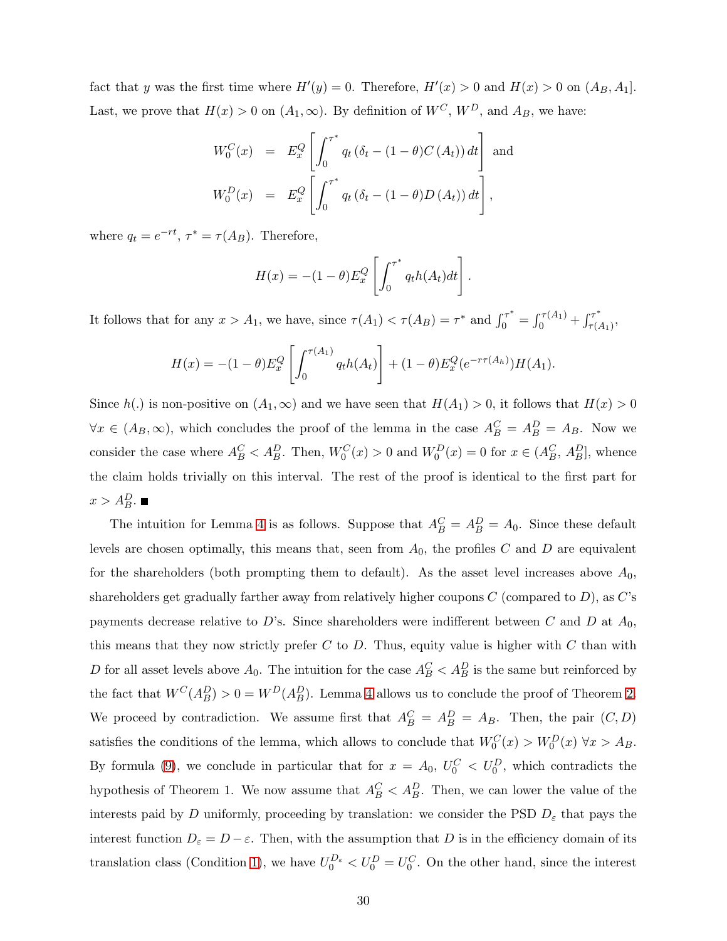fact that y was the first time where  $H'(y) = 0$ . Therefore,  $H'(x) > 0$  and  $H(x) > 0$  on  $(A_B, A_1]$ . Last, we prove that  $H(x) > 0$  on  $(A_1, \infty)$ . By definition of  $W^C$ ,  $W^D$ , and  $A_B$ , we have:

$$
W_0^C(x) = E_x^Q \left[ \int_0^{\tau^*} q_t \left( \delta_t - (1 - \theta) C (A_t) \right) dt \right] \text{ and}
$$
  

$$
W_0^D(x) = E_x^Q \left[ \int_0^{\tau^*} q_t \left( \delta_t - (1 - \theta) D (A_t) \right) dt \right],
$$

where  $q_t = e^{-rt}, \tau^* = \tau(A_B)$ . Therefore,

$$
H(x) = -(1 - \theta)E_x^Q \left[ \int_0^{\tau^*} q_t h(A_t) dt \right].
$$

It follows that for any  $x > A_1$ , we have, since  $\tau(A_1) < \tau(A_B) = \tau^*$  and  $\int_0^{\tau^*} = \int_0^{\tau(A_1)} + \int_{\tau(A_1)}^{\tau^*}$  $\overset{\cdot \tau}{\tau(A_1)},$ 

$$
H(x) = -(1 - \theta)E_x^Q \left[ \int_0^{\tau(A_1)} q_t h(A_t) \right] + (1 - \theta)E_x^Q(e^{-r\tau(A_h)}) H(A_1).
$$

Since  $h(.)$  is non-positive on  $(A_1,\infty)$  and we have seen that  $H(A_1) > 0$ , it follows that  $H(x) > 0$  $\forall x \in (A_B, \infty)$ , which concludes the proof of the lemma in the case  $A_B^C = A_B^D = A_B$ . Now we consider the case where  $A_B^C < A_B^D$ . Then,  $W_0^C(x) > 0$  and  $W_0^D(x) = 0$  for  $x \in (A_B^C, A_B^D]$ , whence the claim holds trivially on this interval. The rest of the proof is identical to the first part for  $x > A_B^D$ .

The intuition for Lemma [4](#page-29-4) is as follows. Suppose that  $A_B^C = A_B^D = A_0$ . Since these default levels are chosen optimally, this means that, seen from  $A_0$ , the profiles C and D are equivalent for the shareholders (both prompting them to default). As the asset level increases above  $A_0$ , shareholders get gradually farther away from relatively higher coupons  $C$  (compared to  $D$ ), as  $C$ 's payments decrease relative to D's. Since shareholders were indifferent between C and D at  $A_0$ , this means that they now strictly prefer  $C$  to  $D$ . Thus, equity value is higher with  $C$  than with D for all asset levels above  $A_0$ . The intuition for the case  $A_B^C < A_B^D$  is the same but reinforced by the fact that  $W^C(A_B^D) > 0 = W^D(A_B^D)$ . Lemma [4](#page-29-4) allows us to conclude the proof of Theorem [2.](#page-8-2) We proceed by contradiction. We assume first that  $A_B^C = A_B^D = A_B$ . Then, the pair  $(C, D)$ satisfies the conditions of the lemma, which allows to conclude that  $W_0^C(x) > W_0^D(x)$   $\forall x > A_B$ . By formula [\(9\)](#page-7-2), we conclude in particular that for  $x = A_0, U_0^C < U_0^D$ , which contradicts the hypothesis of Theorem 1. We now assume that  $A_B^C < A_B^D$ . Then, we can lower the value of the interests paid by D uniformly, proceeding by translation: we consider the PSD  $D_{\varepsilon}$  that pays the interest function  $D_{\varepsilon} = D - \varepsilon$ . Then, with the assumption that D is in the efficiency domain of its translation class (Condition [1\)](#page-8-0), we have  $U_0^{D_{\varepsilon}} < U_0^{D} = U_0^{C}$ . On the other hand, since the interest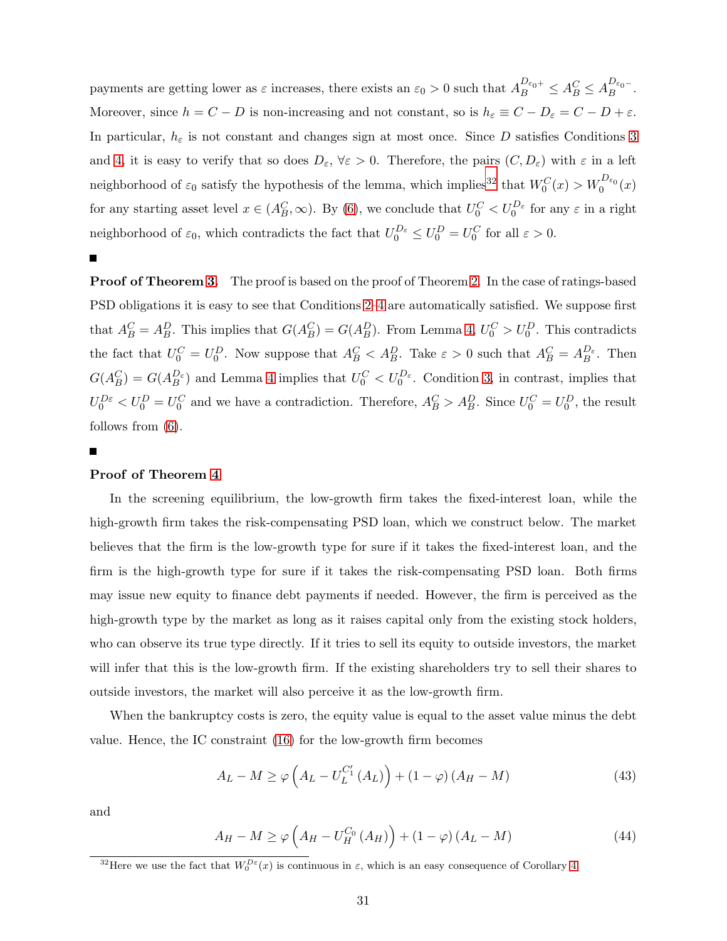payments are getting lower as  $\varepsilon$  increases, there exists an  $\varepsilon_0 > 0$  such that  $A_B^{D_{\varepsilon_0+}} \leq A_B^C \leq A_B^{D_{\varepsilon_0-}}$ . Moreover, since  $h = C - D$  is non-increasing and not constant, so is  $h_{\varepsilon} \equiv C - D_{\varepsilon} = C - D + \varepsilon$ . In particular,  $h_{\varepsilon}$  is not constant and changes sign at most once. Since D satisfies Conditions [3](#page-21-0) and [4,](#page-21-2) it is easy to verify that so does  $D_{\varepsilon}$ ,  $\forall \varepsilon > 0$ . Therefore, the pairs  $(C, D_{\varepsilon})$  with  $\varepsilon$  in a left neighborhood of  $\varepsilon_0$  satisfy the hypothesis of the lemma, which implies<sup>[32](#page-31-0)</sup> that  $W_0^C(x) > W_0^{D_{\varepsilon_0}}(x)$ for any starting asset level  $x \in (A_B^C, \infty)$ . By [\(6\)](#page-5-4), we conclude that  $U_0^C < U_0^{D_{\varepsilon}}$  for any  $\varepsilon$  in a right neighborhood of  $\varepsilon_0$ , which contradicts the fact that  $U_0^{D_{\varepsilon}} \leq U_0^D = U_0^C$  for all  $\varepsilon > 0$ .

 $\blacksquare$ 

**Proof of Theorem [3.](#page-12-2)** The proof is based on the proof of Theorem [2.](#page-8-2) In the case of ratings-based PSD obligations it is easy to see that Conditions [2–](#page-21-3)[4](#page-21-2) are automatically satisfied. We suppose first that  $A_B^C = A_B^D$ . This implies that  $G(A_B^C) = G(A_B^D)$ . From Lemma [4,](#page-29-4)  $U_0^C > U_0^D$ . This contradicts the fact that  $U_0^C = U_0^D$ . Now suppose that  $A_B^C < A_B^D$ . Take  $\varepsilon > 0$  such that  $A_B^C = A_B^{D_{\varepsilon}}$ . Then  $G(A_B^C) = G(A_B^{D_{\varepsilon}})$  and Lemma [4](#page-29-4) implies that  $U_0^C < U_0^{D_{\varepsilon}}$ . Condition [3,](#page-21-0) in contrast, implies that  $U_0^{D\varepsilon} < U_0^D = U_0^C$  and we have a contradiction. Therefore,  $A_B^C > A_B^D$ . Since  $U_0^C = U_0^D$ , the result follows from [\(6\)](#page-5-4).

#### Proof of Theorem [4](#page-14-3)

In the screening equilibrium, the low-growth firm takes the fixed-interest loan, while the high-growth firm takes the risk-compensating PSD loan, which we construct below. The market believes that the firm is the low-growth type for sure if it takes the fixed-interest loan, and the firm is the high-growth type for sure if it takes the risk-compensating PSD loan. Both firms may issue new equity to finance debt payments if needed. However, the firm is perceived as the high-growth type by the market as long as it raises capital only from the existing stock holders, who can observe its true type directly. If it tries to sell its equity to outside investors, the market will infer that this is the low-growth firm. If the existing shareholders try to sell their shares to outside investors, the market will also perceive it as the low-growth firm.

When the bankruptcy costs is zero, the equity value is equal to the asset value minus the debt value. Hence, the IC constraint [\(16\)](#page-14-0) for the low-growth firm becomes

<span id="page-31-2"></span>
$$
A_L - M \ge \varphi \left( A_L - U_L^{C_1'} \left( A_L \right) \right) + (1 - \varphi) \left( A_H - M \right) \tag{43}
$$

<span id="page-31-1"></span>and

$$
A_H - M \ge \varphi \left( A_H - U_H^{C_0} \left( A_H \right) \right) + (1 - \varphi) \left( A_L - M \right) \tag{44}
$$

<span id="page-31-0"></span><sup>&</sup>lt;sup>32</sup>Here we use the fact that  $W_0^{D\epsilon}(x)$  is continuous in  $\epsilon$ , which is an easy consequence of Corollary [4.](#page-27-1)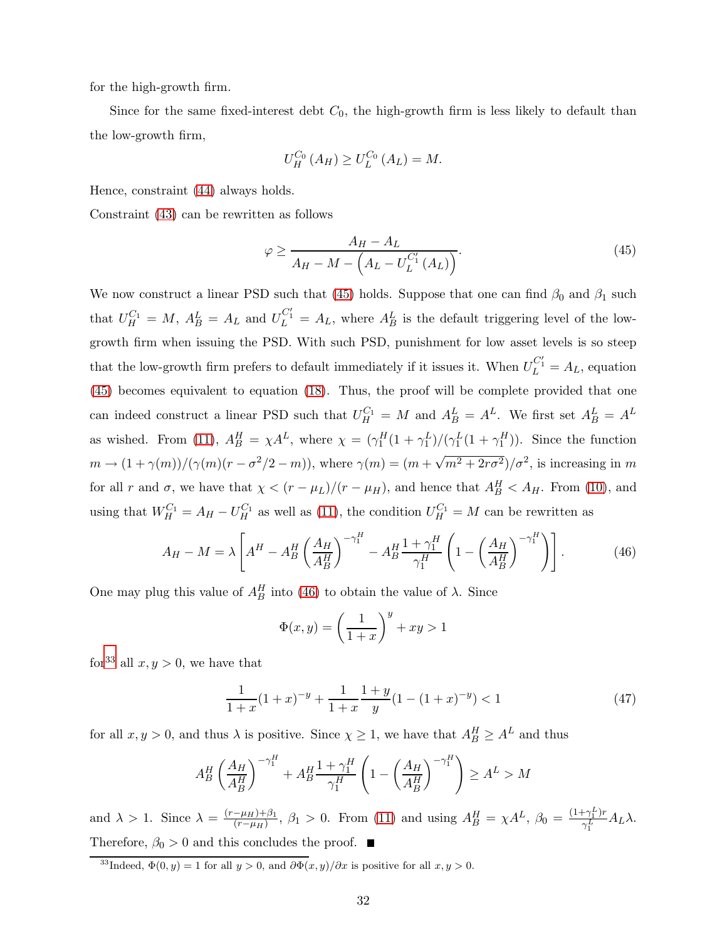for the high-growth firm.

Since for the same fixed-interest debt  $C_0$ , the high-growth firm is less likely to default than the low-growth firm,

<span id="page-32-0"></span>
$$
U_{H}^{C_{0}}(A_{H}) \geq U_{L}^{C_{0}}(A_{L}) = M.
$$

Hence, constraint [\(44\)](#page-31-1) always holds.

Constraint [\(43\)](#page-31-2) can be rewritten as follows

$$
\varphi \ge \frac{A_H - A_L}{A_H - M - \left(A_L - U_L^{C_1'}\left(A_L\right)\right)}.\tag{45}
$$

We now construct a linear PSD such that [\(45\)](#page-32-0) holds. Suppose that one can find  $\beta_0$  and  $\beta_1$  such that  $U_H^{C_1} = M$ ,  $A_B^L = A_L$  and  $U_L^{C_1'} = A_L$ , where  $A_B^L$  is the default triggering level of the lowgrowth firm when issuing the PSD. With such PSD, punishment for low asset levels is so steep that the low-growth firm prefers to default immediately if it issues it. When  $U_L^{C_1'} = A_L$ , equation [\(45\)](#page-32-0) becomes equivalent to equation [\(18\)](#page-15-0). Thus, the proof will be complete provided that one can indeed construct a linear PSD such that  $U_H^{C_1} = M$  and  $A_B^L = A^L$ . We first set  $A_B^L = A^L$ as wished. From [\(11\)](#page-10-4),  $A_B^H = \chi A^L$ , where  $\chi = (\gamma_1^H(1 + \gamma_1^L)/(\gamma_1^L(1 + \gamma_1^H))$ . Since the function  $m \to (1+\gamma(m))/(\gamma(m)(r-\sigma^2/2-m))$ , where  $\gamma(m)=(m+\sqrt{m^2+2r\sigma^2})/\sigma^2$ , is increasing in m for all r and  $\sigma$ , we have that  $\chi < (r - \mu_L)/(r - \mu_H)$ , and hence that  $A_B^H < A_H$ . From [\(10\)](#page-10-1), and using that  $W_H^{C_1} = A_H - U_H^{C_1}$  as well as [\(11\)](#page-10-4), the condition  $U_H^{C_1} = M$  can be rewritten as

$$
A_H - M = \lambda \left[ A^H - A_B^H \left( \frac{A_H}{A_B^H} \right)^{-\gamma_1^H} - A_B^H \frac{1 + \gamma_1^H}{\gamma_1^H} \left( 1 - \left( \frac{A_H}{A_B^H} \right)^{-\gamma_1^H} \right) \right].
$$
 (46)

One may plug this value of  $A_B^H$  into [\(46\)](#page-32-1) to obtain the value of  $\lambda$ . Since

<span id="page-32-1"></span>
$$
\Phi(x,y) = \left(\frac{1}{1+x}\right)^y + xy > 1
$$

for<sup>[33](#page-32-2)</sup> all  $x, y > 0$ , we have that

$$
\frac{1}{1+x}(1+x)^{-y} + \frac{1}{1+x}\frac{1+y}{y}(1-(1+x)^{-y}) < 1\tag{47}
$$

for all  $x, y > 0$ , and thus  $\lambda$  is positive. Since  $\chi \ge 1$ , we have that  $A_B^H \ge A^L$  and thus

$$
A_B^H \left(\frac{A_H}{A_B^H}\right)^{-\gamma_1^H} + A_B^H \frac{1+\gamma_1^H}{\gamma_1^H} \left(1 - \left(\frac{A_H}{A_B^H}\right)^{-\gamma_1^H}\right) \ge A^L > M
$$

and  $\lambda > 1$ . Since  $\lambda = \frac{(r-\mu_H)+\beta_1}{(r-\mu_H)}$  $\frac{(-\mu_H)+\beta_1}{(r-\mu_H)}, \ \beta_1 > 0.$  From [\(11\)](#page-10-4) and using  $A_B^H = \chi A^L, \ \beta_0 = \frac{(1+\gamma_1^L)r}{\gamma_1^L}$  $\frac{\gamma_1 \gamma_1 \gamma_1}{\gamma_1^L} A_L \lambda.$ Therefore,  $\beta_0>0$  and this concludes the proof.  $\blacksquare$ 

<span id="page-32-2"></span><sup>&</sup>lt;sup>33</sup>Indeed,  $\Phi(0, y) = 1$  for all  $y > 0$ , and  $\partial \Phi(x, y) / \partial x$  is positive for all  $x, y > 0$ .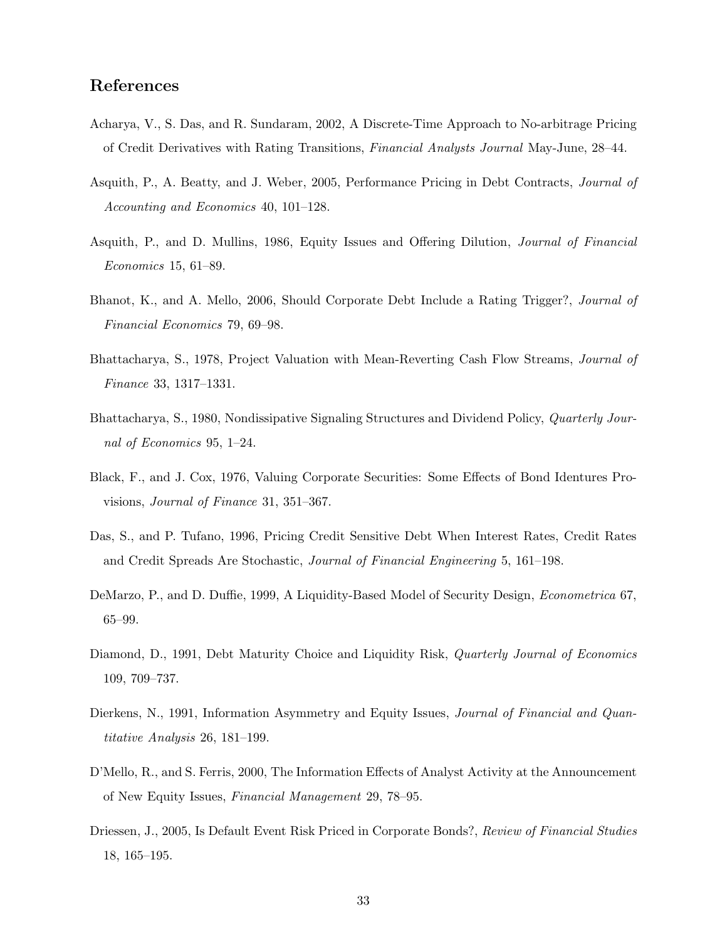## References

- Acharya, V., S. Das, and R. Sundaram, 2002, A Discrete-Time Approach to No-arbitrage Pricing of Credit Derivatives with Rating Transitions, Financial Analysts Journal May-June, 28–44.
- Asquith, P., A. Beatty, and J. Weber, 2005, Performance Pricing in Debt Contracts, Journal of Accounting and Economics 40, 101–128.
- Asquith, P., and D. Mullins, 1986, Equity Issues and Offering Dilution, Journal of Financial Economics 15, 61–89.
- Bhanot, K., and A. Mello, 2006, Should Corporate Debt Include a Rating Trigger?, Journal of Financial Economics 79, 69–98.
- Bhattacharya, S., 1978, Project Valuation with Mean-Reverting Cash Flow Streams, Journal of Finance 33, 1317–1331.
- Bhattacharya, S., 1980, Nondissipative Signaling Structures and Dividend Policy, Quarterly Journal of Economics 95, 1–24.
- Black, F., and J. Cox, 1976, Valuing Corporate Securities: Some Effects of Bond Identures Provisions, Journal of Finance 31, 351–367.
- Das, S., and P. Tufano, 1996, Pricing Credit Sensitive Debt When Interest Rates, Credit Rates and Credit Spreads Are Stochastic, Journal of Financial Engineering 5, 161–198.
- DeMarzo, P., and D. Duffie, 1999, A Liquidity-Based Model of Security Design, Econometrica 67, 65–99.
- Diamond, D., 1991, Debt Maturity Choice and Liquidity Risk, *Quarterly Journal of Economics* 109, 709–737.
- Dierkens, N., 1991, Information Asymmetry and Equity Issues, *Journal of Financial and Quan*titative Analysis 26, 181–199.
- D'Mello, R., and S. Ferris, 2000, The Information Effects of Analyst Activity at the Announcement of New Equity Issues, Financial Management 29, 78–95.
- Driessen, J., 2005, Is Default Event Risk Priced in Corporate Bonds?, Review of Financial Studies 18, 165–195.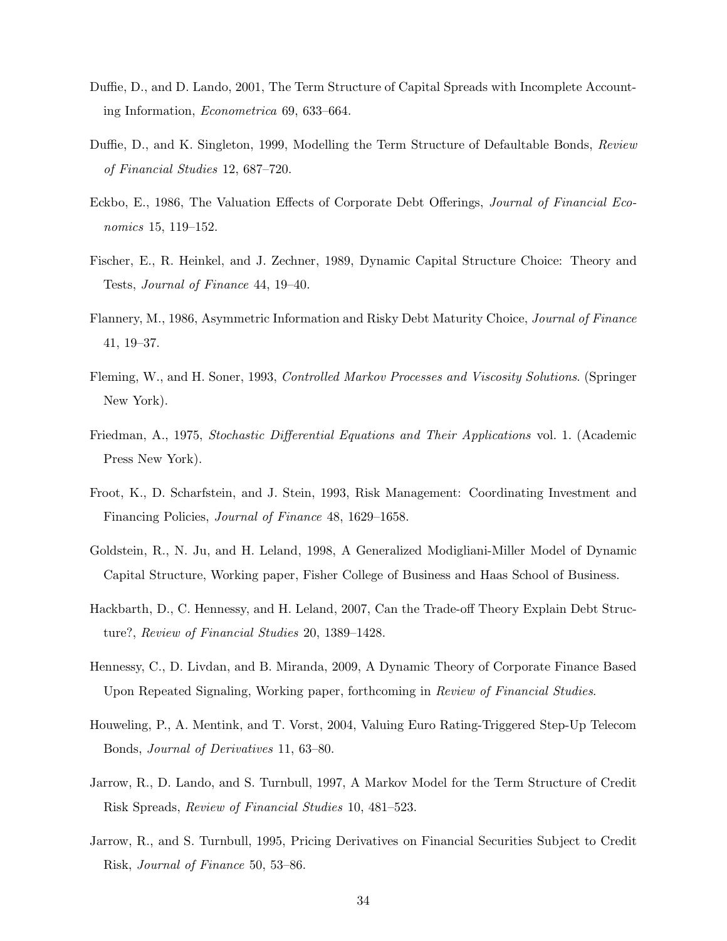- Duffie, D., and D. Lando, 2001, The Term Structure of Capital Spreads with Incomplete Accounting Information, Econometrica 69, 633–664.
- Duffie, D., and K. Singleton, 1999, Modelling the Term Structure of Defaultable Bonds, Review of Financial Studies 12, 687–720.
- Eckbo, E., 1986, The Valuation Effects of Corporate Debt Offerings, Journal of Financial Economics 15, 119–152.
- Fischer, E., R. Heinkel, and J. Zechner, 1989, Dynamic Capital Structure Choice: Theory and Tests, Journal of Finance 44, 19–40.
- Flannery, M., 1986, Asymmetric Information and Risky Debt Maturity Choice, Journal of Finance 41, 19–37.
- Fleming, W., and H. Soner, 1993, Controlled Markov Processes and Viscosity Solutions. (Springer New York).
- Friedman, A., 1975, Stochastic Differential Equations and Their Applications vol. 1. (Academic Press New York).
- Froot, K., D. Scharfstein, and J. Stein, 1993, Risk Management: Coordinating Investment and Financing Policies, Journal of Finance 48, 1629–1658.
- Goldstein, R., N. Ju, and H. Leland, 1998, A Generalized Modigliani-Miller Model of Dynamic Capital Structure, Working paper, Fisher College of Business and Haas School of Business.
- Hackbarth, D., C. Hennessy, and H. Leland, 2007, Can the Trade-off Theory Explain Debt Structure?, Review of Financial Studies 20, 1389–1428.
- Hennessy, C., D. Livdan, and B. Miranda, 2009, A Dynamic Theory of Corporate Finance Based Upon Repeated Signaling, Working paper, forthcoming in Review of Financial Studies.
- Houweling, P., A. Mentink, and T. Vorst, 2004, Valuing Euro Rating-Triggered Step-Up Telecom Bonds, Journal of Derivatives 11, 63–80.
- Jarrow, R., D. Lando, and S. Turnbull, 1997, A Markov Model for the Term Structure of Credit Risk Spreads, Review of Financial Studies 10, 481–523.
- Jarrow, R., and S. Turnbull, 1995, Pricing Derivatives on Financial Securities Subject to Credit Risk, Journal of Finance 50, 53–86.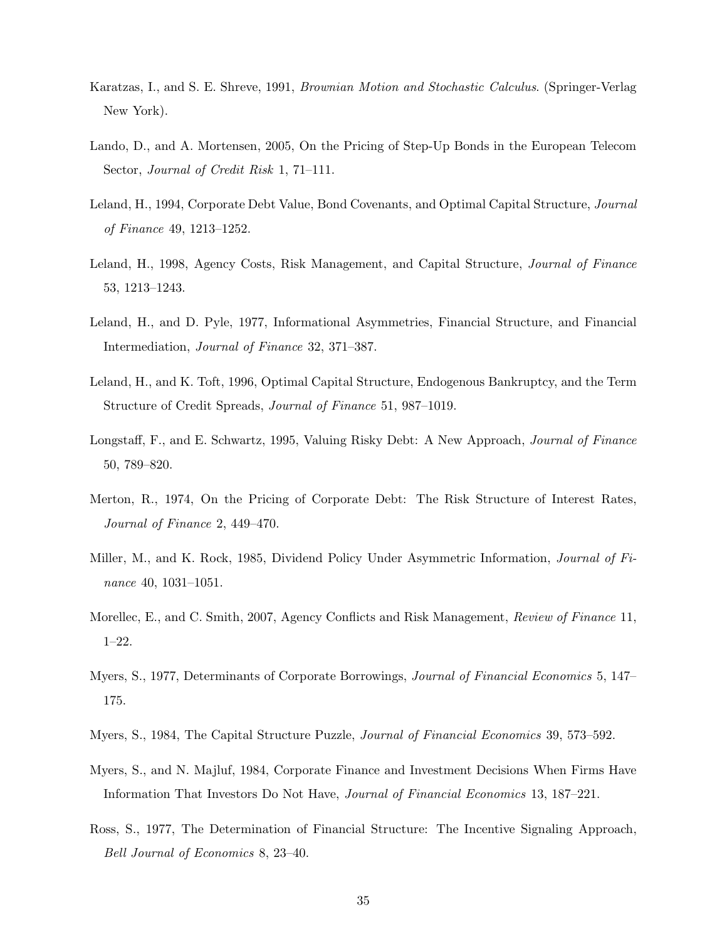- Karatzas, I., and S. E. Shreve, 1991, Brownian Motion and Stochastic Calculus. (Springer-Verlag New York).
- Lando, D., and A. Mortensen, 2005, On the Pricing of Step-Up Bonds in the European Telecom Sector, Journal of Credit Risk 1, 71–111.
- Leland, H., 1994, Corporate Debt Value, Bond Covenants, and Optimal Capital Structure, Journal of Finance 49, 1213–1252.
- Leland, H., 1998, Agency Costs, Risk Management, and Capital Structure, Journal of Finance 53, 1213–1243.
- Leland, H., and D. Pyle, 1977, Informational Asymmetries, Financial Structure, and Financial Intermediation, Journal of Finance 32, 371–387.
- Leland, H., and K. Toft, 1996, Optimal Capital Structure, Endogenous Bankruptcy, and the Term Structure of Credit Spreads, Journal of Finance 51, 987–1019.
- Longstaff, F., and E. Schwartz, 1995, Valuing Risky Debt: A New Approach, Journal of Finance 50, 789–820.
- Merton, R., 1974, On the Pricing of Corporate Debt: The Risk Structure of Interest Rates, Journal of Finance 2, 449–470.
- Miller, M., and K. Rock, 1985, Dividend Policy Under Asymmetric Information, Journal of Finance 40, 1031–1051.
- Morellec, E., and C. Smith, 2007, Agency Conflicts and Risk Management, Review of Finance 11, 1–22.
- Myers, S., 1977, Determinants of Corporate Borrowings, *Journal of Financial Economics* 5, 147– 175.
- Myers, S., 1984, The Capital Structure Puzzle, Journal of Financial Economics 39, 573–592.
- Myers, S., and N. Majluf, 1984, Corporate Finance and Investment Decisions When Firms Have Information That Investors Do Not Have, Journal of Financial Economics 13, 187–221.
- Ross, S., 1977, The Determination of Financial Structure: The Incentive Signaling Approach, Bell Journal of Economics 8, 23–40.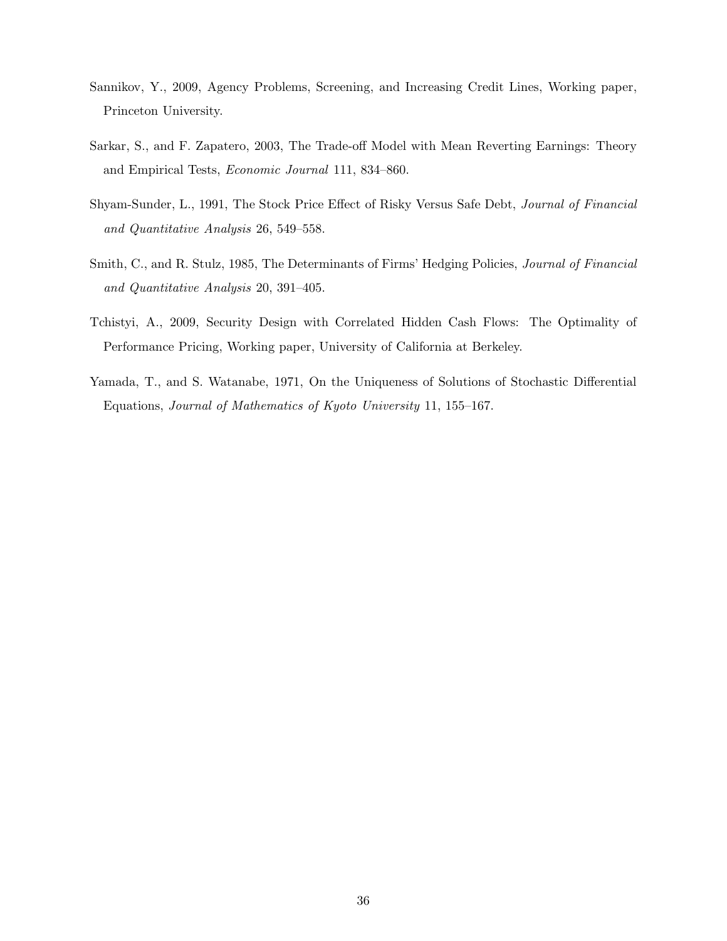- Sannikov, Y., 2009, Agency Problems, Screening, and Increasing Credit Lines, Working paper, Princeton University.
- Sarkar, S., and F. Zapatero, 2003, The Trade-off Model with Mean Reverting Earnings: Theory and Empirical Tests, Economic Journal 111, 834–860.
- Shyam-Sunder, L., 1991, The Stock Price Effect of Risky Versus Safe Debt, Journal of Financial and Quantitative Analysis 26, 549–558.
- Smith, C., and R. Stulz, 1985, The Determinants of Firms' Hedging Policies, *Journal of Financial* and Quantitative Analysis 20, 391–405.
- Tchistyi, A., 2009, Security Design with Correlated Hidden Cash Flows: The Optimality of Performance Pricing, Working paper, University of California at Berkeley.
- Yamada, T., and S. Watanabe, 1971, On the Uniqueness of Solutions of Stochastic Differential Equations, Journal of Mathematics of Kyoto University 11, 155–167.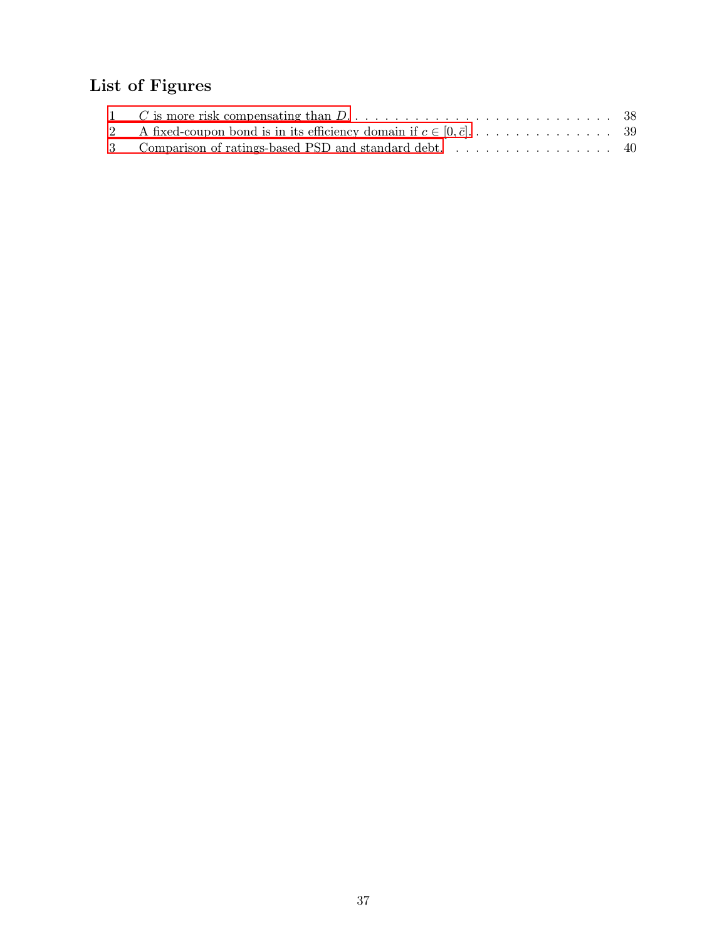# List of Figures

| 1 C is more risk compensating than $D_1, \ldots, \ldots, \ldots, \ldots, \ldots, \ldots, \ldots, \ldots$ 38 |  |
|-------------------------------------------------------------------------------------------------------------|--|
|                                                                                                             |  |
|                                                                                                             |  |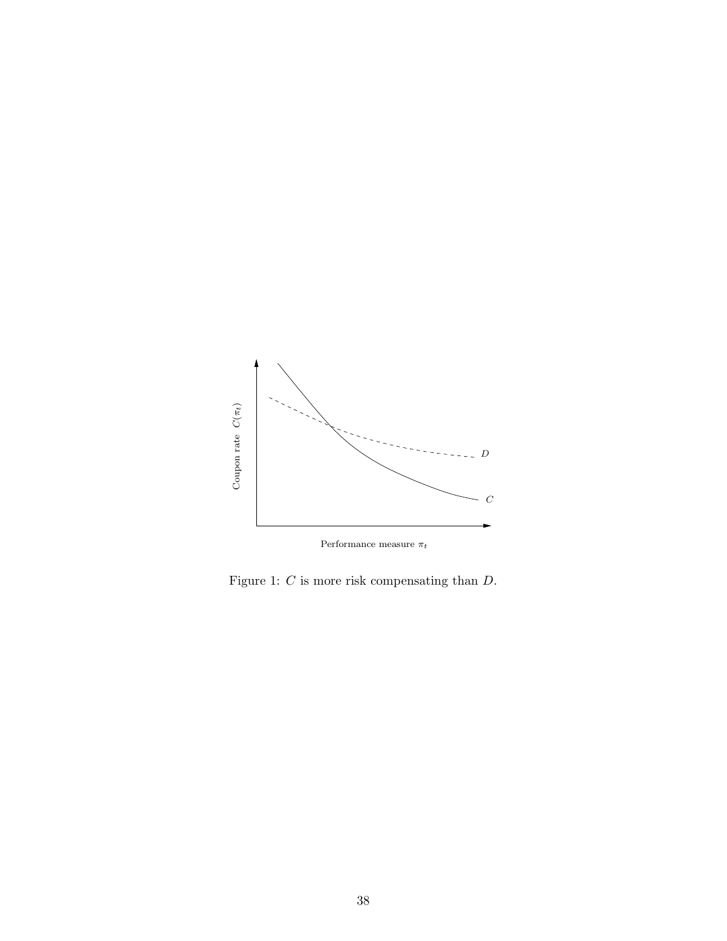<span id="page-38-0"></span>

Figure 1: C is more risk compensating than D.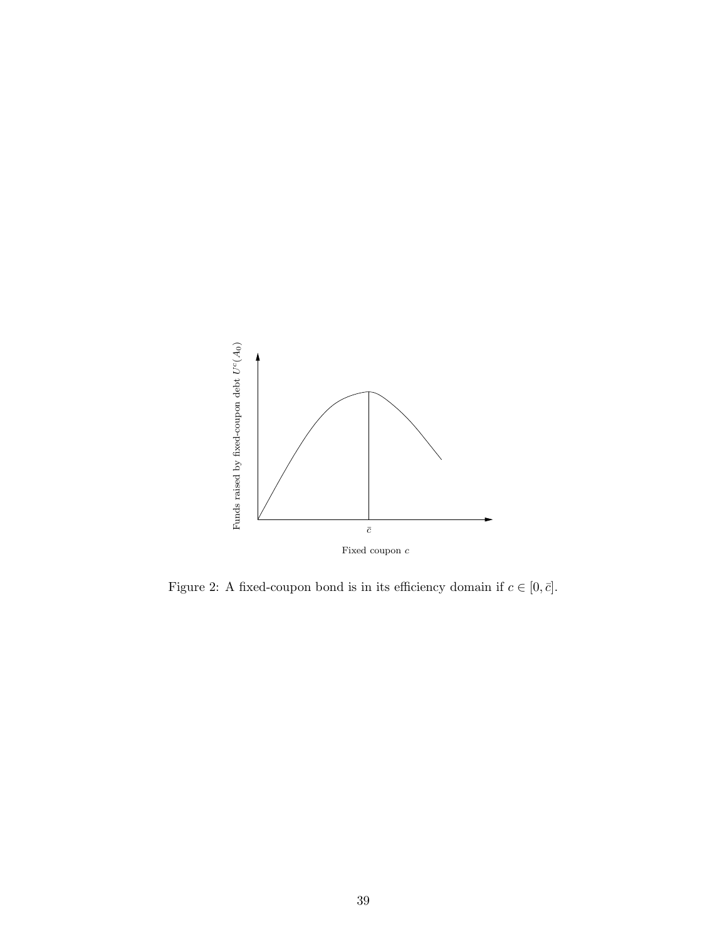<span id="page-39-0"></span>

Figure 2: A fixed-coupon bond is in its efficiency domain if  $c\in[0,\bar c].$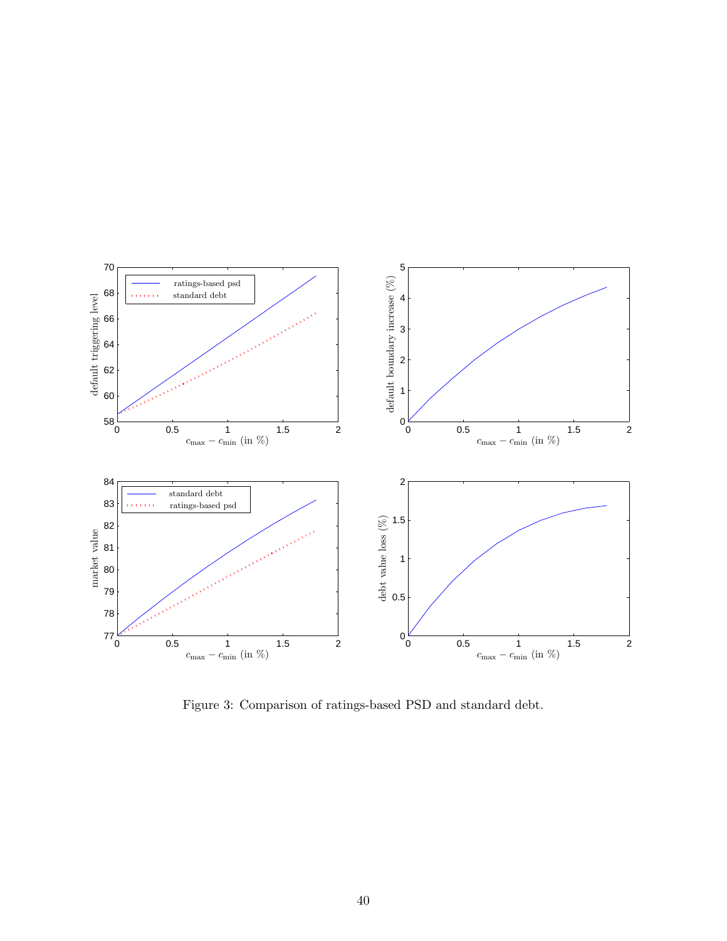<span id="page-40-0"></span>

Figure 3: Comparison of ratings-based PSD and standard debt.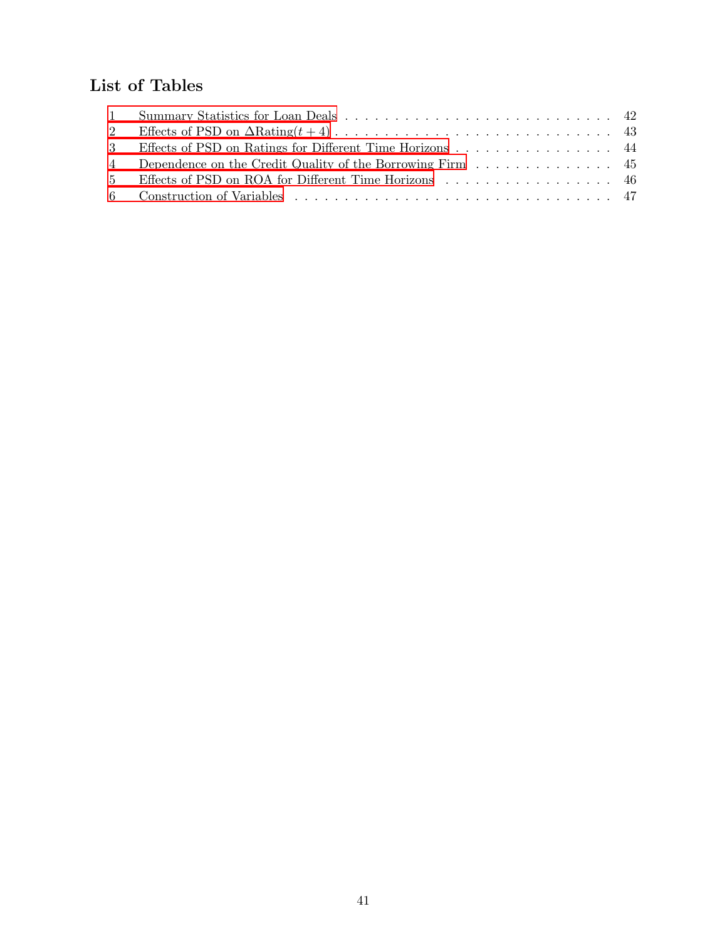# List of Tables

| 3 Effects of PSD on Ratings for Different Time Horizons 44 |  |
|------------------------------------------------------------|--|
|                                                            |  |
| 5 Effects of PSD on ROA for Different Time Horizons 46     |  |
|                                                            |  |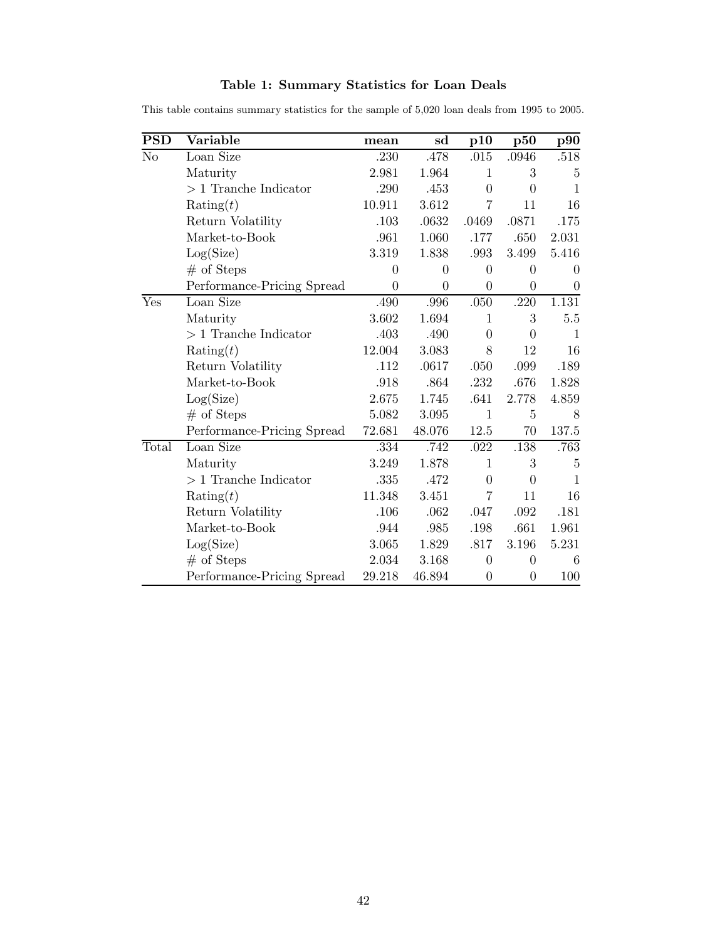| <b>PSD</b> | Variable                   | mean           | sd               | p10              | p50              | $\bf p90$        |
|------------|----------------------------|----------------|------------------|------------------|------------------|------------------|
| No         | Loan Size                  | .230           | .478             | $.015$           | .0946            | $.518\,$         |
|            | Maturity                   | 2.981          | 1.964            | $\mathbf{1}$     | 3                | $\overline{5}$   |
|            | $>1$ Tranche Indicator     | .290           | .453             | $\theta$         | $\overline{0}$   | $\mathbf{1}$     |
|            | $\text{Rating}(t)$         | 10.911         | 3.612            | $\overline{7}$   | 11               | 16               |
|            | Return Volatility          | .103           | .0632            | .0469            | .0871            | .175             |
|            | Market-to-Book             | .961           | 1.060            | .177             | .650             | 2.031            |
|            | Log(Size)                  | 3.319          | 1.838            | .993             | 3.499            | 5.416            |
|            | $#$ of Steps               | $\theta$       | $\overline{0}$   | $\overline{0}$   | $\overline{0}$   | $\Omega$         |
|            | Performance-Pricing Spread | $\overline{0}$ | $\boldsymbol{0}$ | $\boldsymbol{0}$ | $\overline{0}$   | $\boldsymbol{0}$ |
| Yes        | Loan Size                  | .490           | .996             | .050             | .220             | 1.131            |
|            | Maturity                   | 3.602          | 1.694            | $\mathbf{1}$     | 3                | $5.5\,$          |
|            | $>1$ Tranche Indicator     | .403           | .490             | $\overline{0}$   | $\overline{0}$   | $\mathbf{1}$     |
|            | Rating $(t)$               | 12.004         | 3.083            | 8                | 12               | 16               |
|            | Return Volatility          | .112           | .0617            | .050             | .099             | .189             |
|            | Market-to-Book             | .918           | .864             | .232             | .676             | 1.828            |
|            | Log(Size)                  | 2.675          | 1.745            | .641             | 2.778            | 4.859            |
|            | $#$ of Steps               | 5.082          | 3.095            | $\mathbf{1}$     | $\overline{5}$   | 8                |
|            | Performance-Pricing Spread | 72.681         | 48.076           | 12.5             | 70               | 137.5            |
| Total      | Loan Size                  | .334           | .742             | .022             | .138             | .763             |
|            | Maturity                   | 3.249          | 1.878            | $\mathbf{1}$     | 3                | $\overline{5}$   |
|            | $>1$ Tranche Indicator     | .335           | .472             | $\overline{0}$   | $\overline{0}$   | 1                |
|            | Rating $(t)$               | 11.348         | 3.451            | $\overline{7}$   | 11               | 16               |
|            | Return Volatility          | .106           | .062             | .047             | .092             | .181             |
|            | Market-to-Book             | .944           | .985             | .198             | .661             | 1.961            |
|            | Log(Size)                  | 3.065          | 1.829            | .817             | 3.196            | 5.231            |
|            | $#$ of Steps               | 2.034          | 3.168            | $\theta$         | $\overline{0}$   | 6                |
|            | Performance-Pricing Spread | 29.218         | 46.894           | $\overline{0}$   | $\boldsymbol{0}$ | 100              |

## Table 1: Summary Statistics for Loan Deals

<span id="page-42-0"></span>This table contains summary statistics for the sample of 5,020 loan deals from 1995 to 2005.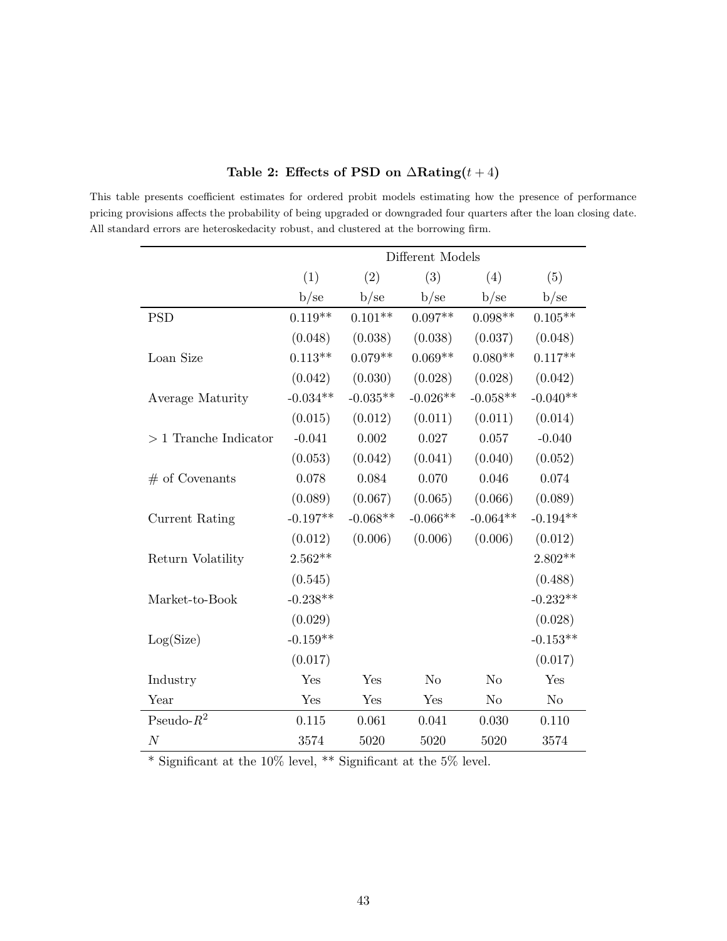|                        | Different Models |            |                |            |                |
|------------------------|------------------|------------|----------------|------------|----------------|
|                        | (1)              | (2)        | (3)            | (4)        | (5)            |
|                        | b/se             | b/se       | b/se           | b/se       | b/se           |
| <b>PSD</b>             | $0.119**$        | $0.101**$  | $0.097**$      | $0.098**$  | $0.105**$      |
|                        | (0.048)          | (0.038)    | (0.038)        | (0.037)    | (0.048)        |
| Loan Size              | $0.113**$        | $0.079**$  | $0.069**$      | $0.080**$  | $0.117**$      |
|                        | (0.042)          | (0.030)    | (0.028)        | (0.028)    | (0.042)        |
| Average Maturity       | $-0.034**$       | $-0.035**$ | $-0.026**$     | $-0.058**$ | $-0.040**$     |
|                        | (0.015)          | (0.012)    | (0.011)        | (0.011)    | (0.014)        |
| $>1$ Tranche Indicator | $-0.041$         | 0.002      | 0.027          | 0.057      | $-0.040$       |
|                        | (0.053)          | (0.042)    | (0.041)        | (0.040)    | (0.052)        |
| $#$ of Covenants       | 0.078            | 0.084      | 0.070          | 0.046      | 0.074          |
|                        | (0.089)          | (0.067)    | (0.065)        | (0.066)    | (0.089)        |
| Current Rating         | $-0.197**$       | $-0.068**$ | $-0.066**$     | $-0.064**$ | $-0.194**$     |
|                        | (0.012)          | (0.006)    | (0.006)        | (0.006)    | (0.012)        |
| Return Volatility      | $2.562**$        |            |                |            | $2.802**$      |
|                        | (0.545)          |            |                |            | (0.488)        |
| Market-to-Book         | $-0.238**$       |            |                |            | $-0.232**$     |
|                        | (0.029)          |            |                |            | (0.028)        |
| Log(Size)              | $-0.159**$       |            |                |            | $-0.153**$     |
|                        | (0.017)          |            |                |            | (0.017)        |
| Industry               | Yes              | Yes        | N <sub>o</sub> | No         | Yes            |
| Year                   | Yes              | Yes        | Yes            | No         | N <sub>o</sub> |
| Pseudo- $R^2$          | 0.115            | 0.061      | 0.041          | 0.030      | 0.110          |
| $\cal N$               | 3574             | 5020       | 5020           | 5020       | 3574           |

## Table 2: Effects of PSD on  $\Delta$ Rating(t+4)

<span id="page-43-0"></span>This table presents coefficient estimates for ordered probit models estimating how the presence of performance pricing provisions affects the probability of being upgraded or downgraded four quarters after the loan closing date. All standard errors are heteroskedacity robust, and clustered at the borrowing firm.

 $^*$  Significant at the 10% level,  $^{**}$  Significant at the 5% level.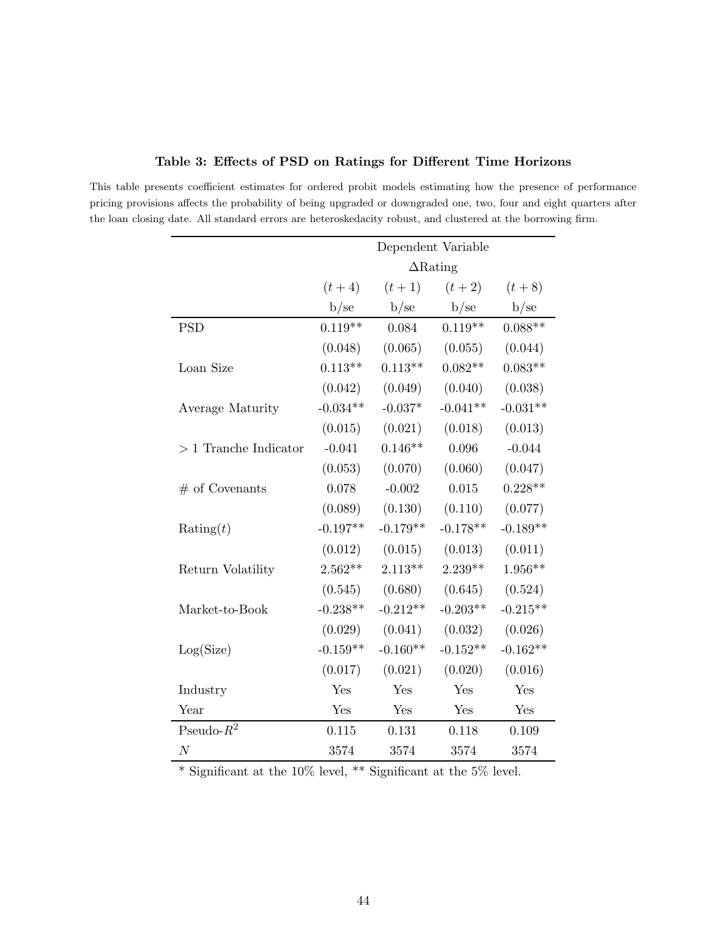|                        | Dependent Variable |            |            |            |  |
|------------------------|--------------------|------------|------------|------------|--|
|                        | $\Delta$ Rating    |            |            |            |  |
|                        | $(t + 4)$          | $(t + 1)$  | $(t + 2)$  | $(t + 8)$  |  |
|                        | b/se               | b/se       | b/se       | b/se       |  |
| <b>PSD</b>             | $0.119**$          | 0.084      | $0.119**$  | $0.088**$  |  |
|                        | (0.048)            | (0.065)    | (0.055)    | (0.044)    |  |
| Loan Size              | $0.113**$          | $0.113**$  | $0.082**$  | $0.083**$  |  |
|                        | (0.042)            | (0.049)    | (0.040)    | (0.038)    |  |
| Average Maturity       | $-0.034**$         | $-0.037*$  | $-0.041**$ | $-0.031**$ |  |
|                        | (0.015)            | (0.021)    | (0.018)    | (0.013)    |  |
| $>1$ Tranche Indicator | $-0.041$           | $0.146**$  | 0.096      | $-0.044$   |  |
|                        | (0.053)            | (0.070)    | (0.060)    | (0.047)    |  |
| $#$ of Covenants       | 0.078              | $-0.002$   | 0.015      | $0.228**$  |  |
|                        | (0.089)            | (0.130)    | (0.110)    | (0.077)    |  |
| $\text{Rating}(t)$     | $-0.197**$         | $-0.179**$ | $-0.178**$ | $-0.189**$ |  |
|                        | (0.012)            | (0.015)    | (0.013)    | (0.011)    |  |
| Return Volatility      | $2.562**$          | $2.113**$  | $2.239**$  | $1.956**$  |  |
|                        | (0.545)            | (0.680)    | (0.645)    | (0.524)    |  |
| Market-to-Book         | $-0.238**$         | $-0.212**$ | $-0.203**$ | $-0.215**$ |  |
|                        | (0.029)            | (0.041)    | (0.032)    | (0.026)    |  |
| Log(Size)              | $-0.159**$         | $-0.160**$ | $-0.152**$ | $-0.162**$ |  |
|                        | (0.017)            | (0.021)    | (0.020)    | (0.016)    |  |
| Industry               | Yes                | Yes        | Yes        | Yes        |  |
| Year                   | Yes                | Yes        | Yes        | Yes        |  |
| Pseudo- $R^2$          | 0.115              | 0.131      | 0.118      | 0.109      |  |
| $\cal N$               | 3574               | 3574       | 3574       | 3574       |  |

## Table 3: Effects of PSD on Ratings for Different Time Horizons

<span id="page-44-0"></span>This table presents coefficient estimates for ordered probit models estimating how the presence of performance pricing provisions affects the probability of being upgraded or downgraded one, two, four and eight quarters after the loan closing date. All standard errors are heteroskedacity robust, and clustered at the borrowing firm.

 $^{\ast}$  Significant at the 10% level,  $^{\ast\ast}$  Significant at the 5% level.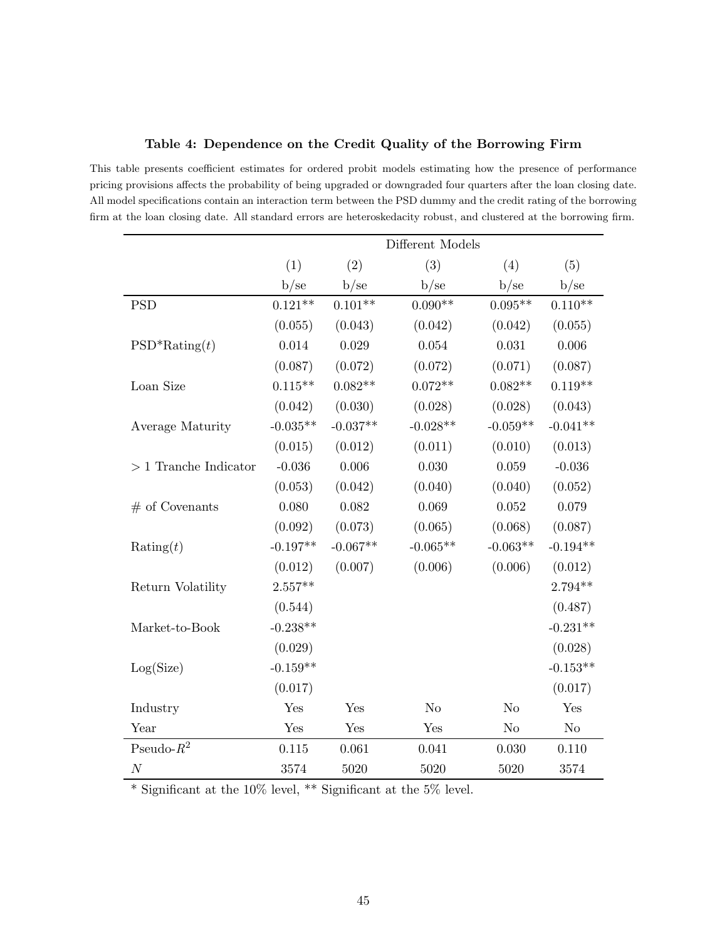|                        |                    |            | Different Models |                |            |
|------------------------|--------------------|------------|------------------|----------------|------------|
|                        | (1)                | (2)        | (3)              | (4)            | (5)        |
|                        | b/se               | b/se       | b/se             | b/se           | b/se       |
| <b>PSD</b>             | $0.121**$          | $0.101**$  | $0.090**$        | $0.095**$      | $0.110**$  |
|                        | (0.055)            | (0.043)    | (0.042)          | (0.042)        | (0.055)    |
| $PSD^*Rating(t)$       | 0.014              | 0.029      | 0.054            | 0.031          | 0.006      |
|                        | (0.087)            | (0.072)    | (0.072)          | (0.071)        | (0.087)    |
| Loan Size              | $0.115**$          | $0.082**$  | $0.072**$        | $0.082**$      | $0.119**$  |
|                        | (0.042)            | (0.030)    | (0.028)          | (0.028)        | (0.043)    |
| Average Maturity       | $-0.035**$         | $-0.037**$ | $-0.028**$       | $-0.059**$     | $-0.041**$ |
|                        | (0.015)            | (0.012)    | (0.011)          | (0.010)        | (0.013)    |
| $>1$ Tranche Indicator | $-0.036$           | 0.006      | 0.030            | 0.059          | $-0.036$   |
|                        | (0.053)            | (0.042)    | (0.040)          | (0.040)        | (0.052)    |
| $#$ of Covenants       | 0.080              | 0.082      | 0.069            | 0.052          | 0.079      |
|                        | (0.092)            | (0.073)    | (0.065)          | (0.068)        | (0.087)    |
| $\text{Rating}(t)$     | $-0.197**$         | $-0.067**$ | $-0.065**$       | $-0.063**$     | $-0.194**$ |
|                        | (0.012)            | (0.007)    | (0.006)          | (0.006)        | (0.012)    |
| Return Volatility      | $2.557^{\ast\ast}$ |            |                  |                | $2.794**$  |
|                        | (0.544)            |            |                  |                | (0.487)    |
| Market-to-Book         | $-0.238**$         |            |                  |                | $-0.231**$ |
|                        | (0.029)            |            |                  |                | (0.028)    |
| Log(Size)              | $-0.159**$         |            |                  |                | $-0.153**$ |
|                        | (0.017)            |            |                  |                | (0.017)    |
| Industry               | Yes                | Yes        | No               | No             | Yes        |
| Year                   | Yes                | Yes        | Yes              | N <sub>o</sub> | No         |
| Pseudo- $R^2$          | 0.115              | 0.061      | 0.041            | 0.030          | 0.110      |
| $\boldsymbol{N}$       | 3574               | 5020       | 5020             | 5020           | 3574       |

Table 4: Dependence on the Credit Quality of the Borrowing Firm

<span id="page-45-0"></span>This table presents coefficient estimates for ordered probit models estimating how the presence of performance pricing provisions affects the probability of being upgraded or downgraded four quarters after the loan closing date. All model specifications contain an interaction term between the PSD dummy and the credit rating of the borrowing firm at the loan closing date. All standard errors are heteroskedacity robust, and clustered at the borrowing firm.

 $^{\ast}$  Significant at the 10% level,  $^{**}$  Significant at the 5% level.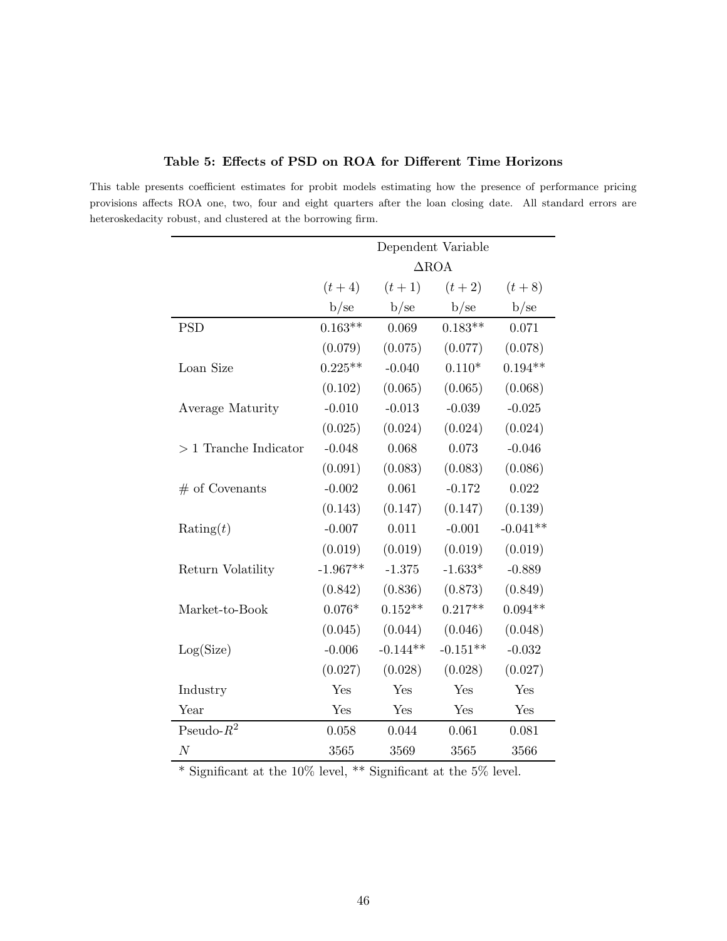|                        | Dependent Variable |            |            |            |  |
|------------------------|--------------------|------------|------------|------------|--|
|                        | $\triangle$ ROA    |            |            |            |  |
|                        | $(t + 4)$          | $(t + 1)$  | $(t + 2)$  | $(t + 8)$  |  |
|                        | b/se               | b/se       | b/se       | b/se       |  |
| <b>PSD</b>             | $0.163**$          | 0.069      | $0.183**$  | 0.071      |  |
|                        | (0.079)            | (0.075)    | (0.077)    | (0.078)    |  |
| Loan Size              | $0.225**$          | $-0.040$   | $0.110*$   | $0.194**$  |  |
|                        | (0.102)            | (0.065)    | (0.065)    | (0.068)    |  |
| Average Maturity       | $-0.010$           | $-0.013$   | $-0.039$   | $-0.025$   |  |
|                        | (0.025)            | (0.024)    | (0.024)    | (0.024)    |  |
| $>1$ Tranche Indicator | $-0.048$           | 0.068      | 0.073      | $-0.046$   |  |
|                        | (0.091)            | (0.083)    | (0.083)    | (0.086)    |  |
| $#$ of Covenants       | $-0.002$           | 0.061      | $-0.172$   | 0.022      |  |
|                        | (0.143)            | (0.147)    | (0.147)    | (0.139)    |  |
| $\text{Rating}(t)$     | $-0.007$           | 0.011      | $-0.001$   | $-0.041**$ |  |
|                        | (0.019)            | (0.019)    | (0.019)    | (0.019)    |  |
| Return Volatility      | $-1.967**$         | $-1.375$   | $-1.633*$  | $-0.889$   |  |
|                        | (0.842)            | (0.836)    | (0.873)    | (0.849)    |  |
| Market-to-Book         | $0.076*$           | $0.152**$  | $0.217**$  | $0.094**$  |  |
|                        | (0.045)            | (0.044)    | (0.046)    | (0.048)    |  |
| Log(Size)              | $-0.006$           | $-0.144**$ | $-0.151**$ | $-0.032$   |  |
|                        | (0.027)            | (0.028)    | (0.028)    | (0.027)    |  |
| Industry               | Yes                | Yes        | Yes        | Yes        |  |
| Year                   | Yes                | Yes        | Yes        | Yes        |  |
| Pseudo- $R^2$          | 0.058              | 0.044      | 0.061      | 0.081      |  |
| $\cal N$               | 3565               | 3569       | 3565       | 3566       |  |

Table 5: Effects of PSD on ROA for Different Time Horizons

<span id="page-46-0"></span>This table presents coefficient estimates for probit models estimating how the presence of performance pricing provisions affects ROA one, two, four and eight quarters after the loan closing date. All standard errors are heteroskedacity robust, and clustered at the borrowing firm.

 $^{\ast}$  Significant at the 10% level,  $^{\ast\ast}$  Significant at the 5% level.